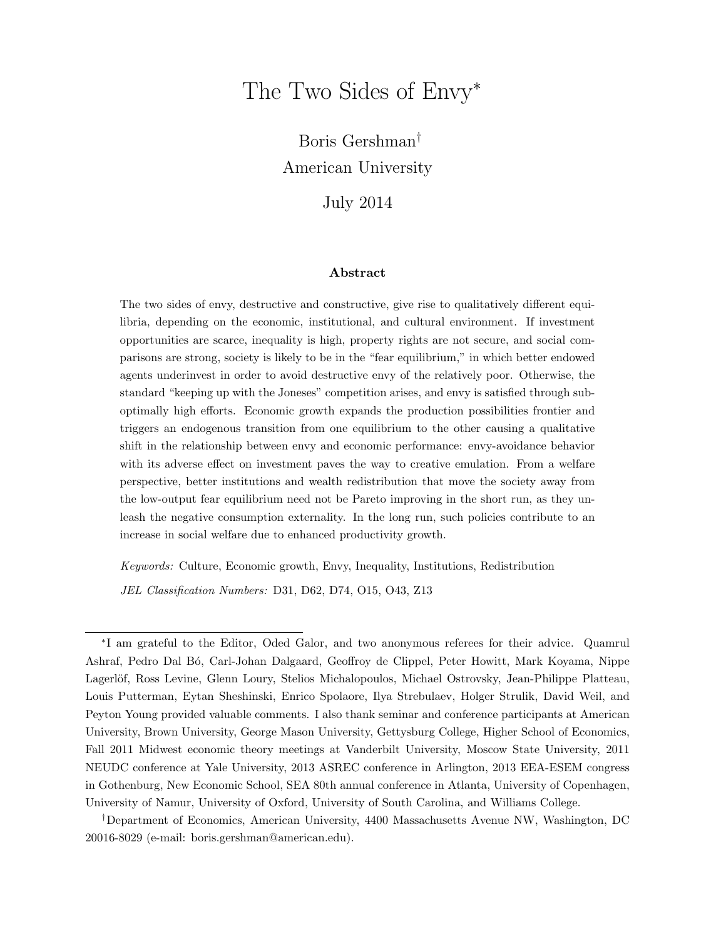# The Two Sides of Envy<sup>∗</sup>

Boris Gershman† American University

July 2014

#### Abstract

The two sides of envy, destructive and constructive, give rise to qualitatively different equilibria, depending on the economic, institutional, and cultural environment. If investment opportunities are scarce, inequality is high, property rights are not secure, and social comparisons are strong, society is likely to be in the "fear equilibrium," in which better endowed agents underinvest in order to avoid destructive envy of the relatively poor. Otherwise, the standard "keeping up with the Joneses" competition arises, and envy is satisfied through suboptimally high efforts. Economic growth expands the production possibilities frontier and triggers an endogenous transition from one equilibrium to the other causing a qualitative shift in the relationship between envy and economic performance: envy-avoidance behavior with its adverse effect on investment paves the way to creative emulation. From a welfare perspective, better institutions and wealth redistribution that move the society away from the low-output fear equilibrium need not be Pareto improving in the short run, as they unleash the negative consumption externality. In the long run, such policies contribute to an increase in social welfare due to enhanced productivity growth.

Keywords: Culture, Economic growth, Envy, Inequality, Institutions, Redistribution

JEL Classification Numbers: D31, D62, D74, O15, O43, Z13

<sup>∗</sup> I am grateful to the Editor, Oded Galor, and two anonymous referees for their advice. Quamrul Ashraf, Pedro Dal B´o, Carl-Johan Dalgaard, Geoffroy de Clippel, Peter Howitt, Mark Koyama, Nippe Lagerlöf, Ross Levine, Glenn Loury, Stelios Michalopoulos, Michael Ostrovsky, Jean-Philippe Platteau, Louis Putterman, Eytan Sheshinski, Enrico Spolaore, Ilya Strebulaev, Holger Strulik, David Weil, and Peyton Young provided valuable comments. I also thank seminar and conference participants at American University, Brown University, George Mason University, Gettysburg College, Higher School of Economics, Fall 2011 Midwest economic theory meetings at Vanderbilt University, Moscow State University, 2011 NEUDC conference at Yale University, 2013 ASREC conference in Arlington, 2013 EEA-ESEM congress in Gothenburg, New Economic School, SEA 80th annual conference in Atlanta, University of Copenhagen, University of Namur, University of Oxford, University of South Carolina, and Williams College.

<sup>†</sup>Department of Economics, American University, 4400 Massachusetts Avenue NW, Washington, DC 20016-8029 (e-mail: boris.gershman@american.edu).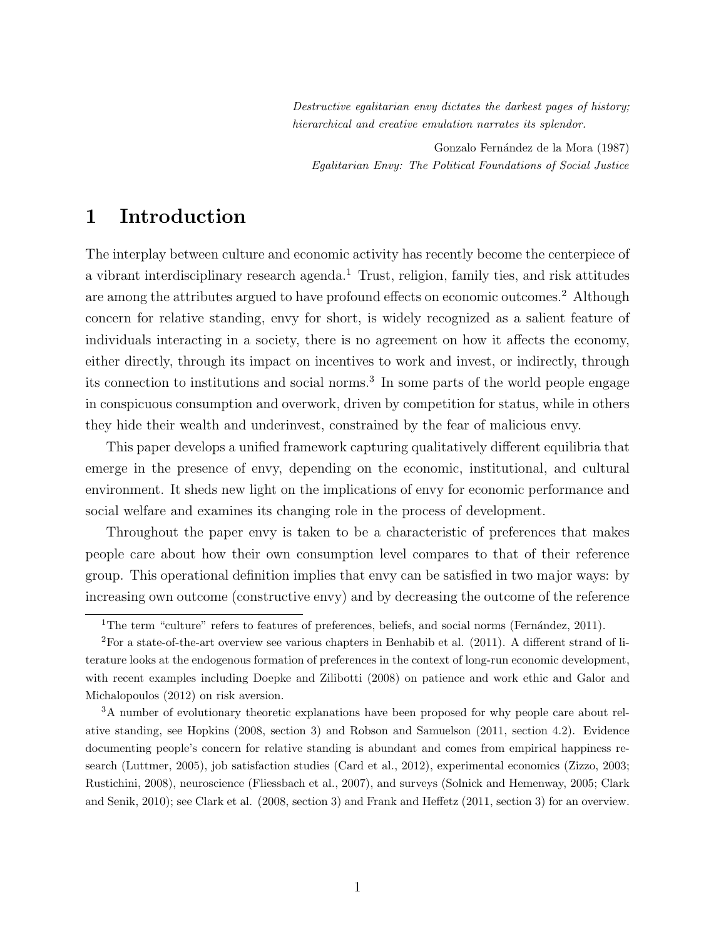Destructive egalitarian envy dictates the darkest pages of history; hierarchical and creative emulation narrates its splendor.

Gonzalo Fernández de la Mora (1987) Egalitarian Envy: The Political Foundations of Social Justice

## 1 Introduction

The interplay between culture and economic activity has recently become the centerpiece of a vibrant interdisciplinary research agenda.<sup>[1](#page-1-0)</sup> Trust, religion, family ties, and risk attitudes are among the attributes argued to have profound effects on economic outcomes.<sup>[2](#page-1-1)</sup> Although concern for relative standing, envy for short, is widely recognized as a salient feature of individuals interacting in a society, there is no agreement on how it affects the economy, either directly, through its impact on incentives to work and invest, or indirectly, through its connection to institutions and social norms.<sup>[3](#page-1-2)</sup> In some parts of the world people engage in conspicuous consumption and overwork, driven by competition for status, while in others they hide their wealth and underinvest, constrained by the fear of malicious envy.

This paper develops a unified framework capturing qualitatively different equilibria that emerge in the presence of envy, depending on the economic, institutional, and cultural environment. It sheds new light on the implications of envy for economic performance and social welfare and examines its changing role in the process of development.

Throughout the paper envy is taken to be a characteristic of preferences that makes people care about how their own consumption level compares to that of their reference group. This operational definition implies that envy can be satisfied in two major ways: by increasing own outcome (constructive envy) and by decreasing the outcome of the reference

<span id="page-1-1"></span><span id="page-1-0"></span><sup>&</sup>lt;sup>1</sup>The term "culture" refers to features of preferences, beliefs, and social norms (Fernández, 2011).

<sup>2</sup>For a state-of-the-art overview see various chapters in Benhabib et al. (2011). A different strand of literature looks at the endogenous formation of preferences in the context of long-run economic development, with recent examples including Doepke and Zilibotti (2008) on patience and work ethic and Galor and Michalopoulos (2012) on risk aversion.

<span id="page-1-2"></span><sup>&</sup>lt;sup>3</sup>A number of evolutionary theoretic explanations have been proposed for why people care about relative standing, see Hopkins (2008, section 3) and Robson and Samuelson (2011, section 4.2). Evidence documenting people's concern for relative standing is abundant and comes from empirical happiness research (Luttmer, 2005), job satisfaction studies (Card et al., 2012), experimental economics (Zizzo, 2003; Rustichini, 2008), neuroscience (Fliessbach et al., 2007), and surveys (Solnick and Hemenway, 2005; Clark and Senik, 2010); see Clark et al. (2008, section 3) and Frank and Heffetz (2011, section 3) for an overview.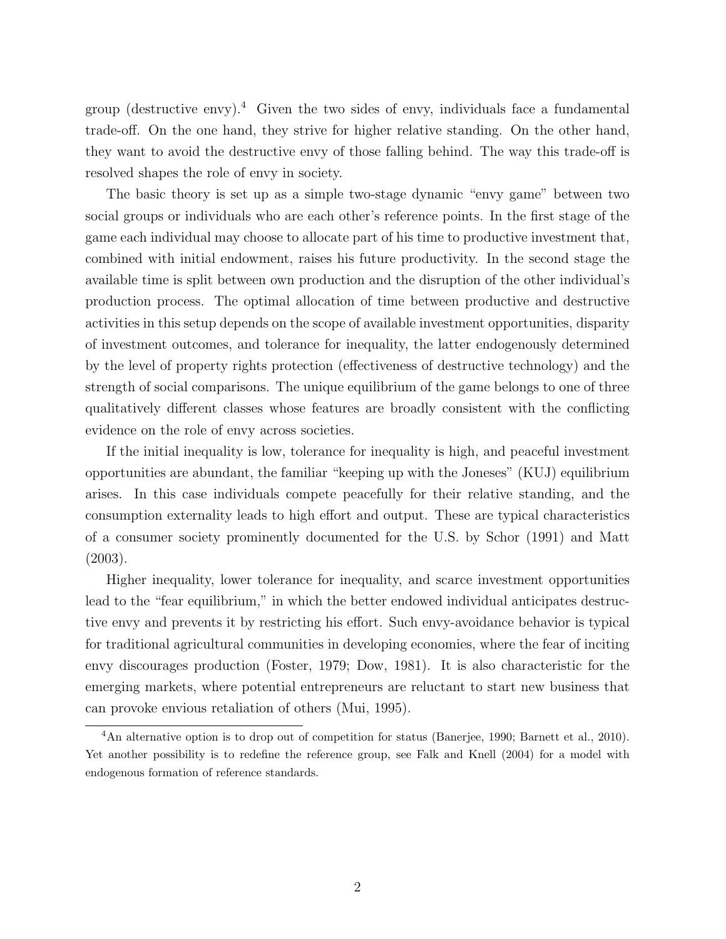group (destructive envy).<sup>[4](#page-2-0)</sup> Given the two sides of envy, individuals face a fundamental trade-off. On the one hand, they strive for higher relative standing. On the other hand, they want to avoid the destructive envy of those falling behind. The way this trade-off is resolved shapes the role of envy in society.

The basic theory is set up as a simple two-stage dynamic "envy game" between two social groups or individuals who are each other's reference points. In the first stage of the game each individual may choose to allocate part of his time to productive investment that, combined with initial endowment, raises his future productivity. In the second stage the available time is split between own production and the disruption of the other individual's production process. The optimal allocation of time between productive and destructive activities in this setup depends on the scope of available investment opportunities, disparity of investment outcomes, and tolerance for inequality, the latter endogenously determined by the level of property rights protection (effectiveness of destructive technology) and the strength of social comparisons. The unique equilibrium of the game belongs to one of three qualitatively different classes whose features are broadly consistent with the conflicting evidence on the role of envy across societies.

If the initial inequality is low, tolerance for inequality is high, and peaceful investment opportunities are abundant, the familiar "keeping up with the Joneses" (KUJ) equilibrium arises. In this case individuals compete peacefully for their relative standing, and the consumption externality leads to high effort and output. These are typical characteristics of a consumer society prominently documented for the U.S. by Schor (1991) and Matt (2003).

Higher inequality, lower tolerance for inequality, and scarce investment opportunities lead to the "fear equilibrium," in which the better endowed individual anticipates destructive envy and prevents it by restricting his effort. Such envy-avoidance behavior is typical for traditional agricultural communities in developing economies, where the fear of inciting envy discourages production (Foster, 1979; Dow, 1981). It is also characteristic for the emerging markets, where potential entrepreneurs are reluctant to start new business that can provoke envious retaliation of others (Mui, 1995).

<span id="page-2-0"></span><sup>4</sup>An alternative option is to drop out of competition for status (Banerjee, 1990; Barnett et al., 2010). Yet another possibility is to redefine the reference group, see Falk and Knell (2004) for a model with endogenous formation of reference standards.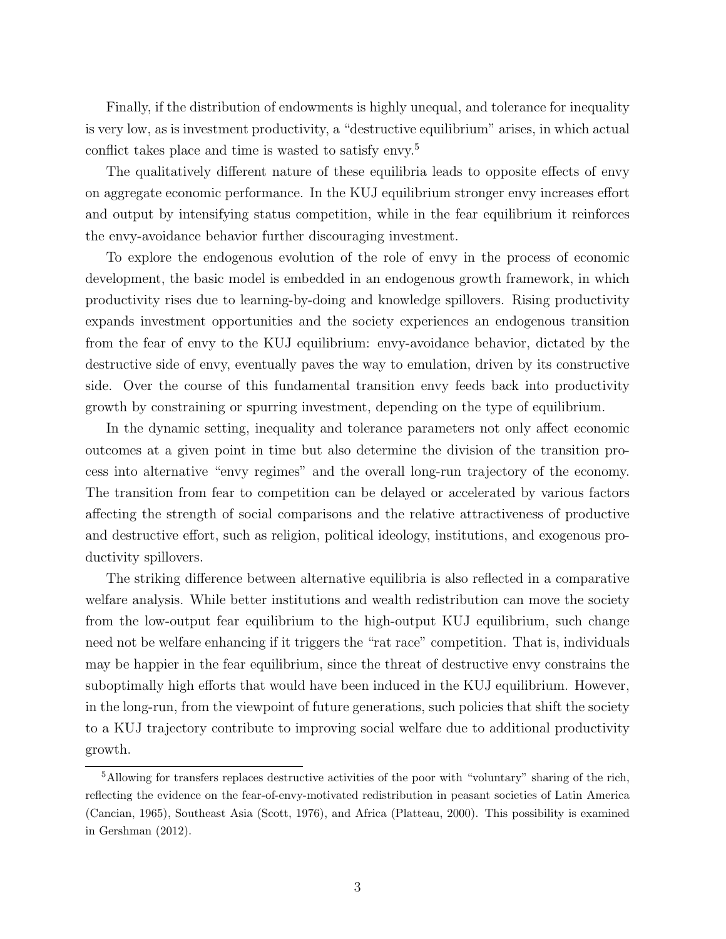Finally, if the distribution of endowments is highly unequal, and tolerance for inequality is very low, as is investment productivity, a "destructive equilibrium" arises, in which actual conflict takes place and time is wasted to satisfy envy.[5](#page-3-0)

The qualitatively different nature of these equilibria leads to opposite effects of envy on aggregate economic performance. In the KUJ equilibrium stronger envy increases effort and output by intensifying status competition, while in the fear equilibrium it reinforces the envy-avoidance behavior further discouraging investment.

To explore the endogenous evolution of the role of envy in the process of economic development, the basic model is embedded in an endogenous growth framework, in which productivity rises due to learning-by-doing and knowledge spillovers. Rising productivity expands investment opportunities and the society experiences an endogenous transition from the fear of envy to the KUJ equilibrium: envy-avoidance behavior, dictated by the destructive side of envy, eventually paves the way to emulation, driven by its constructive side. Over the course of this fundamental transition envy feeds back into productivity growth by constraining or spurring investment, depending on the type of equilibrium.

In the dynamic setting, inequality and tolerance parameters not only affect economic outcomes at a given point in time but also determine the division of the transition process into alternative "envy regimes" and the overall long-run trajectory of the economy. The transition from fear to competition can be delayed or accelerated by various factors affecting the strength of social comparisons and the relative attractiveness of productive and destructive effort, such as religion, political ideology, institutions, and exogenous productivity spillovers.

The striking difference between alternative equilibria is also reflected in a comparative welfare analysis. While better institutions and wealth redistribution can move the society from the low-output fear equilibrium to the high-output KUJ equilibrium, such change need not be welfare enhancing if it triggers the "rat race" competition. That is, individuals may be happier in the fear equilibrium, since the threat of destructive envy constrains the suboptimally high efforts that would have been induced in the KUJ equilibrium. However, in the long-run, from the viewpoint of future generations, such policies that shift the society to a KUJ trajectory contribute to improving social welfare due to additional productivity growth.

<span id="page-3-0"></span><sup>5</sup>Allowing for transfers replaces destructive activities of the poor with "voluntary" sharing of the rich, reflecting the evidence on the fear-of-envy-motivated redistribution in peasant societies of Latin America (Cancian, 1965), Southeast Asia (Scott, 1976), and Africa (Platteau, 2000). This possibility is examined in Gershman (2012).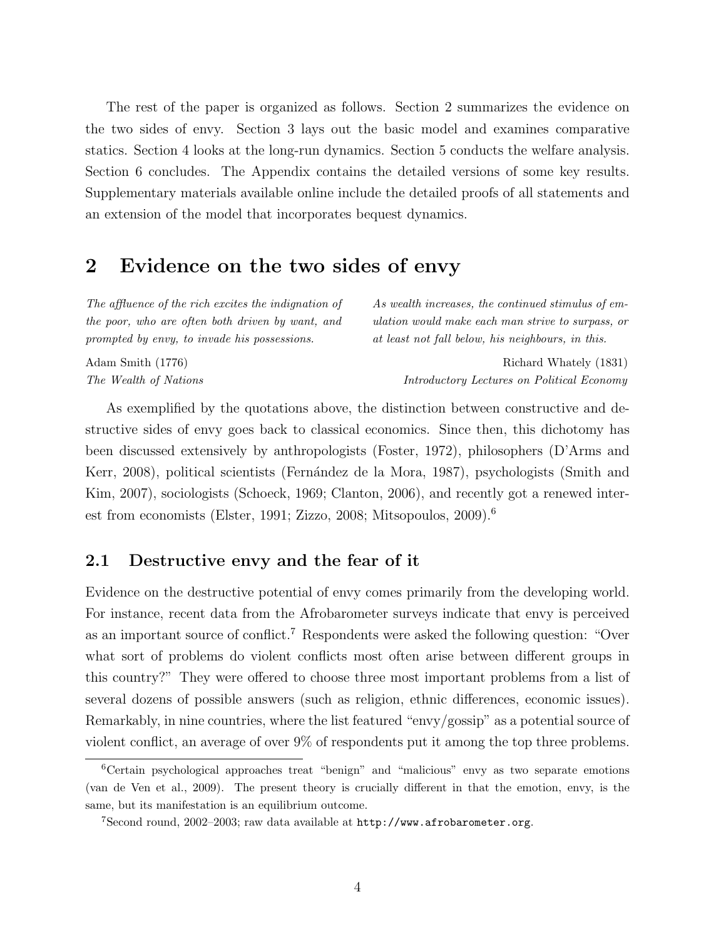The rest of the paper is organized as follows. Section [2](#page-4-0) summarizes the evidence on the two sides of envy. Section [3](#page-8-0) lays out the basic model and examines comparative statics. Section [4](#page-25-0) looks at the long-run dynamics. Section [5](#page-28-0) conducts the welfare analysis. Section [6](#page-35-0) concludes. The Appendix contains the detailed versions of some key results. Supplementary materials available online include the detailed proofs of all statements and an extension of the model that incorporates bequest dynamics.

### <span id="page-4-0"></span>2 Evidence on the two sides of envy

The affluence of the rich excites the indignation of the poor, who are often both driven by want, and prompted by envy, to invade his possessions.

As wealth increases, the continued stimulus of emulation would make each man strive to surpass, or at least not fall below, his neighbours, in this.

Adam Smith (1776) The Wealth of Nations

Richard Whately (1831) Introductory Lectures on Political Economy

As exemplified by the quotations above, the distinction between constructive and destructive sides of envy goes back to classical economics. Since then, this dichotomy has been discussed extensively by anthropologists (Foster, 1972), philosophers (D'Arms and Kerr, 2008), political scientists (Fernández de la Mora, 1987), psychologists (Smith and Kim, 2007), sociologists (Schoeck, 1969; Clanton, 2006), and recently got a renewed interest from economists (Elster, 1991; Zizzo, 2008; Mitsopoulos, 2009).[6](#page-4-1)

### <span id="page-4-3"></span>2.1 Destructive envy and the fear of it

Evidence on the destructive potential of envy comes primarily from the developing world. For instance, recent data from the Afrobarometer surveys indicate that envy is perceived as an important source of conflict.[7](#page-4-2) Respondents were asked the following question: "Over what sort of problems do violent conflicts most often arise between different groups in this country?" They were offered to choose three most important problems from a list of several dozens of possible answers (such as religion, ethnic differences, economic issues). Remarkably, in nine countries, where the list featured "envy/gossip" as a potential source of violent conflict, an average of over 9% of respondents put it among the top three problems.

<span id="page-4-1"></span><sup>6</sup>Certain psychological approaches treat "benign" and "malicious" envy as two separate emotions (van de Ven et al., 2009). The present theory is crucially different in that the emotion, envy, is the same, but its manifestation is an equilibrium outcome.

<span id="page-4-2"></span><sup>7</sup>Second round, 2002–2003; raw data available at <http://www.afrobarometer.org>.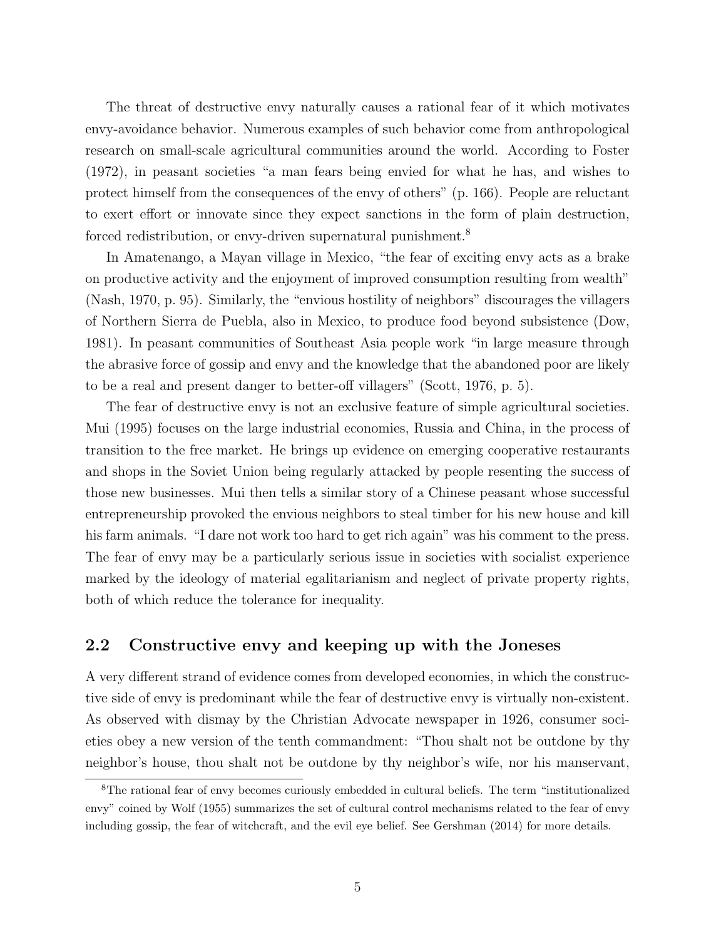The threat of destructive envy naturally causes a rational fear of it which motivates envy-avoidance behavior. Numerous examples of such behavior come from anthropological research on small-scale agricultural communities around the world. According to Foster (1972), in peasant societies "a man fears being envied for what he has, and wishes to protect himself from the consequences of the envy of others" (p. 166). People are reluctant to exert effort or innovate since they expect sanctions in the form of plain destruction, forced redistribution, or envy-driven supernatural punishment.<sup>[8](#page-5-0)</sup>

In Amatenango, a Mayan village in Mexico, "the fear of exciting envy acts as a brake on productive activity and the enjoyment of improved consumption resulting from wealth" (Nash, 1970, p. 95). Similarly, the "envious hostility of neighbors" discourages the villagers of Northern Sierra de Puebla, also in Mexico, to produce food beyond subsistence (Dow, 1981). In peasant communities of Southeast Asia people work "in large measure through the abrasive force of gossip and envy and the knowledge that the abandoned poor are likely to be a real and present danger to better-off villagers" (Scott, 1976, p. 5).

The fear of destructive envy is not an exclusive feature of simple agricultural societies. Mui (1995) focuses on the large industrial economies, Russia and China, in the process of transition to the free market. He brings up evidence on emerging cooperative restaurants and shops in the Soviet Union being regularly attacked by people resenting the success of those new businesses. Mui then tells a similar story of a Chinese peasant whose successful entrepreneurship provoked the envious neighbors to steal timber for his new house and kill his farm animals. "I dare not work too hard to get rich again" was his comment to the press. The fear of envy may be a particularly serious issue in societies with socialist experience marked by the ideology of material egalitarianism and neglect of private property rights, both of which reduce the tolerance for inequality.

#### 2.2 Constructive envy and keeping up with the Joneses

A very different strand of evidence comes from developed economies, in which the constructive side of envy is predominant while the fear of destructive envy is virtually non-existent. As observed with dismay by the Christian Advocate newspaper in 1926, consumer societies obey a new version of the tenth commandment: "Thou shalt not be outdone by thy neighbor's house, thou shalt not be outdone by thy neighbor's wife, nor his manservant,

<span id="page-5-0"></span><sup>8</sup>The rational fear of envy becomes curiously embedded in cultural beliefs. The term "institutionalized envy" coined by Wolf (1955) summarizes the set of cultural control mechanisms related to the fear of envy including gossip, the fear of witchcraft, and the evil eye belief. See Gershman (2014) for more details.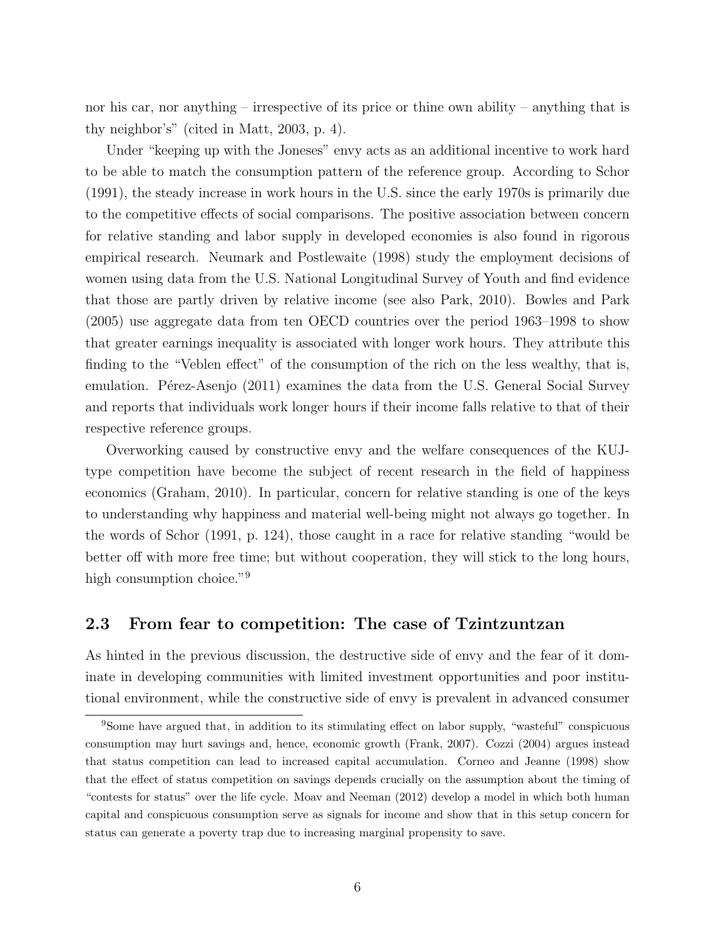nor his car, nor anything – irrespective of its price or thine own ability – anything that is thy neighbor's" (cited in Matt, 2003, p. 4).

Under "keeping up with the Joneses" envy acts as an additional incentive to work hard to be able to match the consumption pattern of the reference group. According to Schor (1991), the steady increase in work hours in the U.S. since the early 1970s is primarily due to the competitive effects of social comparisons. The positive association between concern for relative standing and labor supply in developed economies is also found in rigorous empirical research. Neumark and Postlewaite (1998) study the employment decisions of women using data from the U.S. National Longitudinal Survey of Youth and find evidence that those are partly driven by relative income (see also Park, 2010). Bowles and Park (2005) use aggregate data from ten OECD countries over the period 1963–1998 to show that greater earnings inequality is associated with longer work hours. They attribute this finding to the "Veblen effect" of the consumption of the rich on the less wealthy, that is, emulation. Pérez-Asenjo (2011) examines the data from the U.S. General Social Survey and reports that individuals work longer hours if their income falls relative to that of their respective reference groups.

Overworking caused by constructive envy and the welfare consequences of the KUJtype competition have become the subject of recent research in the field of happiness economics (Graham, 2010). In particular, concern for relative standing is one of the keys to understanding why happiness and material well-being might not always go together. In the words of Schor (1991, p. 124), those caught in a race for relative standing "would be better off with more free time; but without cooperation, they will stick to the long hours, high consumption choice."<sup>[9](#page-6-0)</sup>

#### <span id="page-6-1"></span>2.3 From fear to competition: The case of Tzintzuntzan

As hinted in the previous discussion, the destructive side of envy and the fear of it dominate in developing communities with limited investment opportunities and poor institutional environment, while the constructive side of envy is prevalent in advanced consumer

<span id="page-6-0"></span><sup>9</sup>Some have argued that, in addition to its stimulating effect on labor supply, "wasteful" conspicuous consumption may hurt savings and, hence, economic growth (Frank, 2007). Cozzi (2004) argues instead that status competition can lead to increased capital accumulation. Corneo and Jeanne (1998) show that the effect of status competition on savings depends crucially on the assumption about the timing of "contests for status" over the life cycle. Moav and Neeman (2012) develop a model in which both human capital and conspicuous consumption serve as signals for income and show that in this setup concern for status can generate a poverty trap due to increasing marginal propensity to save.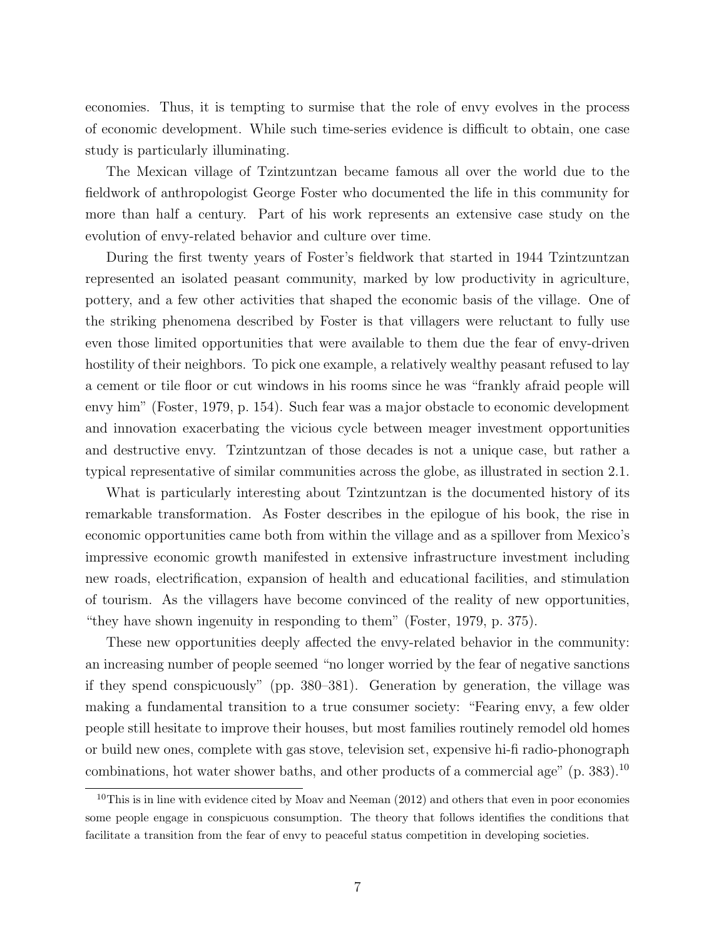economies. Thus, it is tempting to surmise that the role of envy evolves in the process of economic development. While such time-series evidence is difficult to obtain, one case study is particularly illuminating.

The Mexican village of Tzintzuntzan became famous all over the world due to the fieldwork of anthropologist George Foster who documented the life in this community for more than half a century. Part of his work represents an extensive case study on the evolution of envy-related behavior and culture over time.

During the first twenty years of Foster's fieldwork that started in 1944 Tzintzuntzan represented an isolated peasant community, marked by low productivity in agriculture, pottery, and a few other activities that shaped the economic basis of the village. One of the striking phenomena described by Foster is that villagers were reluctant to fully use even those limited opportunities that were available to them due the fear of envy-driven hostility of their neighbors. To pick one example, a relatively wealthy peasant refused to lay a cement or tile floor or cut windows in his rooms since he was "frankly afraid people will envy him" (Foster, 1979, p. 154). Such fear was a major obstacle to economic development and innovation exacerbating the vicious cycle between meager investment opportunities and destructive envy. Tzintzuntzan of those decades is not a unique case, but rather a typical representative of similar communities across the globe, as illustrated in section [2.1.](#page-4-3)

What is particularly interesting about Tzintzuntzan is the documented history of its remarkable transformation. As Foster describes in the epilogue of his book, the rise in economic opportunities came both from within the village and as a spillover from Mexico's impressive economic growth manifested in extensive infrastructure investment including new roads, electrification, expansion of health and educational facilities, and stimulation of tourism. As the villagers have become convinced of the reality of new opportunities, "they have shown ingenuity in responding to them" (Foster, 1979, p. 375).

These new opportunities deeply affected the envy-related behavior in the community: an increasing number of people seemed "no longer worried by the fear of negative sanctions if they spend conspicuously" (pp. 380–381). Generation by generation, the village was making a fundamental transition to a true consumer society: "Fearing envy, a few older people still hesitate to improve their houses, but most families routinely remodel old homes or build new ones, complete with gas stove, television set, expensive hi-fi radio-phonograph combinations, hot water shower baths, and other products of a commercial age" (p. 383).<sup>[10](#page-7-0)</sup>

<span id="page-7-0"></span> $10$ This is in line with evidence cited by Moav and Neeman (2012) and others that even in poor economies some people engage in conspicuous consumption. The theory that follows identifies the conditions that facilitate a transition from the fear of envy to peaceful status competition in developing societies.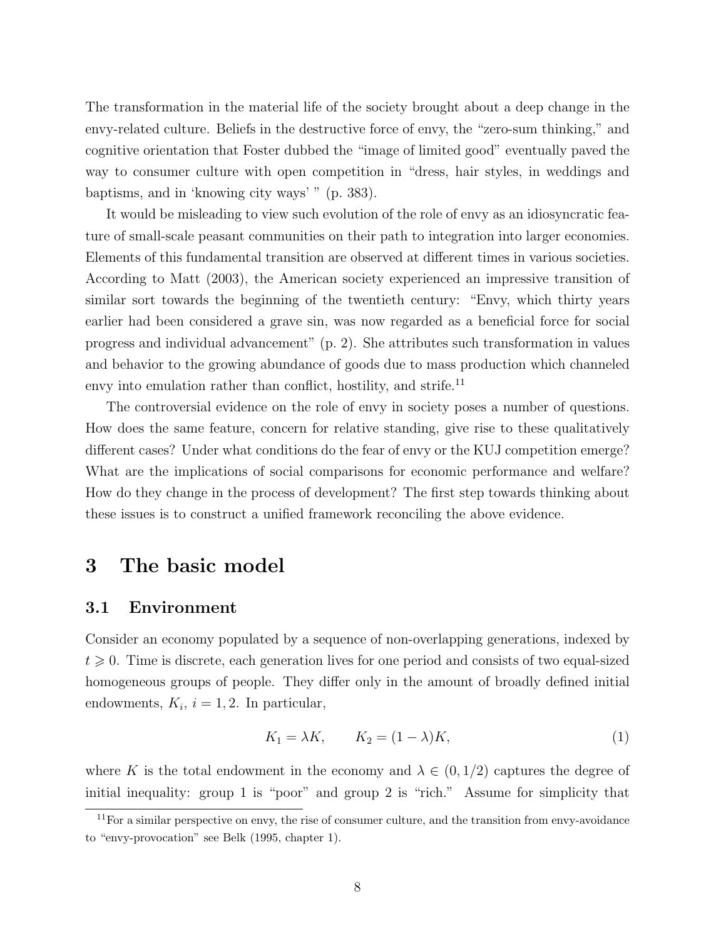The transformation in the material life of the society brought about a deep change in the envy-related culture. Beliefs in the destructive force of envy, the "zero-sum thinking," and cognitive orientation that Foster dubbed the "image of limited good" eventually paved the way to consumer culture with open competition in "dress, hair styles, in weddings and baptisms, and in 'knowing city ways' " (p. 383).

It would be misleading to view such evolution of the role of envy as an idiosyncratic feature of small-scale peasant communities on their path to integration into larger economies. Elements of this fundamental transition are observed at different times in various societies. According to Matt (2003), the American society experienced an impressive transition of similar sort towards the beginning of the twentieth century: "Envy, which thirty years earlier had been considered a grave sin, was now regarded as a beneficial force for social progress and individual advancement" (p. 2). She attributes such transformation in values and behavior to the growing abundance of goods due to mass production which channeled envy into emulation rather than conflict, hostility, and strife.<sup>[11](#page-8-1)</sup>

The controversial evidence on the role of envy in society poses a number of questions. How does the same feature, concern for relative standing, give rise to these qualitatively different cases? Under what conditions do the fear of envy or the KUJ competition emerge? What are the implications of social comparisons for economic performance and welfare? How do they change in the process of development? The first step towards thinking about these issues is to construct a unified framework reconciling the above evidence.

### <span id="page-8-0"></span>3 The basic model

#### 3.1 Environment

Consider an economy populated by a sequence of non-overlapping generations, indexed by  $t \geqslant 0$ . Time is discrete, each generation lives for one period and consists of two equal-sized homogeneous groups of people. They differ only in the amount of broadly defined initial endowments,  $K_i$ ,  $i = 1, 2$ . In particular,

$$
K_1 = \lambda K, \qquad K_2 = (1 - \lambda)K,\tag{1}
$$

where K is the total endowment in the economy and  $\lambda \in (0, 1/2)$  captures the degree of initial inequality: group 1 is "poor" and group 2 is "rich." Assume for simplicity that

<span id="page-8-1"></span> $11$  For a similar perspective on envy, the rise of consumer culture, and the transition from envy-avoidance to "envy-provocation" see Belk (1995, chapter 1).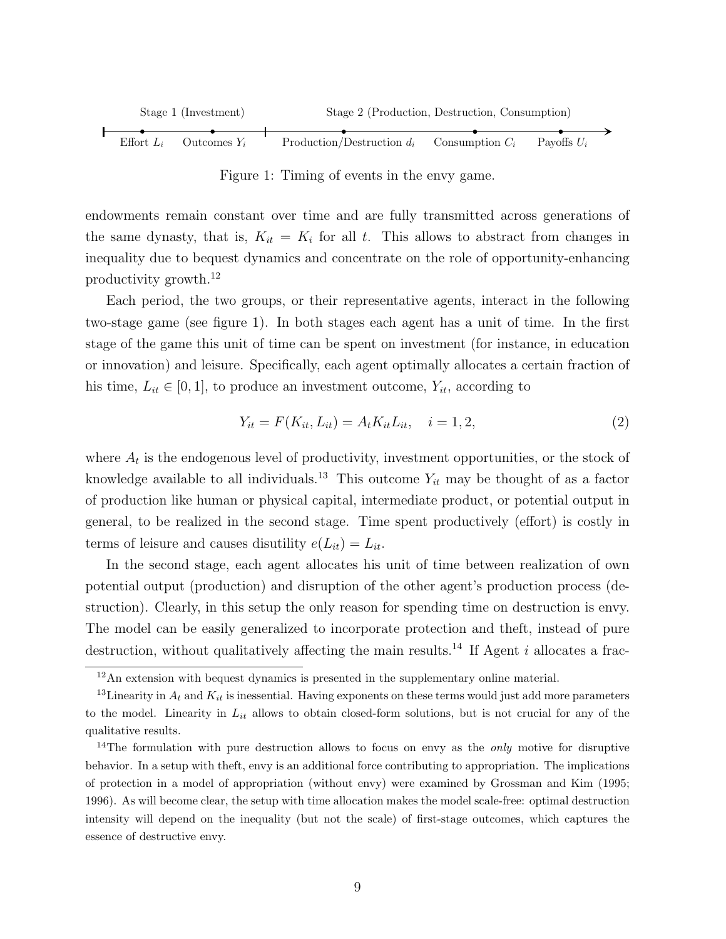<span id="page-9-1"></span>

Figure 1: Timing of events in the envy game.

endowments remain constant over time and are fully transmitted across generations of the same dynasty, that is,  $K_{it} = K_i$  for all t. This allows to abstract from changes in inequality due to bequest dynamics and concentrate on the role of opportunity-enhancing productivity growth.[12](#page-9-0)

Each period, the two groups, or their representative agents, interact in the following two-stage game (see figure [1\)](#page-9-1). In both stages each agent has a unit of time. In the first stage of the game this unit of time can be spent on investment (for instance, in education or innovation) and leisure. Specifically, each agent optimally allocates a certain fraction of his time,  $L_{it} \in [0, 1]$ , to produce an investment outcome,  $Y_{it}$ , according to

<span id="page-9-4"></span>
$$
Y_{it} = F(K_{it}, L_{it}) = A_t K_{it} L_{it}, \quad i = 1, 2,
$$
\n(2)

where  $A_t$  is the endogenous level of productivity, investment opportunities, or the stock of knowledge available to all individuals.<sup>[13](#page-9-2)</sup> This outcome  $Y_{it}$  may be thought of as a factor of production like human or physical capital, intermediate product, or potential output in general, to be realized in the second stage. Time spent productively (effort) is costly in terms of leisure and causes disutility  $e(L_{it}) = L_{it}$ .

In the second stage, each agent allocates his unit of time between realization of own potential output (production) and disruption of the other agent's production process (destruction). Clearly, in this setup the only reason for spending time on destruction is envy. The model can be easily generalized to incorporate protection and theft, instead of pure destruction, without qualitatively affecting the main results.<sup>[14](#page-9-3)</sup> If Agent  $i$  allocates a frac-

<span id="page-9-2"></span><span id="page-9-0"></span><sup>&</sup>lt;sup>12</sup>An extension with bequest dynamics is presented in the supplementary online material.

<sup>&</sup>lt;sup>13</sup>Linearity in  $A_t$  and  $K_{it}$  is inessential. Having exponents on these terms would just add more parameters to the model. Linearity in  $L_{it}$  allows to obtain closed-form solutions, but is not crucial for any of the qualitative results.

<span id="page-9-3"></span><sup>&</sup>lt;sup>14</sup>The formulation with pure destruction allows to focus on envy as the *only* motive for disruptive behavior. In a setup with theft, envy is an additional force contributing to appropriation. The implications of protection in a model of appropriation (without envy) were examined by Grossman and Kim (1995; 1996). As will become clear, the setup with time allocation makes the model scale-free: optimal destruction intensity will depend on the inequality (but not the scale) of first-stage outcomes, which captures the essence of destructive envy.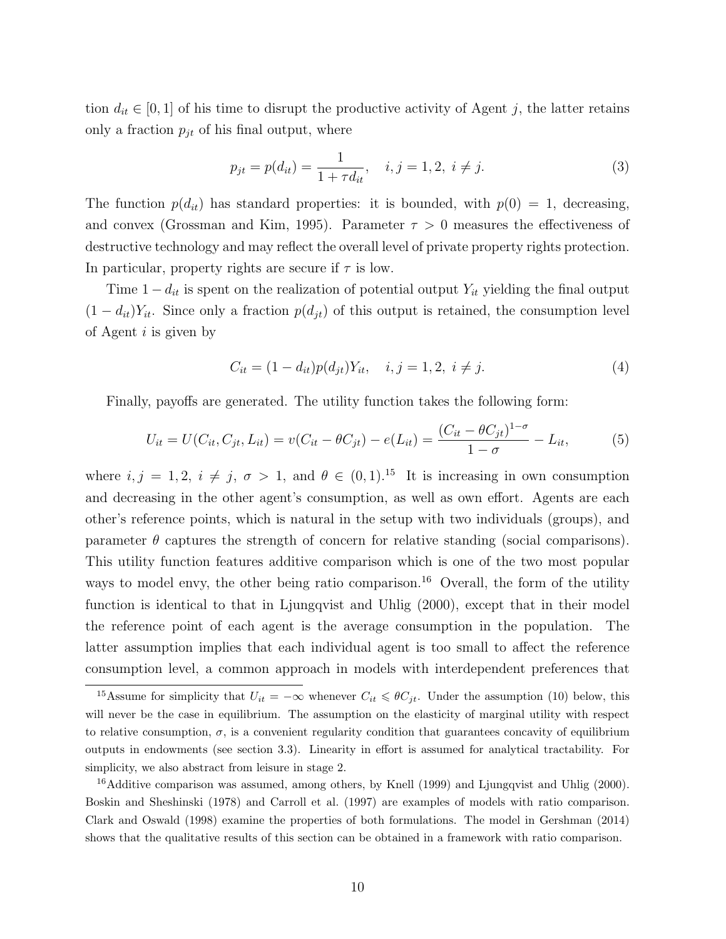tion  $d_{it} \in [0, 1]$  of his time to disrupt the productive activity of Agent j, the latter retains only a fraction  $p_{it}$  of his final output, where

$$
p_{jt} = p(d_{it}) = \frac{1}{1 + \tau d_{it}}, \quad i, j = 1, 2, \ i \neq j.
$$
 (3)

The function  $p(d_{it})$  has standard properties: it is bounded, with  $p(0) = 1$ , decreasing, and convex (Grossman and Kim, 1995). Parameter  $\tau > 0$  measures the effectiveness of destructive technology and may reflect the overall level of private property rights protection. In particular, property rights are secure if  $\tau$  is low.

Time  $1 - d_{it}$  is spent on the realization of potential output  $Y_{it}$  yielding the final output  $(1 - d_{it})Y_{it}$ . Since only a fraction  $p(d_{jt})$  of this output is retained, the consumption level of Agent  $i$  is given by

$$
C_{it} = (1 - d_{it})p(d_{jt})Y_{it}, \quad i, j = 1, 2, i \neq j.
$$
\n
$$
(4)
$$

Finally, payoffs are generated. The utility function takes the following form:

<span id="page-10-2"></span>
$$
U_{it} = U(C_{it}, C_{jt}, L_{it}) = v(C_{it} - \theta C_{jt}) - e(L_{it}) = \frac{(C_{it} - \theta C_{jt})^{1-\sigma}}{1-\sigma} - L_{it},
$$
(5)

where  $i, j = 1, 2, i \neq j, \sigma > 1$ , and  $\theta \in (0, 1)$ .<sup>[15](#page-10-0)</sup> It is increasing in own consumption and decreasing in the other agent's consumption, as well as own effort. Agents are each other's reference points, which is natural in the setup with two individuals (groups), and parameter  $\theta$  captures the strength of concern for relative standing (social comparisons). This utility function features additive comparison which is one of the two most popular ways to model envy, the other being ratio comparison.<sup>[16](#page-10-1)</sup> Overall, the form of the utility function is identical to that in Ljungqvist and Uhlig (2000), except that in their model the reference point of each agent is the average consumption in the population. The latter assumption implies that each individual agent is too small to affect the reference consumption level, a common approach in models with interdependent preferences that

<span id="page-10-0"></span><sup>&</sup>lt;sup>15</sup>Assume for simplicity that  $U_{it} = -\infty$  whenever  $C_{it} \leq \theta C_{jt}$ . Under the assumption [\(10\)](#page-13-0) below, this will never be the case in equilibrium. The assumption on the elasticity of marginal utility with respect to relative consumption,  $\sigma$ , is a convenient regularity condition that guarantees concavity of equilibrium outputs in endowments (see section [3.3\)](#page-22-0). Linearity in effort is assumed for analytical tractability. For simplicity, we also abstract from leisure in stage 2.

<span id="page-10-1"></span><sup>&</sup>lt;sup>16</sup>Additive comparison was assumed, among others, by Knell (1999) and Ljungqvist and Uhlig (2000). Boskin and Sheshinski (1978) and Carroll et al. (1997) are examples of models with ratio comparison. Clark and Oswald (1998) examine the properties of both formulations. The model in Gershman (2014) shows that the qualitative results of this section can be obtained in a framework with ratio comparison.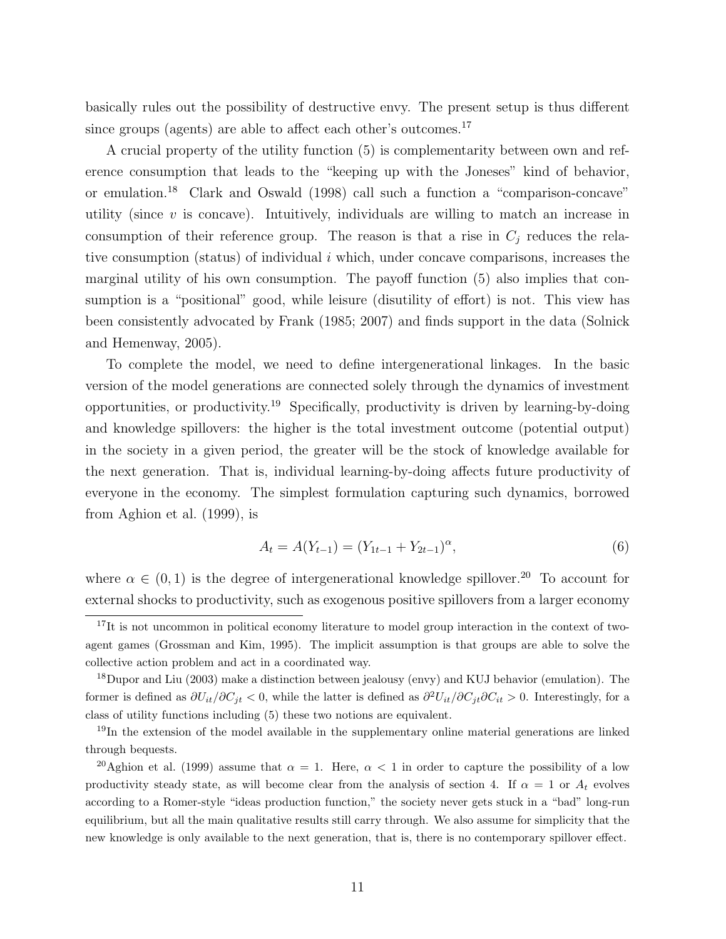basically rules out the possibility of destructive envy. The present setup is thus different since groups (agents) are able to affect each other's outcomes.<sup>[17](#page-11-0)</sup>

A crucial property of the utility function [\(5\)](#page-10-2) is complementarity between own and reference consumption that leads to the "keeping up with the Joneses" kind of behavior, or emulation.[18](#page-11-1) Clark and Oswald (1998) call such a function a "comparison-concave" utility (since  $v$  is concave). Intuitively, individuals are willing to match an increase in consumption of their reference group. The reason is that a rise in  $C_j$  reduces the relative consumption (status) of individual  $i$  which, under concave comparisons, increases the marginal utility of his own consumption. The payoff function [\(5\)](#page-10-2) also implies that consumption is a "positional" good, while leisure (disutility of effort) is not. This view has been consistently advocated by Frank (1985; 2007) and finds support in the data (Solnick and Hemenway, 2005).

To complete the model, we need to define intergenerational linkages. In the basic version of the model generations are connected solely through the dynamics of investment opportunities, or productivity.[19](#page-11-2) Specifically, productivity is driven by learning-by-doing and knowledge spillovers: the higher is the total investment outcome (potential output) in the society in a given period, the greater will be the stock of knowledge available for the next generation. That is, individual learning-by-doing affects future productivity of everyone in the economy. The simplest formulation capturing such dynamics, borrowed from Aghion et al. (1999), is

<span id="page-11-4"></span>
$$
A_t = A(Y_{t-1}) = (Y_{1t-1} + Y_{2t-1})^{\alpha},\tag{6}
$$

where  $\alpha \in (0,1)$  is the degree of intergenerational knowledge spillover.<sup>[20](#page-11-3)</sup> To account for external shocks to productivity, such as exogenous positive spillovers from a larger economy

<span id="page-11-0"></span><sup>&</sup>lt;sup>17</sup>It is not uncommon in political economy literature to model group interaction in the context of twoagent games (Grossman and Kim, 1995). The implicit assumption is that groups are able to solve the collective action problem and act in a coordinated way.

<span id="page-11-1"></span> $^{18}$ Dupor and Liu (2003) make a distinction between jealousy (envy) and KUJ behavior (emulation). The former is defined as  $\partial U_{it}/\partial C_{jt} < 0$ , while the latter is defined as  $\partial^2 U_{it}/\partial C_{jt}\partial C_{it} > 0$ . Interestingly, for a class of utility functions including [\(5\)](#page-10-2) these two notions are equivalent.

<span id="page-11-2"></span><sup>&</sup>lt;sup>19</sup>In the extension of the model available in the supplementary online material generations are linked through bequests.

<span id="page-11-3"></span><sup>&</sup>lt;sup>20</sup>Aghion et al. (1999) assume that  $\alpha = 1$ . Here,  $\alpha < 1$  in order to capture the possibility of a low productivity steady state, as will become clear from the analysis of section [4.](#page-25-0) If  $\alpha = 1$  or  $A_t$  evolves according to a Romer-style "ideas production function," the society never gets stuck in a "bad" long-run equilibrium, but all the main qualitative results still carry through. We also assume for simplicity that the new knowledge is only available to the next generation, that is, there is no contemporary spillover effect.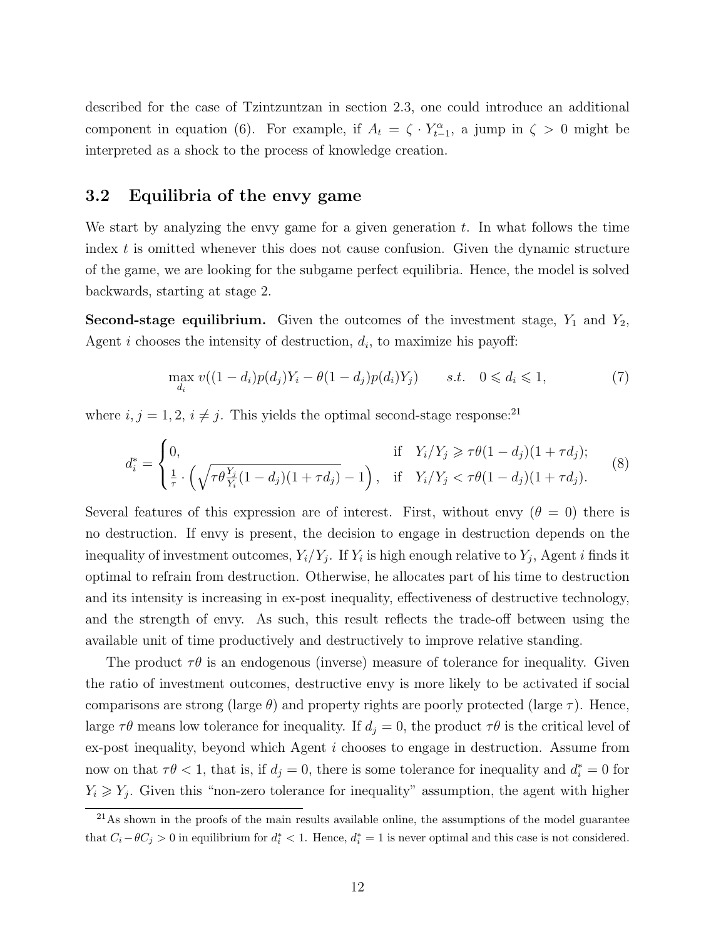described for the case of Tzintzuntzan in section [2.3,](#page-6-1) one could introduce an additional component in equation [\(6\)](#page-11-4). For example, if  $A_t = \zeta \cdot Y_{t-1}^{\alpha}$ , a jump in  $\zeta > 0$  might be interpreted as a shock to the process of knowledge creation.

#### 3.2 Equilibria of the envy game

We start by analyzing the envy game for a given generation  $t$ . In what follows the time index  $t$  is omitted whenever this does not cause confusion. Given the dynamic structure of the game, we are looking for the subgame perfect equilibria. Hence, the model is solved backwards, starting at stage 2.

**Second-stage equilibrium.** Given the outcomes of the investment stage,  $Y_1$  and  $Y_2$ , Agent *i* chooses the intensity of destruction,  $d_i$ , to maximize his payoff:

$$
\max_{d_i} v((1-d_i)p(d_j)Y_i - \theta(1-d_j)p(d_i)Y_j) \qquad s.t. \quad 0 \leq d_i \leq 1,
$$
\n<sup>(7)</sup>

where  $i, j = 1, 2, i \neq j$ . This yields the optimal second-stage response:<sup>[21](#page-12-0)</sup>

<span id="page-12-1"></span>
$$
d_i^* = \begin{cases} 0, & \text{if } Y_i/Y_j \geqslant \tau \theta (1 - d_j)(1 + \tau d_j); \\ \frac{1}{\tau} \cdot \left( \sqrt{\tau \theta \frac{Y_j}{Y_i} (1 - d_j)(1 + \tau d_j)} - 1 \right), & \text{if } Y_i/Y_j < \tau \theta (1 - d_j)(1 + \tau d_j). \end{cases} \tag{8}
$$

Several features of this expression are of interest. First, without envy  $(\theta = 0)$  there is no destruction. If envy is present, the decision to engage in destruction depends on the inequality of investment outcomes,  $Y_i/Y_j$ . If  $Y_i$  is high enough relative to  $Y_j$ , Agent *i* finds it optimal to refrain from destruction. Otherwise, he allocates part of his time to destruction and its intensity is increasing in ex-post inequality, effectiveness of destructive technology, and the strength of envy. As such, this result reflects the trade-off between using the available unit of time productively and destructively to improve relative standing.

The product  $\tau\theta$  is an endogenous (inverse) measure of tolerance for inequality. Given the ratio of investment outcomes, destructive envy is more likely to be activated if social comparisons are strong (large  $\theta$ ) and property rights are poorly protected (large  $\tau$ ). Hence, large  $\tau\theta$  means low tolerance for inequality. If  $d_j = 0$ , the product  $\tau\theta$  is the critical level of ex-post inequality, beyond which Agent i chooses to engage in destruction. Assume from now on that  $\tau \theta < 1$ , that is, if  $d_j = 0$ , there is some tolerance for inequality and  $d_i^* = 0$  for  $Y_i \geq Y_j$ . Given this "non-zero tolerance for inequality" assumption, the agent with higher

<span id="page-12-0"></span> $21\text{As}$  shown in the proofs of the main results available online, the assumptions of the model guarantee that  $C_i - \theta C_j > 0$  in equilibrium for  $d_i^* < 1$ . Hence,  $d_i^* = 1$  is never optimal and this case is not considered.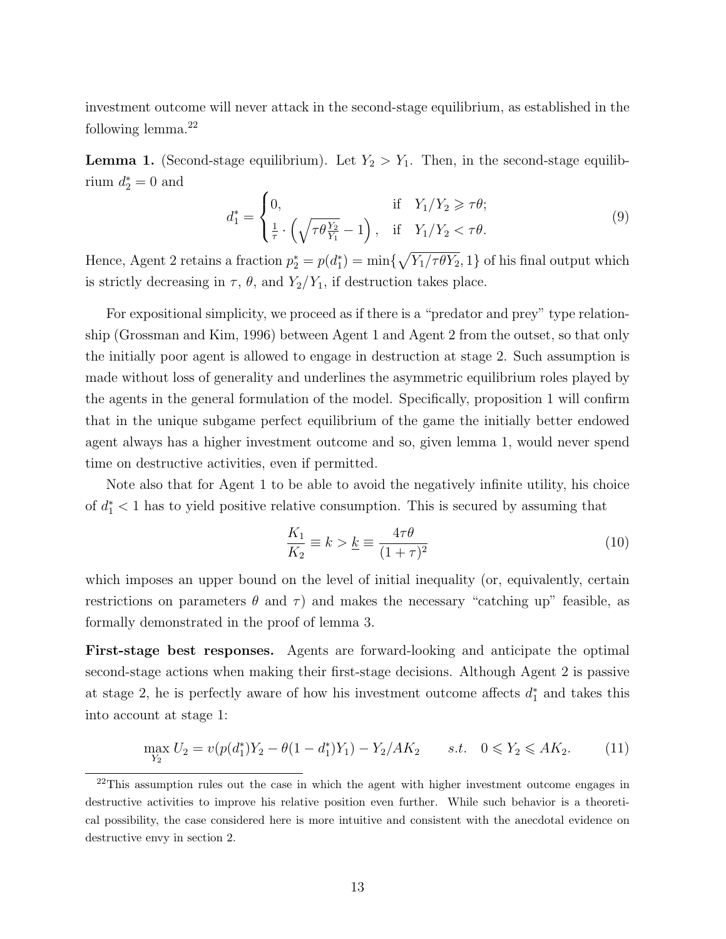investment outcome will never attack in the second-stage equilibrium, as established in the following lemma.[22](#page-13-1)

<span id="page-13-2"></span>**Lemma 1.** (Second-stage equilibrium). Let  $Y_2 > Y_1$ . Then, in the second-stage equilibrium  $d_2^* = 0$  and

<span id="page-13-4"></span>
$$
d_1^* = \begin{cases} 0, & \text{if } Y_1/Y_2 \geqslant \tau \theta; \\ \frac{1}{\tau} \cdot \left( \sqrt{\tau \theta \frac{Y_2}{Y_1}} - 1 \right), & \text{if } Y_1/Y_2 < \tau \theta. \end{cases} \tag{9}
$$

Hence, Agent 2 retains a fraction  $p_2^* = p(d_1^*) = \min\{\sqrt{Y_1/\tau\theta Y_2}, 1\}$  of his final output which is strictly decreasing in  $\tau$ ,  $\theta$ , and  $Y_2/Y_1$ , if destruction takes place.

For expositional simplicity, we proceed as if there is a "predator and prey" type relationship (Grossman and Kim, 1996) between Agent 1 and Agent 2 from the outset, so that only the initially poor agent is allowed to engage in destruction at stage 2. Such assumption is made without loss of generality and underlines the asymmetric equilibrium roles played by the agents in the general formulation of the model. Specifically, proposition [1](#page-18-0) will confirm that in the unique subgame perfect equilibrium of the game the initially better endowed agent always has a higher investment outcome and so, given lemma [1,](#page-13-2) would never spend time on destructive activities, even if permitted.

Note also that for Agent 1 to be able to avoid the negatively infinite utility, his choice of  $d_1^*$  < 1 has to yield positive relative consumption. This is secured by assuming that

<span id="page-13-0"></span>
$$
\frac{K_1}{K_2} \equiv k > \underline{k} \equiv \frac{4\tau\theta}{(1+\tau)^2} \tag{10}
$$

which imposes an upper bound on the level of initial inequality (or, equivalently, certain restrictions on parameters  $\theta$  and  $\tau$ ) and makes the necessary "catching up" feasible, as formally demonstrated in the proof of lemma [3.](#page-16-0)

First-stage best responses. Agents are forward-looking and anticipate the optimal second-stage actions when making their first-stage decisions. Although Agent 2 is passive at stage 2, he is perfectly aware of how his investment outcome affects  $d_1^*$  and takes this into account at stage 1:

<span id="page-13-3"></span>
$$
\max_{Y_2} U_2 = v(p(d_1^*)Y_2 - \theta(1 - d_1^*)Y_1) - Y_2/AK_2 \qquad s.t. \quad 0 \le Y_2 \le AK_2. \tag{11}
$$

<span id="page-13-1"></span><sup>&</sup>lt;sup>22</sup>This assumption rules out the case in which the agent with higher investment outcome engages in destructive activities to improve his relative position even further. While such behavior is a theoretical possibility, the case considered here is more intuitive and consistent with the anecdotal evidence on destructive envy in section [2.](#page-4-0)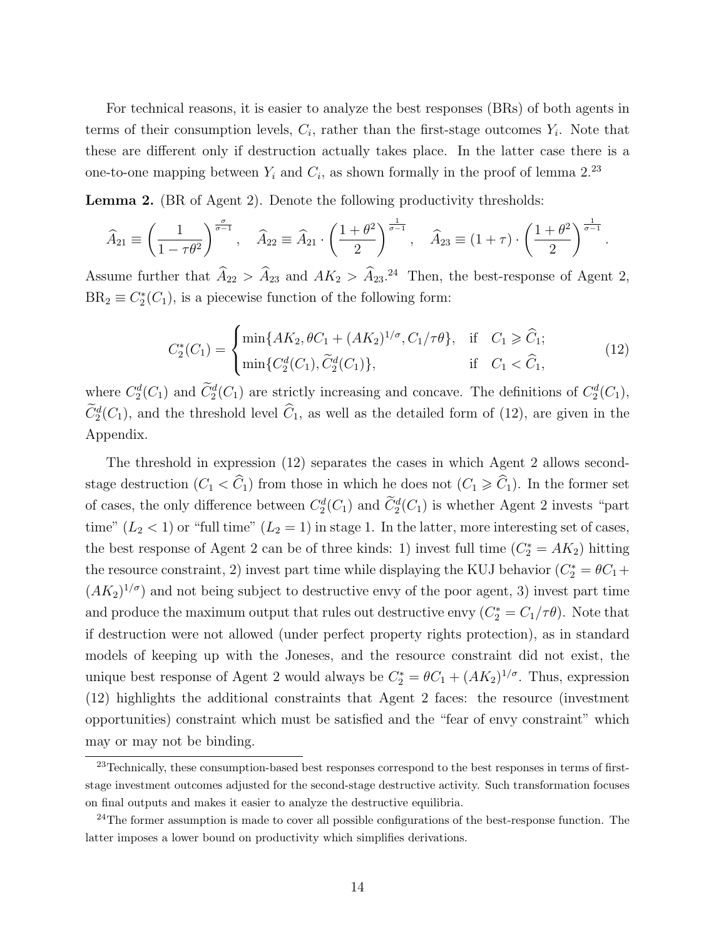For technical reasons, it is easier to analyze the best responses (BRs) of both agents in terms of their consumption levels,  $C_i$ , rather than the first-stage outcomes  $Y_i$ . Note that these are different only if destruction actually takes place. In the latter case there is a one-to-one mapping between  $Y_i$  and  $C_i$ , as shown formally in the proof of lemma [2.](#page-14-0)<sup>[23](#page-14-1)</sup>

<span id="page-14-0"></span>Lemma 2. (BR of Agent 2). Denote the following productivity thresholds:

$$
\widehat{A}_{21} \equiv \left(\frac{1}{1-\tau\theta^2}\right)^{\frac{\sigma}{\sigma-1}}, \quad \widehat{A}_{22} \equiv \widehat{A}_{21} \cdot \left(\frac{1+\theta^2}{2}\right)^{\frac{1}{\sigma-1}}, \quad \widehat{A}_{23} \equiv (1+\tau) \cdot \left(\frac{1+\theta^2}{2}\right)^{\frac{1}{\sigma-1}}
$$

Assume further that  $\hat{A}_{22} > \hat{A}_{23}$  and  $AK_2 > \hat{A}_{23}.<sup>24</sup>$  $AK_2 > \hat{A}_{23}.<sup>24</sup>$  $AK_2 > \hat{A}_{23}.<sup>24</sup>$  Then, the best-response of Agent 2,  $BR_2 \equiv C_2^*(C_1)$ , is a piecewise function of the following form:

<span id="page-14-3"></span>
$$
C_2^*(C_1) = \begin{cases} \min\{AK_2, \theta C_1 + (AK_2)^{1/\sigma}, C_1/\tau\theta\}, & \text{if } C_1 \ge \widehat{C}_1; \\ \min\{C_2^d(C_1), \widetilde{C}_2^d(C_1)\}, & \text{if } C_1 < \widehat{C}_1, \end{cases}
$$
(12)

.

where  $C_2^d(C_1)$  and  $\tilde{C}_2^d(C_1)$  are strictly increasing and concave. The definitions of  $C_2^d(C_1)$ ,  $\tilde{C}_2^d(C_1)$ , and the threshold level  $\tilde{C}_1$ , as well as the detailed form of [\(12\)](#page-14-3), are given in the Appendix.

The threshold in expression [\(12\)](#page-14-3) separates the cases in which Agent 2 allows secondstage destruction  $(C_1 < \widehat{C}_1)$  from those in which he does not  $(C_1 \ge \widehat{C}_1)$ . In the former set of cases, the only difference between  $C_2^d(C_1)$  and  $C_2^d(C_1)$  is whether Agent 2 invests "part time"  $(L_2 < 1)$  or "full time"  $(L_2 = 1)$  in stage 1. In the latter, more interesting set of cases, the best response of Agent 2 can be of three kinds: 1) invest full time  $(C_2^* = AK_2)$  hitting the resource constraint, 2) invest part time while displaying the KUJ behavior  $(C_2^* = \theta C_1 +$  $(AK_2)^{1/\sigma}$  and not being subject to destructive envy of the poor agent, 3) invest part time and produce the maximum output that rules out destructive envy  $(C_2^* = C_1/\tau \theta)$ . Note that if destruction were not allowed (under perfect property rights protection), as in standard models of keeping up with the Joneses, and the resource constraint did not exist, the unique best response of Agent 2 would always be  $C_2^* = \theta C_1 + (AK_2)^{1/\sigma}$ . Thus, expression [\(12\)](#page-14-3) highlights the additional constraints that Agent 2 faces: the resource (investment opportunities) constraint which must be satisfied and the "fear of envy constraint" which may or may not be binding.

<span id="page-14-1"></span><sup>&</sup>lt;sup>23</sup>Technically, these consumption-based best responses correspond to the best responses in terms of firststage investment outcomes adjusted for the second-stage destructive activity. Such transformation focuses on final outputs and makes it easier to analyze the destructive equilibria.

<span id="page-14-2"></span> $^{24}$ The former assumption is made to cover all possible configurations of the best-response function. The latter imposes a lower bound on productivity which simplifies derivations.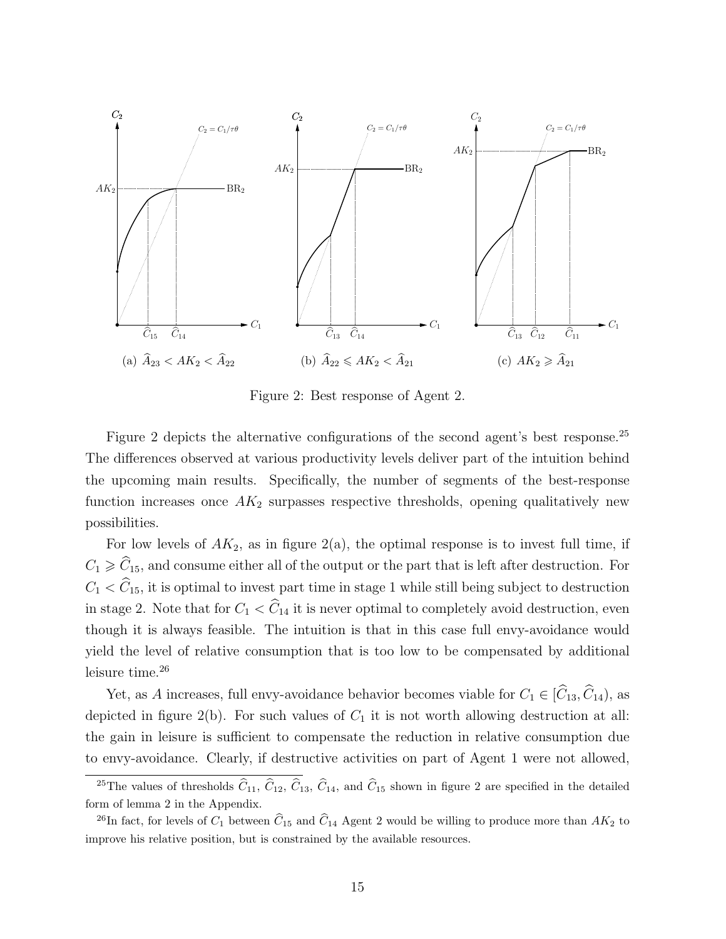<span id="page-15-2"></span><span id="page-15-0"></span>

<span id="page-15-5"></span><span id="page-15-4"></span>Figure 2: Best response of Agent 2.

Figure [2](#page-15-0) depicts the alternative configurations of the second agent's best response.[25](#page-15-1) The differences observed at various productivity levels deliver part of the intuition behind the upcoming main results. Specifically, the number of segments of the best-response function increases once  $AK_2$  surpasses respective thresholds, opening qualitatively new possibilities.

For low levels of  $AK_2$ , as in figure  $2(a)$ , the optimal response is to invest full time, if  $C_1 \geqslant \widehat{C}_{15}$ , and consume either all of the output or the part that is left after destruction. For  $C_1 < \widehat{C}_{15}$ , it is optimal to invest part time in stage 1 while still being subject to destruction in stage 2. Note that for  $C_1 < \widehat{C}_{14}$  it is never optimal to completely avoid destruction, even though it is always feasible. The intuition is that in this case full envy-avoidance would yield the level of relative consumption that is too low to be compensated by additional leisure time.[26](#page-15-3)

Yet, as A increases, full envy-avoidance behavior becomes viable for  $C_1 \in [\widehat{C}_{13}, \widehat{C}_{14}),$  as depicted in figure [2\(b\).](#page-15-4) For such values of  $C_1$  it is not worth allowing destruction at all: the gain in leisure is sufficient to compensate the reduction in relative consumption due to envy-avoidance. Clearly, if destructive activities on part of Agent 1 were not allowed,

<span id="page-15-1"></span><sup>&</sup>lt;sup>25</sup>The values of thresholds  $\widehat{C}_{11}$ ,  $\widehat{C}_{12}$ ,  $\widehat{C}_{13}$ ,  $\widehat{C}_{14}$ , and  $\widehat{C}_{15}$  shown in figure [2](#page-15-0) are specified in the detailed form of lemma [2](#page-14-0) in the Appendix.

<span id="page-15-3"></span><sup>&</sup>lt;sup>26</sup>In fact, for levels of  $C_1$  between  $\hat{C}_{15}$  and  $\hat{C}_{14}$  Agent 2 would be willing to produce more than  $AK_2$  to improve his relative position, but is constrained by the available resources.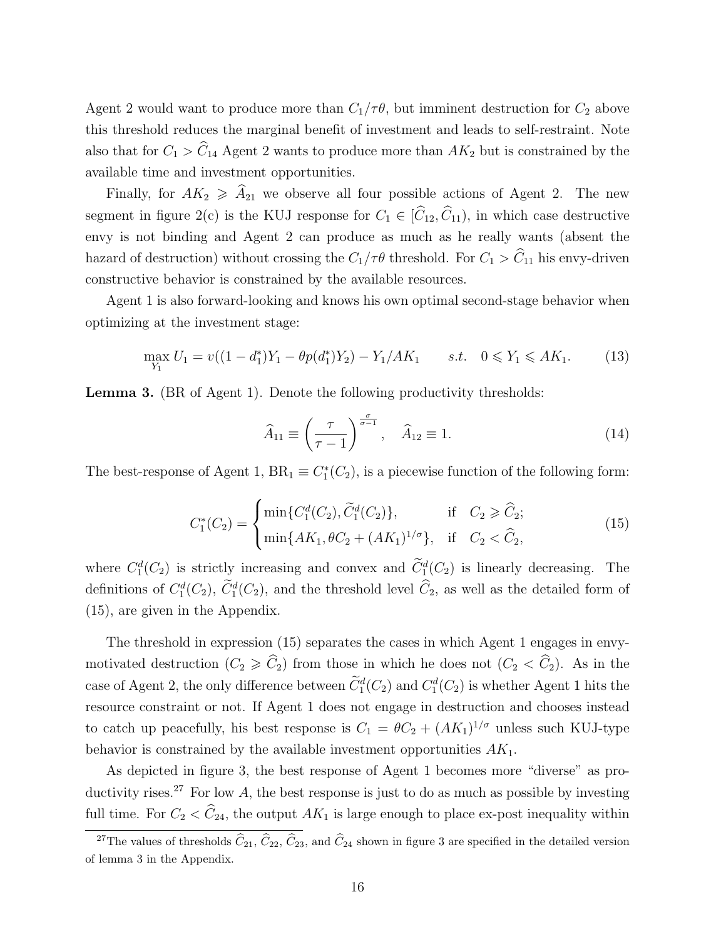Agent 2 would want to produce more than  $C_1/\tau\theta$ , but imminent destruction for  $C_2$  above this threshold reduces the marginal benefit of investment and leads to self-restraint. Note also that for  $C_1 > \widehat{C}_{14}$  Agent 2 wants to produce more than  $AK_2$  but is constrained by the available time and investment opportunities.

Finally, for  $AK_2 \geq \hat{A}_{21}$  we observe all four possible actions of Agent 2. The new segment in figure [2\(c\)](#page-15-5) is the KUJ response for  $C_1 \in [\widehat{C}_{12}, \widehat{C}_{11}),$  in which case destructive envy is not binding and Agent 2 can produce as much as he really wants (absent the hazard of destruction) without crossing the  $C_1/\tau\theta$  threshold. For  $C_1 > \widehat{C}_{11}$  his envy-driven constructive behavior is constrained by the available resources.

Agent 1 is also forward-looking and knows his own optimal second-stage behavior when optimizing at the investment stage:

<span id="page-16-3"></span>
$$
\max_{Y_1} U_1 = v((1 - d_1^*)Y_1 - \theta p(d_1^*)Y_2) - Y_1/AK_1 \qquad s.t. \quad 0 \le Y_1 \le AK_1. \tag{13}
$$

<span id="page-16-0"></span>Lemma 3. (BR of Agent 1). Denote the following productivity thresholds:

$$
\widehat{A}_{11} \equiv \left(\frac{\tau}{\tau - 1}\right)^{\frac{\sigma}{\sigma - 1}}, \quad \widehat{A}_{12} \equiv 1. \tag{14}
$$

The best-response of Agent 1,  $BR_1 \equiv C_1^*(C_2)$ , is a piecewise function of the following form:

<span id="page-16-1"></span>
$$
C_1^*(C_2) = \begin{cases} \min\{C_1^d(C_2), \widetilde{C}_1^d(C_2)\}, & \text{if } C_2 \ge \widehat{C}_2; \\ \min\{AK_1, \theta C_2 + (AK_1)^{1/\sigma}\}, & \text{if } C_2 < \widehat{C}_2, \end{cases}
$$
(15)

where  $C_1^d(C_2)$  is strictly increasing and convex and  $C_1^d(C_2)$  is linearly decreasing. The definitions of  $C_1^d(C_2)$ ,  $\tilde{C}_1^d(C_2)$ , and the threshold level  $\tilde{C}_2$ , as well as the detailed form of [\(15\)](#page-16-1), are given in the Appendix.

The threshold in expression [\(15\)](#page-16-1) separates the cases in which Agent 1 engages in envymotivated destruction  $(C_2 \geq \widehat{C}_2)$  from those in which he does not  $(C_2 < \widehat{C}_2)$ . As in the case of Agent 2, the only difference between  $\tilde{C}_1^d(C_2)$  and  $C_1^d(C_2)$  is whether Agent 1 hits the resource constraint or not. If Agent 1 does not engage in destruction and chooses instead to catch up peacefully, his best response is  $C_1 = \theta C_2 + (AK_1)^{1/\sigma}$  unless such KUJ-type behavior is constrained by the available investment opportunities  $AK_1$ .

As depicted in figure [3,](#page-17-0) the best response of Agent 1 becomes more "diverse" as pro-ductivity rises.<sup>[27](#page-16-2)</sup> For low A, the best response is just to do as much as possible by investing full time. For  $C_2 < \widehat{C}_{24}$ , the output  $AK_1$  is large enough to place ex-post inequality within

<span id="page-16-2"></span><sup>&</sup>lt;sup>27</sup>The values of thresholds  $\hat{C}_{21}$ ,  $\hat{C}_{22}$ ,  $\hat{C}_{23}$ , and  $\hat{C}_{24}$  shown in figure [3](#page-17-0) are specified in the detailed version of lemma [3](#page-16-0) in the Appendix.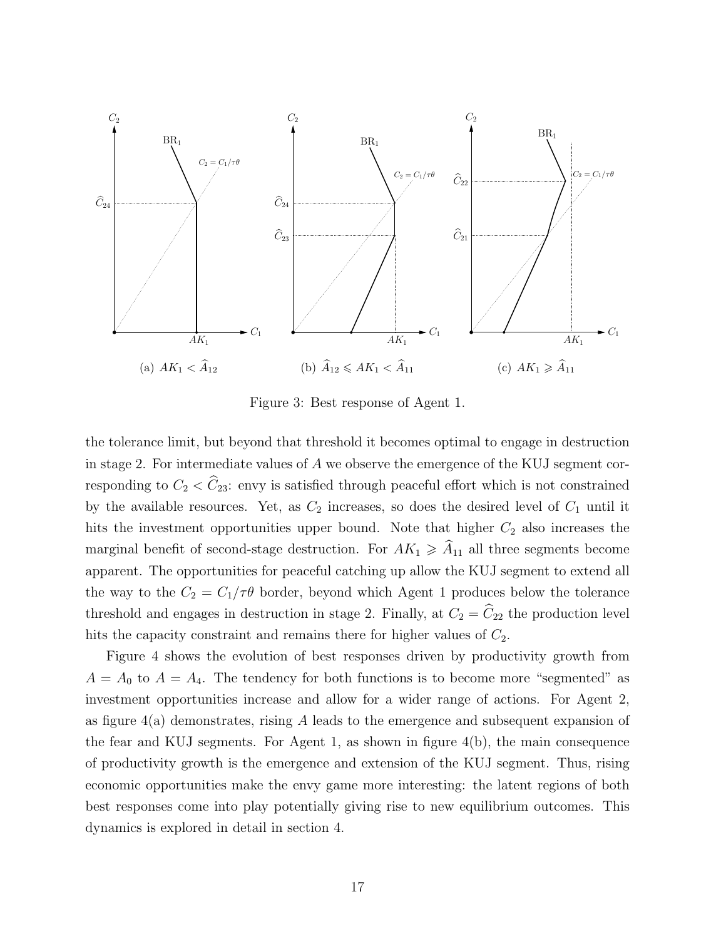<span id="page-17-0"></span>

Figure 3: Best response of Agent 1.

the tolerance limit, but beyond that threshold it becomes optimal to engage in destruction in stage 2. For intermediate values of A we observe the emergence of the KUJ segment corresponding to  $C_2 < \widehat{C}_{23}$ : envy is satisfied through peaceful effort which is not constrained by the available resources. Yet, as  $C_2$  increases, so does the desired level of  $C_1$  until it hits the investment opportunities upper bound. Note that higher  $C_2$  also increases the marginal benefit of second-stage destruction. For  $AK_1 \geq \widehat{A}_{11}$  all three segments become apparent. The opportunities for peaceful catching up allow the KUJ segment to extend all the way to the  $C_2 = C_1/\tau \theta$  border, beyond which Agent 1 produces below the tolerance threshold and engages in destruction in stage 2. Finally, at  $C_2 = \widehat{C}_{22}$  the production level hits the capacity constraint and remains there for higher values of  $C_2$ .

Figure [4](#page-19-0) shows the evolution of best responses driven by productivity growth from  $A = A_0$  to  $A = A_4$ . The tendency for both functions is to become more "segmented" as investment opportunities increase and allow for a wider range of actions. For Agent 2, as figure  $4(a)$  demonstrates, rising A leads to the emergence and subsequent expansion of the fear and KUJ segments. For Agent 1, as shown in figure [4\(b\),](#page-19-2) the main consequence of productivity growth is the emergence and extension of the KUJ segment. Thus, rising economic opportunities make the envy game more interesting: the latent regions of both best responses come into play potentially giving rise to new equilibrium outcomes. This dynamics is explored in detail in section [4.](#page-25-0)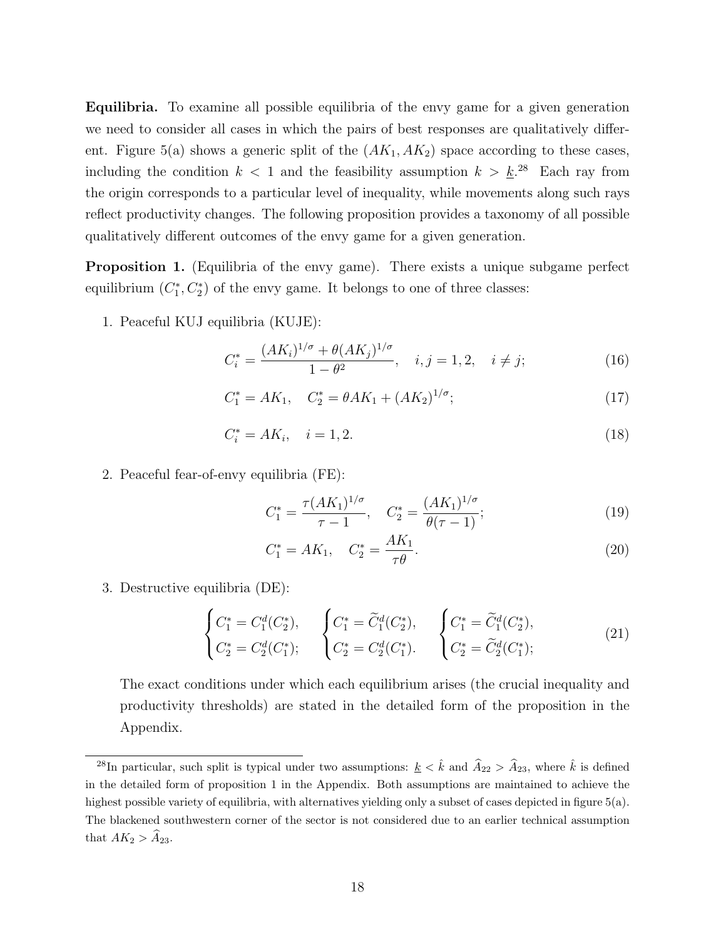Equilibria. To examine all possible equilibria of the envy game for a given generation we need to consider all cases in which the pairs of best responses are qualitatively differ-ent. Figure [5\(a\)](#page-19-3) shows a generic split of the  $(AK_1, AK_2)$  space according to these cases, including the condition  $k < 1$  and the feasibility assumption  $k > k^{28}$  $k > k^{28}$  $k > k^{28}$  Each ray from the origin corresponds to a particular level of inequality, while movements along such rays reflect productivity changes. The following proposition provides a taxonomy of all possible qualitatively different outcomes of the envy game for a given generation.

<span id="page-18-0"></span>Proposition 1. (Equilibria of the envy game). There exists a unique subgame perfect equilibrium  $(C_1^*, C_2^*)$  of the envy game. It belongs to one of three classes:

1. Peaceful KUJ equilibria (KUJE):

$$
C_i^* = \frac{(AK_i)^{1/\sigma} + \theta(AK_j)^{1/\sigma}}{1 - \theta^2}, \quad i, j = 1, 2, \quad i \neq j;
$$
 (16)

$$
C_1^* = AK_1, \quad C_2^* = \theta AK_1 + (AK_2)^{1/\sigma};\tag{17}
$$

$$
C_i^* = AK_i, \quad i = 1, 2. \tag{18}
$$

2. Peaceful fear-of-envy equilibria (FE):

<span id="page-18-5"></span><span id="page-18-4"></span><span id="page-18-3"></span><span id="page-18-2"></span>
$$
C_1^* = \frac{\tau(AK_1)^{1/\sigma}}{\tau - 1}, \quad C_2^* = \frac{(AK_1)^{1/\sigma}}{\theta(\tau - 1)};
$$
\n(19)

<span id="page-18-6"></span>
$$
C_1^* = AK_1, \quad C_2^* = \frac{AK_1}{\tau \theta}.
$$
\n(20)

3. Destructive equilibria (DE):

<span id="page-18-7"></span>
$$
\begin{cases}\nC_1^* = C_1^d(C_2^*), \\
C_2^* = C_2^d(C_1^*); \\
C_3^* = C_2^d(C_1^*).\n\end{cases}\n\begin{cases}\nC_1^* = \widetilde{C}_1^d(C_2^*), \\
C_2^* = C_2^d(C_1^*).\n\end{cases}\n\begin{cases}\nC_1^* = \widetilde{C}_1^d(C_2^*), \\
C_2^* = \widetilde{C}_2^d(C_1^*); \\
C_2^* = \widetilde{C}_2^d(C_1^*);\n\end{cases}
$$
\n(21)

The exact conditions under which each equilibrium arises (the crucial inequality and productivity thresholds) are stated in the detailed form of the proposition in the Appendix.

<span id="page-18-1"></span><sup>&</sup>lt;sup>28</sup>In particular, such split is typical under two assumptions:  $\underline{k} < \hat{k}$  and  $\widehat{A}_{22} > \widehat{A}_{23}$ , where  $\hat{k}$  is defined in the detailed form of proposition [1](#page-18-0) in the Appendix. Both assumptions are maintained to achieve the highest possible variety of equilibria, with alternatives yielding only a subset of cases depicted in figure [5\(a\).](#page-19-3) The blackened southwestern corner of the sector is not considered due to an earlier technical assumption that  $AK_2 > \widehat{A}_{23}$ .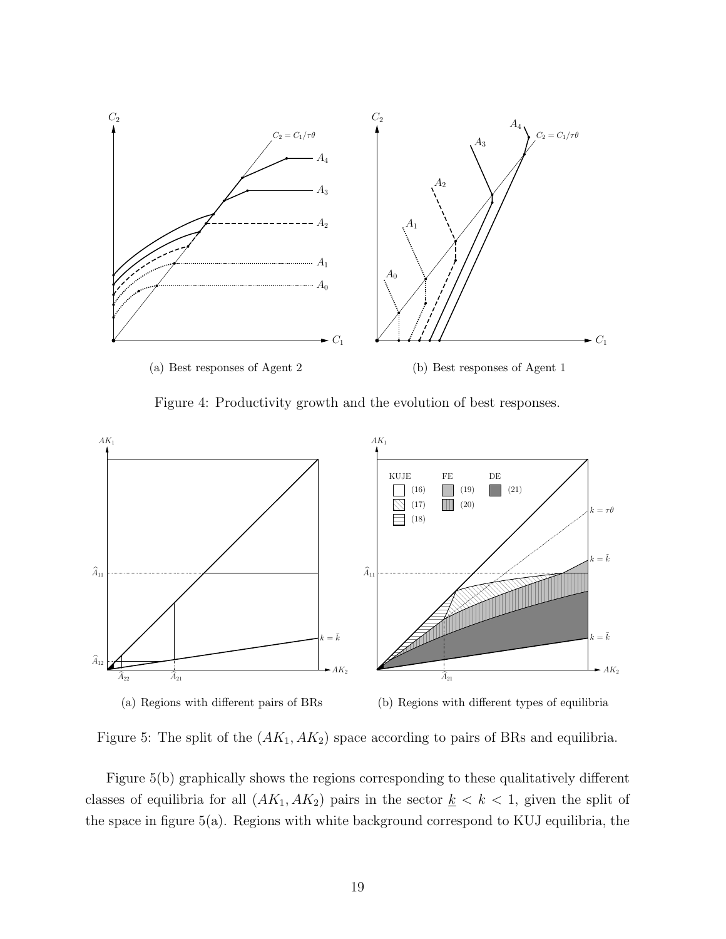<span id="page-19-1"></span><span id="page-19-0"></span>

<span id="page-19-2"></span>Figure 4: Productivity growth and the evolution of best responses.

<span id="page-19-3"></span>

(a) Regions with different pairs of BRs

<span id="page-19-4"></span>(b) Regions with different types of equilibria

Figure 5: The split of the  $(AK_1, AK_2)$  space according to pairs of BRs and equilibria.

Figure [5\(b\)](#page-19-4) graphically shows the regions corresponding to these qualitatively different classes of equilibria for all  $(AK_1, AK_2)$  pairs in the sector  $k < k < 1$ , given the split of the space in figure  $5(a)$ . Regions with white background correspond to KUJ equilibria, the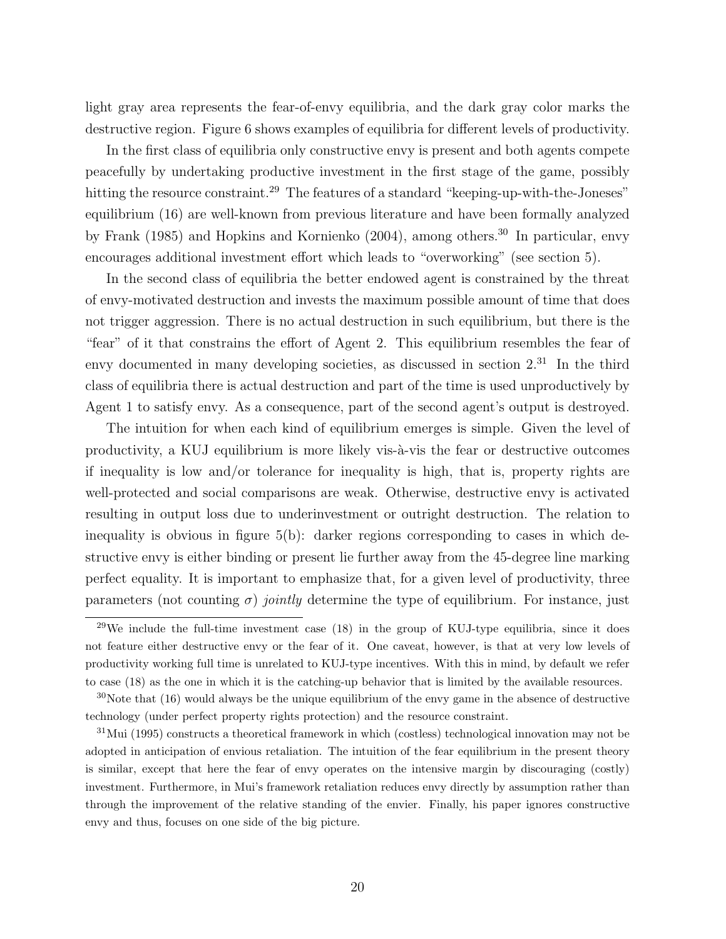light gray area represents the fear-of-envy equilibria, and the dark gray color marks the destructive region. Figure [6](#page-21-0) shows examples of equilibria for different levels of productivity.

In the first class of equilibria only constructive envy is present and both agents compete peacefully by undertaking productive investment in the first stage of the game, possibly hitting the resource constraint.<sup>[29](#page-20-0)</sup> The features of a standard "keeping-up-with-the-Joneses" equilibrium [\(16\)](#page-18-2) are well-known from previous literature and have been formally analyzed by Frank (1985) and Hopkins and Kornienko (2004), among others.<sup>[30](#page-20-1)</sup> In particular, envy encourages additional investment effort which leads to "overworking" (see section [5\)](#page-28-0).

In the second class of equilibria the better endowed agent is constrained by the threat of envy-motivated destruction and invests the maximum possible amount of time that does not trigger aggression. There is no actual destruction in such equilibrium, but there is the "fear" of it that constrains the effort of Agent 2. This equilibrium resembles the fear of envy documented in many developing societies, as discussed in section  $2^{31}$  $2^{31}$  $2^{31}$ . In the third class of equilibria there is actual destruction and part of the time is used unproductively by Agent 1 to satisfy envy. As a consequence, part of the second agent's output is destroyed.

The intuition for when each kind of equilibrium emerges is simple. Given the level of productivity, a KUJ equilibrium is more likely vis- $\lambda$ -vis the fear or destructive outcomes if inequality is low and/or tolerance for inequality is high, that is, property rights are well-protected and social comparisons are weak. Otherwise, destructive envy is activated resulting in output loss due to underinvestment or outright destruction. The relation to inequality is obvious in figure  $5(b)$ : darker regions corresponding to cases in which destructive envy is either binding or present lie further away from the 45-degree line marking perfect equality. It is important to emphasize that, for a given level of productivity, three parameters (not counting  $\sigma$ ) jointly determine the type of equilibrium. For instance, just

<span id="page-20-0"></span><sup>&</sup>lt;sup>29</sup>We include the full-time investment case [\(18\)](#page-18-3) in the group of KUJ-type equilibria, since it does not feature either destructive envy or the fear of it. One caveat, however, is that at very low levels of productivity working full time is unrelated to KUJ-type incentives. With this in mind, by default we refer to case [\(18\)](#page-18-3) as the one in which it is the catching-up behavior that is limited by the available resources.

<span id="page-20-1"></span> $30\,\text{Note that}$  [\(16\)](#page-18-2) would always be the unique equilibrium of the envy game in the absence of destructive technology (under perfect property rights protection) and the resource constraint.

<span id="page-20-2"></span><sup>&</sup>lt;sup>31</sup>Mui (1995) constructs a theoretical framework in which (costless) technological innovation may not be adopted in anticipation of envious retaliation. The intuition of the fear equilibrium in the present theory is similar, except that here the fear of envy operates on the intensive margin by discouraging (costly) investment. Furthermore, in Mui's framework retaliation reduces envy directly by assumption rather than through the improvement of the relative standing of the envier. Finally, his paper ignores constructive envy and thus, focuses on one side of the big picture.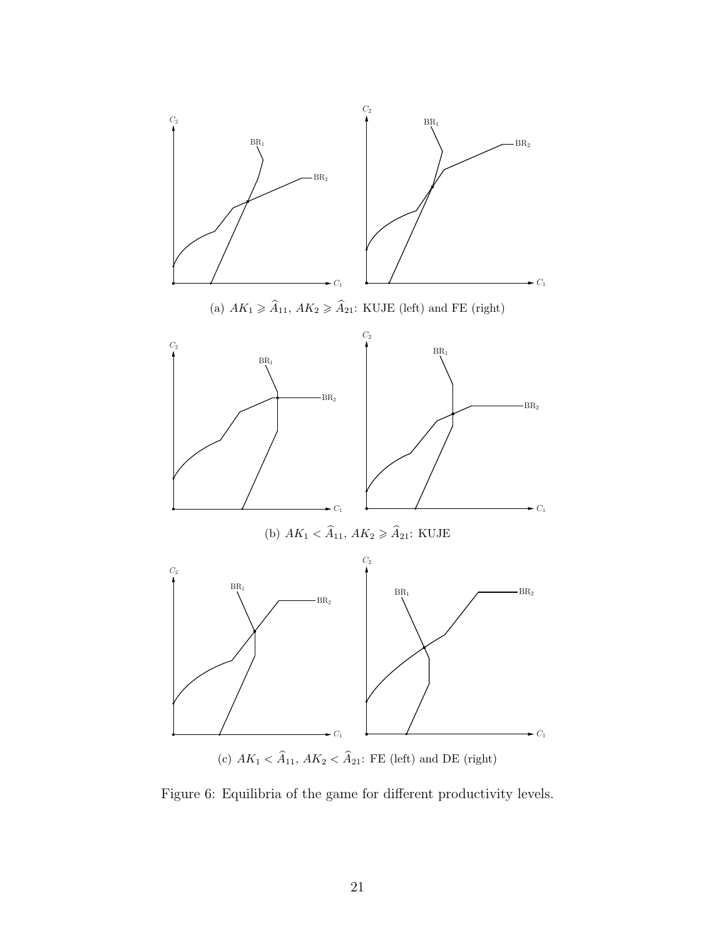<span id="page-21-1"></span><span id="page-21-0"></span>

(c)  $AK_1<\widehat{A}_{11},\, AK_2<\widehat{A}_{21}\text{: }{\rm \,FE}$  (left) and DE (right)

Figure 6: Equilibria of the game for different productivity levels.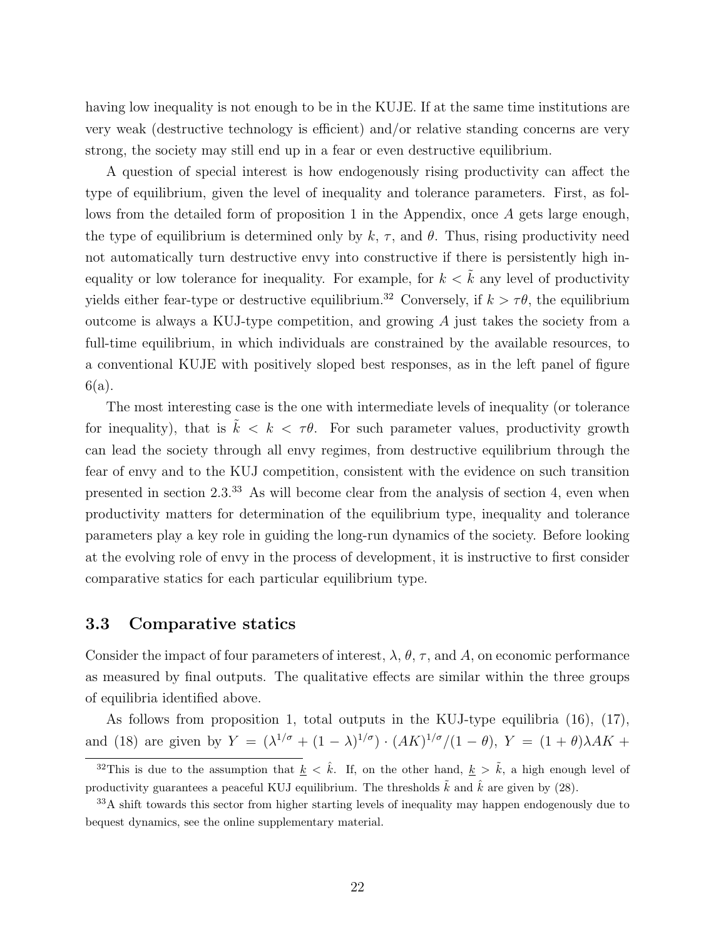having low inequality is not enough to be in the KUJE. If at the same time institutions are very weak (destructive technology is efficient) and/or relative standing concerns are very strong, the society may still end up in a fear or even destructive equilibrium.

A question of special interest is how endogenously rising productivity can affect the type of equilibrium, given the level of inequality and tolerance parameters. First, as fol-lows from the detailed form of proposition [1](#page-18-0) in the Appendix, once A gets large enough, the type of equilibrium is determined only by k,  $\tau$ , and  $\theta$ . Thus, rising productivity need not automatically turn destructive envy into constructive if there is persistently high inequality or low tolerance for inequality. For example, for  $k < \tilde{k}$  any level of productivity yields either fear-type or destructive equilibrium.<sup>[32](#page-22-1)</sup> Conversely, if  $k > \tau \theta$ , the equilibrium outcome is always a KUJ-type competition, and growing A just takes the society from a full-time equilibrium, in which individuals are constrained by the available resources, to a conventional KUJE with positively sloped best responses, as in the left panel of figure [6\(a\).](#page-21-1)

The most interesting case is the one with intermediate levels of inequality (or tolerance for inequality), that is  $\tilde{k} < k < \tau \theta$ . For such parameter values, productivity growth can lead the society through all envy regimes, from destructive equilibrium through the fear of envy and to the KUJ competition, consistent with the evidence on such transition presented in section  $2.3^{33}$  $2.3^{33}$  $2.3^{33}$  As will become clear from the analysis of section [4,](#page-25-0) even when productivity matters for determination of the equilibrium type, inequality and tolerance parameters play a key role in guiding the long-run dynamics of the society. Before looking at the evolving role of envy in the process of development, it is instructive to first consider comparative statics for each particular equilibrium type.

#### <span id="page-22-0"></span>3.3 Comparative statics

Consider the impact of four parameters of interest,  $\lambda$ ,  $\theta$ ,  $\tau$ , and A, on economic performance as measured by final outputs. The qualitative effects are similar within the three groups of equilibria identified above.

As follows from proposition [1,](#page-18-0) total outputs in the KUJ-type equilibria [\(16\)](#page-18-2), [\(17\)](#page-18-4), and [\(18\)](#page-18-3) are given by  $Y = (\lambda^{1/\sigma} + (1-\lambda)^{1/\sigma}) \cdot (AK)^{1/\sigma}/(1-\theta), Y = (1+\theta)\lambda AK +$ 

<span id="page-22-1"></span><sup>&</sup>lt;sup>32</sup>This is due to the assumption that  $\underline{k} < \hat{k}$ . If, on the other hand,  $\underline{k} > \tilde{k}$ , a high enough level of productivity guarantees a peaceful KUJ equilibrium. The thresholds  $\tilde{k}$  and  $\hat{k}$  are given by [\(28\)](#page-39-0).

<span id="page-22-2"></span><sup>&</sup>lt;sup>33</sup>A shift towards this sector from higher starting levels of inequality may happen endogenously due to bequest dynamics, see the online supplementary material.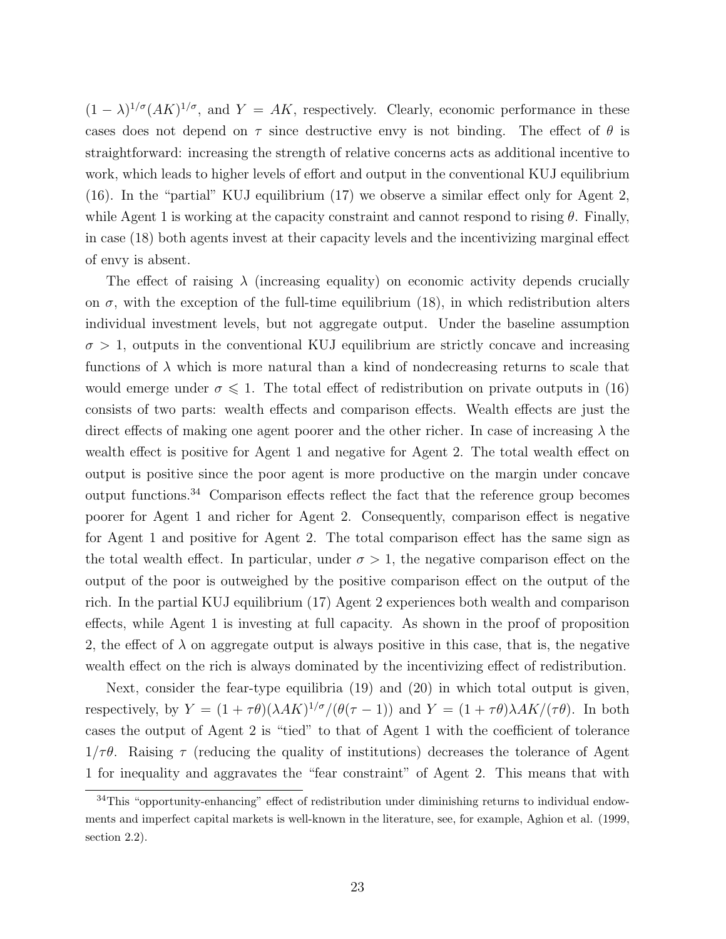$(1 - \lambda)^{1/\sigma} (AK)^{1/\sigma}$ , and  $Y = AK$ , respectively. Clearly, economic performance in these cases does not depend on  $\tau$  since destructive envy is not binding. The effect of  $\theta$  is straightforward: increasing the strength of relative concerns acts as additional incentive to work, which leads to higher levels of effort and output in the conventional KUJ equilibrium [\(16\)](#page-18-2). In the "partial" KUJ equilibrium [\(17\)](#page-18-4) we observe a similar effect only for Agent 2, while Agent 1 is working at the capacity constraint and cannot respond to rising  $\theta$ . Finally, in case [\(18\)](#page-18-3) both agents invest at their capacity levels and the incentivizing marginal effect of envy is absent.

The effect of raising  $\lambda$  (increasing equality) on economic activity depends crucially on  $\sigma$ , with the exception of the full-time equilibrium [\(18\)](#page-18-3), in which redistribution alters individual investment levels, but not aggregate output. Under the baseline assumption  $\sigma > 1$ , outputs in the conventional KUJ equilibrium are strictly concave and increasing functions of  $\lambda$  which is more natural than a kind of nondecreasing returns to scale that would emerge under  $\sigma \leq 1$ . The total effect of redistribution on private outputs in [\(16\)](#page-18-2) consists of two parts: wealth effects and comparison effects. Wealth effects are just the direct effects of making one agent poorer and the other richer. In case of increasing  $\lambda$  the wealth effect is positive for Agent 1 and negative for Agent 2. The total wealth effect on output is positive since the poor agent is more productive on the margin under concave output functions.[34](#page-23-0) Comparison effects reflect the fact that the reference group becomes poorer for Agent 1 and richer for Agent 2. Consequently, comparison effect is negative for Agent 1 and positive for Agent 2. The total comparison effect has the same sign as the total wealth effect. In particular, under  $\sigma > 1$ , the negative comparison effect on the output of the poor is outweighed by the positive comparison effect on the output of the rich. In the partial KUJ equilibrium [\(17\)](#page-18-4) Agent 2 experiences both wealth and comparison effects, while Agent 1 is investing at full capacity. As shown in the proof of proposition [2,](#page-24-0) the effect of  $\lambda$  on aggregate output is always positive in this case, that is, the negative wealth effect on the rich is always dominated by the incentivizing effect of redistribution.

Next, consider the fear-type equilibria [\(19\)](#page-18-5) and [\(20\)](#page-18-6) in which total output is given, respectively, by  $Y = (1 + \tau \theta)(\lambda A K)^{1/\sigma}/(\theta(\tau - 1))$  and  $Y = (1 + \tau \theta)\lambda A K/(\tau \theta)$ . In both cases the output of Agent 2 is "tied" to that of Agent 1 with the coefficient of tolerance  $1/\tau\theta$ . Raising  $\tau$  (reducing the quality of institutions) decreases the tolerance of Agent 1 for inequality and aggravates the "fear constraint" of Agent 2. This means that with

<span id="page-23-0"></span><sup>&</sup>lt;sup>34</sup>This "opportunity-enhancing" effect of redistribution under diminishing returns to individual endowments and imperfect capital markets is well-known in the literature, see, for example, Aghion et al. (1999, section 2.2).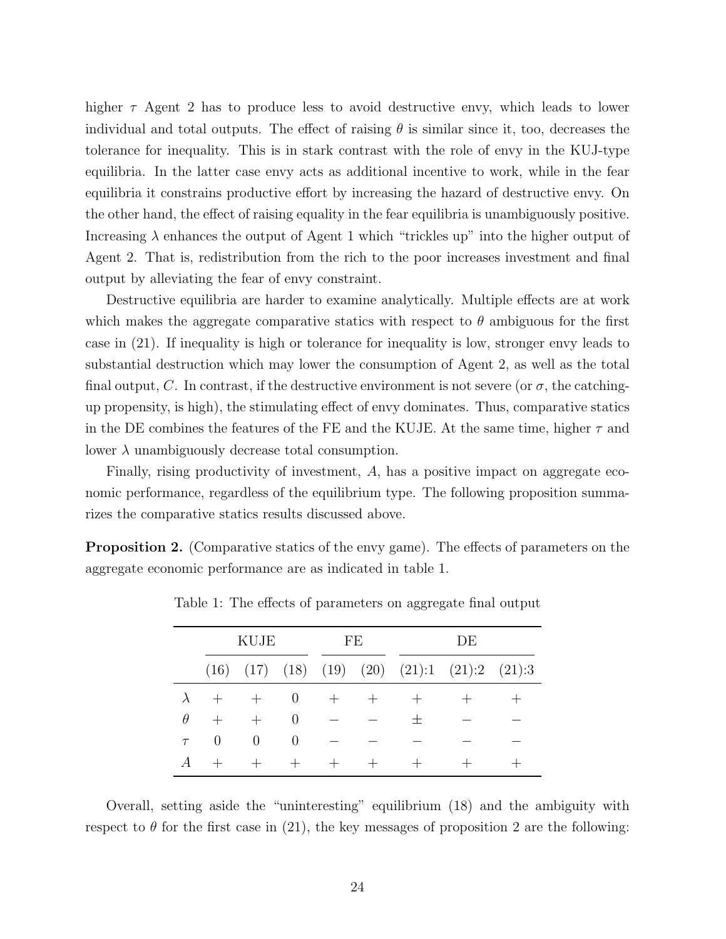higher  $\tau$  Agent 2 has to produce less to avoid destructive envy, which leads to lower individual and total outputs. The effect of raising  $\theta$  is similar since it, too, decreases the tolerance for inequality. This is in stark contrast with the role of envy in the KUJ-type equilibria. In the latter case envy acts as additional incentive to work, while in the fear equilibria it constrains productive effort by increasing the hazard of destructive envy. On the other hand, the effect of raising equality in the fear equilibria is unambiguously positive. Increasing  $\lambda$  enhances the output of Agent 1 which "trickles up" into the higher output of Agent 2. That is, redistribution from the rich to the poor increases investment and final output by alleviating the fear of envy constraint.

Destructive equilibria are harder to examine analytically. Multiple effects are at work which makes the aggregate comparative statics with respect to  $\theta$  ambiguous for the first case in [\(21\)](#page-18-7). If inequality is high or tolerance for inequality is low, stronger envy leads to substantial destruction which may lower the consumption of Agent 2, as well as the total final output, C. In contrast, if the destructive environment is not severe (or  $\sigma$ , the catchingup propensity, is high), the stimulating effect of envy dominates. Thus, comparative statics in the DE combines the features of the FE and the KUJE. At the same time, higher  $\tau$  and lower  $\lambda$  unambiguously decrease total consumption.

Finally, rising productivity of investment, A, has a positive impact on aggregate economic performance, regardless of the equilibrium type. The following proposition summarizes the comparative statics results discussed above.

<span id="page-24-1"></span><span id="page-24-0"></span>Proposition 2. (Comparative statics of the envy game). The effects of parameters on the aggregate economic performance are as indicated in table [1.](#page-24-1)

|          | <b>KUJE</b>      |          |                  | FE |  | DE |                                                               |  |
|----------|------------------|----------|------------------|----|--|----|---------------------------------------------------------------|--|
|          |                  |          |                  |    |  |    | $(16)$ $(17)$ $(18)$ $(19)$ $(20)$ $(21):1$ $(21):2$ $(21):3$ |  |
|          |                  |          | $\cup$           |    |  |    |                                                               |  |
| $\theta$ |                  |          | $\left( \right)$ |    |  | 十  |                                                               |  |
| $\tau$   | $\left( \right)$ | $\theta$ | $\theta$         |    |  |    |                                                               |  |
|          |                  |          |                  |    |  |    |                                                               |  |

Table 1: The effects of parameters on aggregate final output

Overall, setting aside the "uninteresting" equilibrium [\(18\)](#page-18-3) and the ambiguity with respect to  $\theta$  for the first case in [\(21\)](#page-18-7), the key messages of proposition [2](#page-24-0) are the following: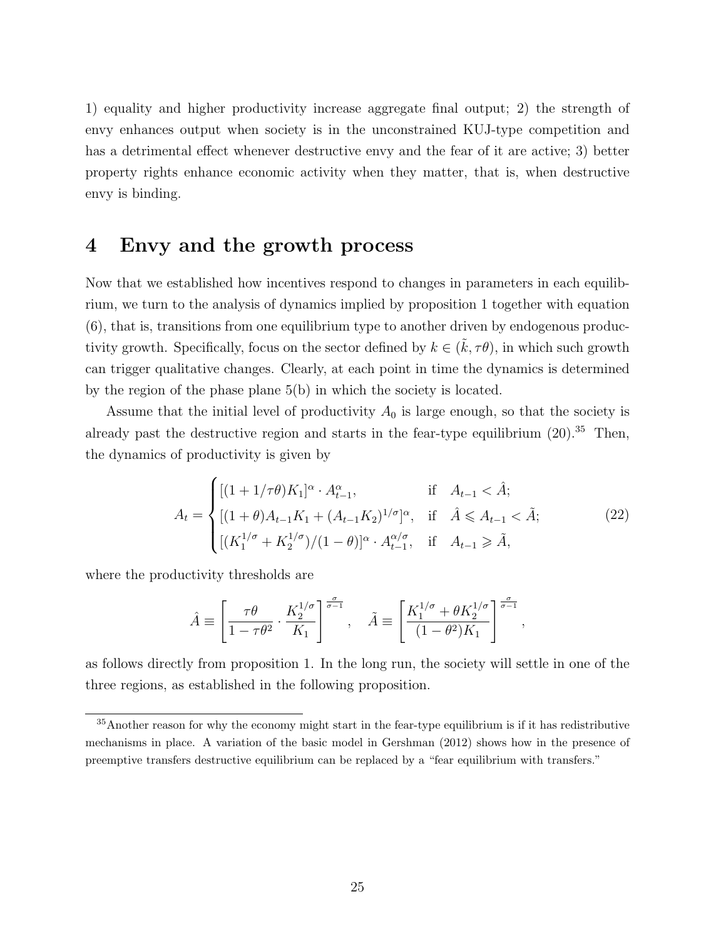1) equality and higher productivity increase aggregate final output; 2) the strength of envy enhances output when society is in the unconstrained KUJ-type competition and has a detrimental effect whenever destructive envy and the fear of it are active; 3) better property rights enhance economic activity when they matter, that is, when destructive envy is binding.

## <span id="page-25-0"></span>4 Envy and the growth process

Now that we established how incentives respond to changes in parameters in each equilibrium, we turn to the analysis of dynamics implied by proposition [1](#page-18-0) together with equation [\(6\)](#page-11-4), that is, transitions from one equilibrium type to another driven by endogenous productivity growth. Specifically, focus on the sector defined by  $k \in (\tilde{k}, \tau\theta)$ , in which such growth can trigger qualitative changes. Clearly, at each point in time the dynamics is determined by the region of the phase plane [5\(b\)](#page-19-4) in which the society is located.

Assume that the initial level of productivity  $A_0$  is large enough, so that the society is already past the destructive region and starts in the fear-type equilibrium  $(20).^{35}$  $(20).^{35}$  $(20).^{35}$  $(20).^{35}$  Then, the dynamics of productivity is given by

<span id="page-25-2"></span>
$$
A_{t} = \begin{cases} [(1+1/\tau\theta)K_{1}]^{\alpha} \cdot A_{t-1}^{\alpha}, & \text{if } A_{t-1} < \hat{A};\\ [(1+\theta)A_{t-1}K_{1} + (A_{t-1}K_{2})^{1/\sigma}]^{\alpha}, & \text{if } \hat{A} \leq A_{t-1} < \tilde{A};\\ [(K_{1}^{1/\sigma} + K_{2}^{1/\sigma})/(1-\theta)]^{\alpha} \cdot A_{t-1}^{\alpha/\sigma}, & \text{if } A_{t-1} \geq \tilde{A}, \end{cases}
$$
(22)

where the productivity thresholds are

$$
\hat{A} \equiv \left[ \frac{\tau \theta}{1 - \tau \theta^2} \cdot \frac{K_2^{1/\sigma}}{K_1} \right]^{\frac{\sigma}{\sigma - 1}}, \quad \tilde{A} \equiv \left[ \frac{K_1^{1/\sigma} + \theta K_2^{1/\sigma}}{(1 - \theta^2)K_1} \right]^{\frac{\sigma}{\sigma - 1}},
$$

as follows directly from proposition [1.](#page-18-0) In the long run, the society will settle in one of the three regions, as established in the following proposition.

<span id="page-25-1"></span><sup>35</sup>Another reason for why the economy might start in the fear-type equilibrium is if it has redistributive mechanisms in place. A variation of the basic model in Gershman (2012) shows how in the presence of preemptive transfers destructive equilibrium can be replaced by a "fear equilibrium with transfers."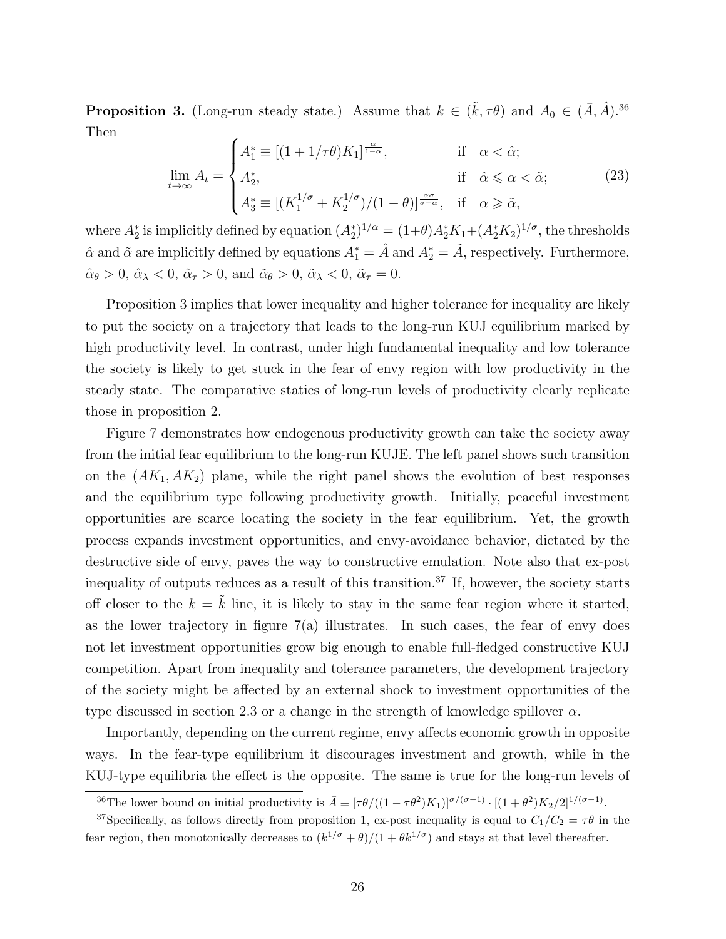<span id="page-26-1"></span>**Proposition 3.** (Long-run steady state.) Assume that  $k \in (\tilde{k}, \tau\theta)$  and  $A_0 \in (\bar{A}, \hat{A})$ .<sup>[36](#page-26-0)</sup> Then

$$
\lim_{t \to \infty} A_t = \begin{cases} A_1^* \equiv [(1 + 1/\tau \theta) K_1]^{\frac{\alpha}{1 - \alpha}}, & \text{if } \alpha < \hat{\alpha}; \\ A_2^*, & \text{if } \hat{\alpha} \leq \alpha < \tilde{\alpha}; \\ A_3^* \equiv [(K_1^{1/\sigma} + K_2^{1/\sigma})/(1 - \theta)]^{\frac{\alpha \sigma}{\sigma - \alpha}}, & \text{if } \alpha \geq \tilde{\alpha}, \end{cases}
$$
(23)

where  $A_2^*$  is implicitly defined by equation  $(A_2^*)^{1/\alpha} = (1+\theta)A_2^*K_1 + (A_2^*K_2)^{1/\sigma}$ , the thresholds  $\hat{\alpha}$  and  $\tilde{\alpha}$  are implicitly defined by equations  $A_1^* = \hat{A}$  and  $A_2^* = \tilde{A}$ , respectively. Furthermore,  $\hat{\alpha}_{\theta} > 0$ ,  $\hat{\alpha}_{\lambda} < 0$ ,  $\hat{\alpha}_{\tau} > 0$ , and  $\tilde{\alpha}_{\theta} > 0$ ,  $\tilde{\alpha}_{\lambda} < 0$ ,  $\tilde{\alpha}_{\tau} = 0$ .

Proposition [3](#page-26-1) implies that lower inequality and higher tolerance for inequality are likely to put the society on a trajectory that leads to the long-run KUJ equilibrium marked by high productivity level. In contrast, under high fundamental inequality and low tolerance the society is likely to get stuck in the fear of envy region with low productivity in the steady state. The comparative statics of long-run levels of productivity clearly replicate those in proposition [2.](#page-24-0)

Figure [7](#page-27-0) demonstrates how endogenous productivity growth can take the society away from the initial fear equilibrium to the long-run KUJE. The left panel shows such transition on the  $(AK_1, AK_2)$  plane, while the right panel shows the evolution of best responses and the equilibrium type following productivity growth. Initially, peaceful investment opportunities are scarce locating the society in the fear equilibrium. Yet, the growth process expands investment opportunities, and envy-avoidance behavior, dictated by the destructive side of envy, paves the way to constructive emulation. Note also that ex-post inequality of outputs reduces as a result of this transition.[37](#page-26-2) If, however, the society starts off closer to the  $k = \tilde{k}$  line, it is likely to stay in the same fear region where it started, as the lower trajectory in figure  $7(a)$  illustrates. In such cases, the fear of envy does not let investment opportunities grow big enough to enable full-fledged constructive KUJ competition. Apart from inequality and tolerance parameters, the development trajectory of the society might be affected by an external shock to investment opportunities of the type discussed in section [2.3](#page-6-1) or a change in the strength of knowledge spillover  $\alpha$ .

Importantly, depending on the current regime, envy affects economic growth in opposite ways. In the fear-type equilibrium it discourages investment and growth, while in the KUJ-type equilibria the effect is the opposite. The same is true for the long-run levels of

<span id="page-26-2"></span><span id="page-26-0"></span><sup>&</sup>lt;sup>36</sup>The lower bound on initial productivity is  $\bar{A} \equiv [\tau \theta/((1 - \tau \theta^2)K_1)]^{\sigma/(\sigma - 1)} \cdot [(1 + \theta^2)K_2/2]^{1/(\sigma - 1)}$ .

<sup>&</sup>lt;sup>37</sup>Specifically, as follows directly from proposition [1,](#page-18-0) ex-post inequality is equal to  $C_1/C_2 = \tau \theta$  in the fear region, then monotonically decreases to  $(k^{1/\sigma} + \theta)/(1 + \theta k^{1/\sigma})$  and stays at that level thereafter.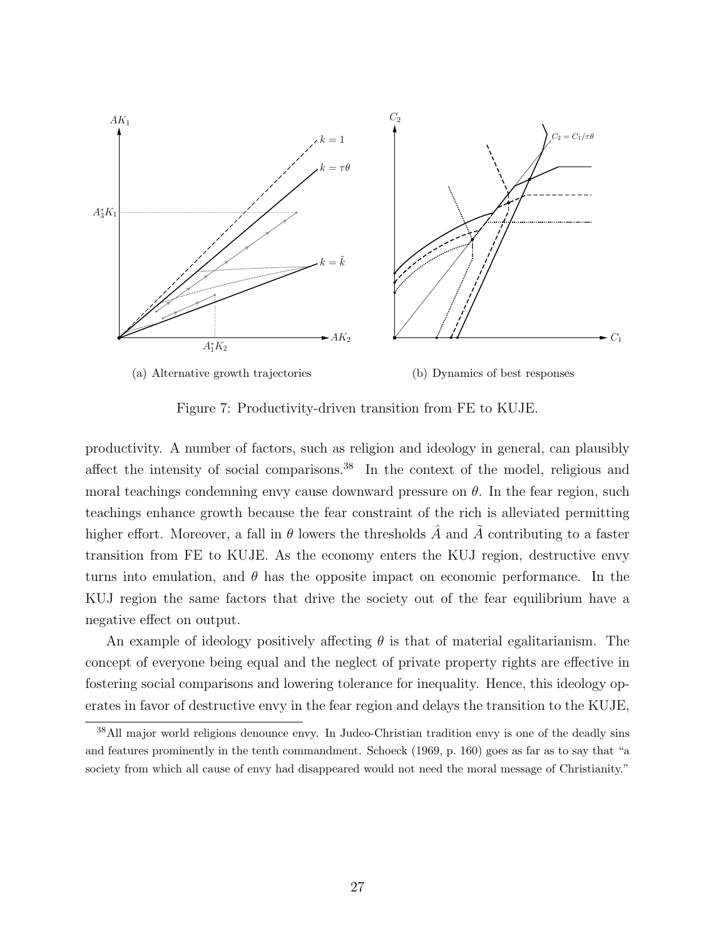<span id="page-27-1"></span><span id="page-27-0"></span>

Figure 7: Productivity-driven transition from FE to KUJE.

productivity. A number of factors, such as religion and ideology in general, can plausibly affect the intensity of social comparisons.[38](#page-27-2) In the context of the model, religious and moral teachings condemning envy cause downward pressure on  $\theta$ . In the fear region, such teachings enhance growth because the fear constraint of the rich is alleviated permitting higher effort. Moreover, a fall in  $\theta$  lowers the thresholds A and A contributing to a faster transition from FE to KUJE. As the economy enters the KUJ region, destructive envy turns into emulation, and  $\theta$  has the opposite impact on economic performance. In the KUJ region the same factors that drive the society out of the fear equilibrium have a negative effect on output.

An example of ideology positively affecting  $\theta$  is that of material egalitarianism. The concept of everyone being equal and the neglect of private property rights are effective in fostering social comparisons and lowering tolerance for inequality. Hence, this ideology operates in favor of destructive envy in the fear region and delays the transition to the KUJE,

<span id="page-27-2"></span><sup>38</sup>All major world religions denounce envy. In Judeo-Christian tradition envy is one of the deadly sins and features prominently in the tenth commandment. Schoeck (1969, p. 160) goes as far as to say that "a society from which all cause of envy had disappeared would not need the moral message of Christianity."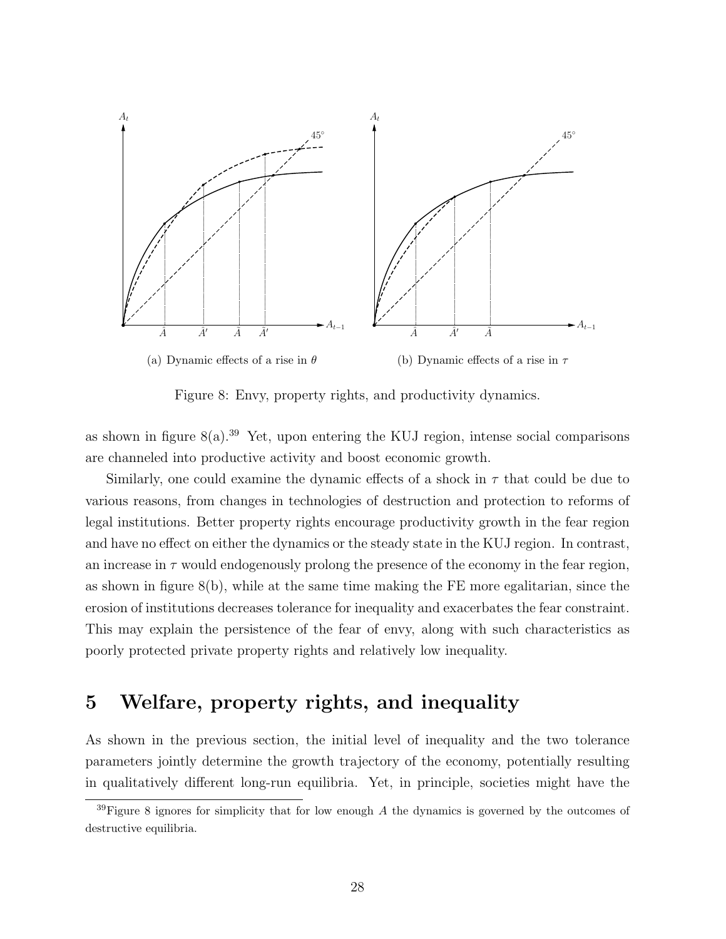<span id="page-28-4"></span><span id="page-28-1"></span>

<span id="page-28-3"></span>Figure 8: Envy, property rights, and productivity dynamics.

as shown in figure  $8(a)$ .<sup>[39](#page-28-2)</sup> Yet, upon entering the KUJ region, intense social comparisons are channeled into productive activity and boost economic growth.

Similarly, one could examine the dynamic effects of a shock in  $\tau$  that could be due to various reasons, from changes in technologies of destruction and protection to reforms of legal institutions. Better property rights encourage productivity growth in the fear region and have no effect on either the dynamics or the steady state in the KUJ region. In contrast, an increase in  $\tau$  would endogenously prolong the presence of the economy in the fear region, as shown in figure [8\(b\),](#page-28-3) while at the same time making the FE more egalitarian, since the erosion of institutions decreases tolerance for inequality and exacerbates the fear constraint. This may explain the persistence of the fear of envy, along with such characteristics as poorly protected private property rights and relatively low inequality.

## <span id="page-28-0"></span>5 Welfare, property rights, and inequality

As shown in the previous section, the initial level of inequality and the two tolerance parameters jointly determine the growth trajectory of the economy, potentially resulting in qualitatively different long-run equilibria. Yet, in principle, societies might have the

<span id="page-28-2"></span><sup>&</sup>lt;sup>39</sup>Figure [8](#page-28-4) ignores for simplicity that for low enough A the dynamics is governed by the outcomes of destructive equilibria.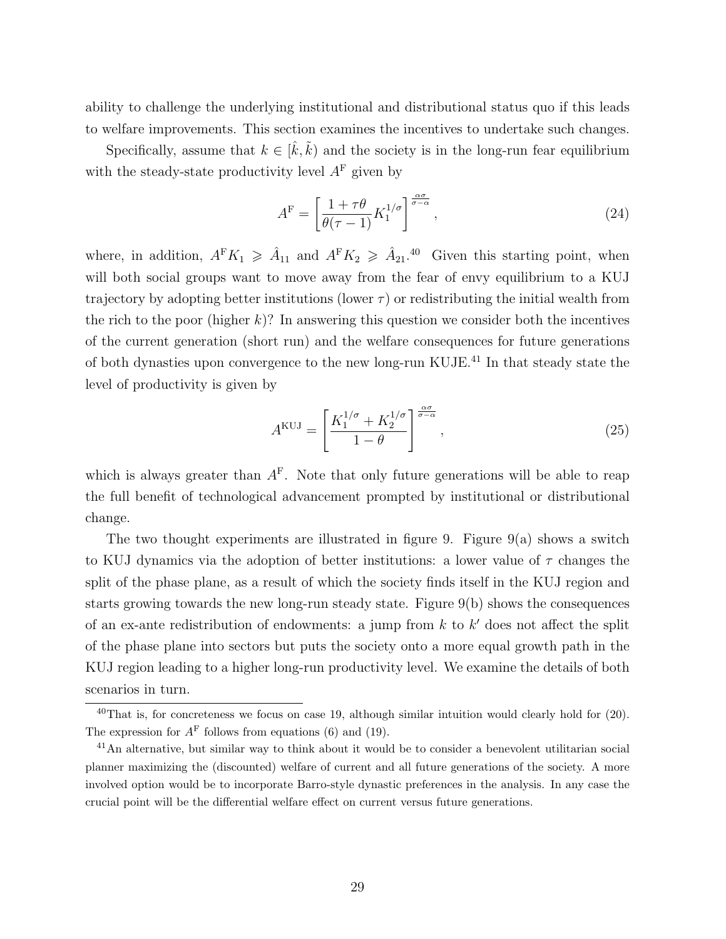ability to challenge the underlying institutional and distributional status quo if this leads to welfare improvements. This section examines the incentives to undertake such changes.

Specifically, assume that  $k \in [\hat{k}, \tilde{k})$  and the society is in the long-run fear equilibrium with the steady-state productivity level  $A<sup>F</sup>$  given by

<span id="page-29-2"></span>
$$
A^{\mathcal{F}} = \left[\frac{1+\tau\theta}{\theta(\tau-1)}K_1^{1/\sigma}\right]^{\frac{\alpha\sigma}{\sigma-\alpha}},\tag{24}
$$

where, in addition,  $A^F K_1 \geq \hat{A}_{11}$  and  $A^F K_2 \geq \hat{A}_{21}$ .<sup>[40](#page-29-0)</sup> Given this starting point, when will both social groups want to move away from the fear of envy equilibrium to a KUJ trajectory by adopting better institutions (lower  $\tau$ ) or redistributing the initial wealth from the rich to the poor (higher  $k$ )? In answering this question we consider both the incentives of the current generation (short run) and the welfare consequences for future generations of both dynasties upon convergence to the new long-run KUJE.[41](#page-29-1) In that steady state the level of productivity is given by

<span id="page-29-3"></span>
$$
AKUJ = \left[ \frac{K_1^{1/\sigma} + K_2^{1/\sigma}}{1 - \theta} \right]^{\frac{\alpha \sigma}{\sigma - \alpha}},
$$
\n(25)

which is always greater than  $A^F$ . Note that only future generations will be able to reap the full benefit of technological advancement prompted by institutional or distributional change.

The two thought experiments are illustrated in figure [9.](#page-30-0) Figure [9\(a\)](#page-30-1) shows a switch to KUJ dynamics via the adoption of better institutions: a lower value of  $\tau$  changes the split of the phase plane, as a result of which the society finds itself in the KUJ region and starts growing towards the new long-run steady state. Figure [9\(b\)](#page-30-2) shows the consequences of an ex-ante redistribution of endowments: a jump from  $k$  to  $k'$  does not affect the split of the phase plane into sectors but puts the society onto a more equal growth path in the KUJ region leading to a higher long-run productivity level. We examine the details of both scenarios in turn.

<span id="page-29-0"></span> $^{40}$ That is, for concreteness we focus on case [19,](#page-18-5) although similar intuition would clearly hold for [\(20\)](#page-18-6). The expression for  $A^F$  follows from equations [\(6\)](#page-11-4) and [\(19\)](#page-18-5).

<span id="page-29-1"></span><sup>&</sup>lt;sup>41</sup>An alternative, but similar way to think about it would be to consider a benevolent utilitarian social planner maximizing the (discounted) welfare of current and all future generations of the society. A more involved option would be to incorporate Barro-style dynastic preferences in the analysis. In any case the crucial point will be the differential welfare effect on current versus future generations.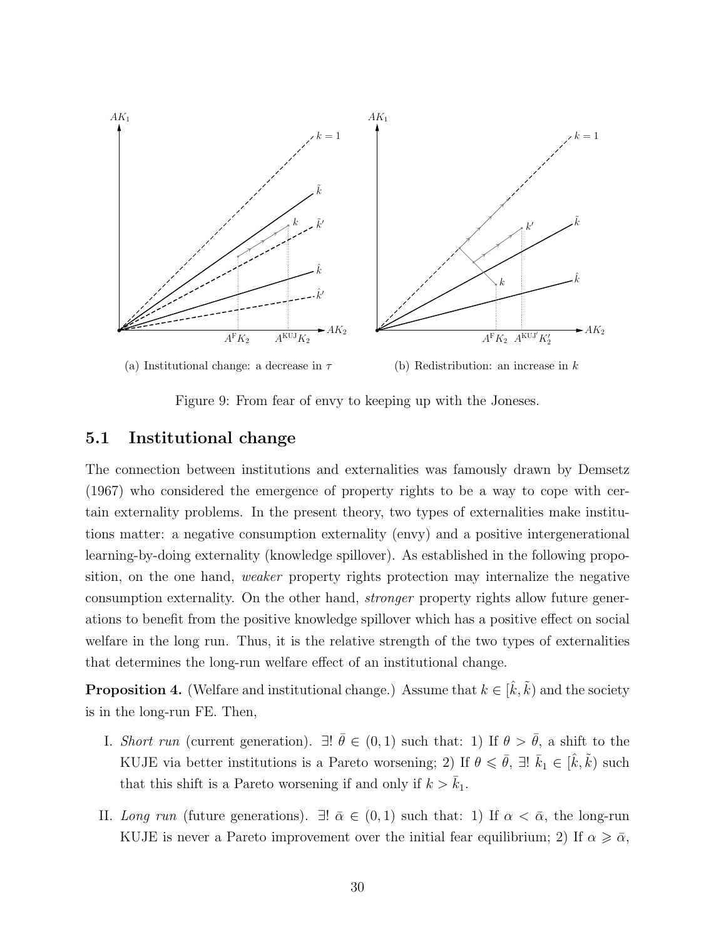<span id="page-30-1"></span><span id="page-30-0"></span>

<span id="page-30-2"></span>Figure 9: From fear of envy to keeping up with the Joneses.

### 5.1 Institutional change

The connection between institutions and externalities was famously drawn by Demsetz (1967) who considered the emergence of property rights to be a way to cope with certain externality problems. In the present theory, two types of externalities make institutions matter: a negative consumption externality (envy) and a positive intergenerational learning-by-doing externality (knowledge spillover). As established in the following proposition, on the one hand, weaker property rights protection may internalize the negative consumption externality. On the other hand, stronger property rights allow future generations to benefit from the positive knowledge spillover which has a positive effect on social welfare in the long run. Thus, it is the relative strength of the two types of externalities that determines the long-run welfare effect of an institutional change.

<span id="page-30-3"></span>**Proposition 4.** (Welfare and institutional change.) Assume that  $k \in [\hat{k}, \tilde{k})$  and the society is in the long-run FE. Then,

- I. Short run (current generation).  $\exists! \ \bar{\theta} \in (0,1)$  such that: 1) If  $\theta > \bar{\theta}$ , a shift to the KUJE via better institutions is a Pareto worsening; 2) If  $\theta \leq \bar{\theta}$ ,  $\exists ! \bar{k}_1 \in [\hat{k}, \tilde{k})$  such that this shift is a Pareto worsening if and only if  $k > k_1$ .
- II. Long run (future generations).  $\exists! \bar{\alpha} \in (0,1)$  such that: 1) If  $\alpha < \bar{\alpha}$ , the long-run KUJE is never a Pareto improvement over the initial fear equilibrium; 2) If  $\alpha \geqslant \bar{\alpha}$ ,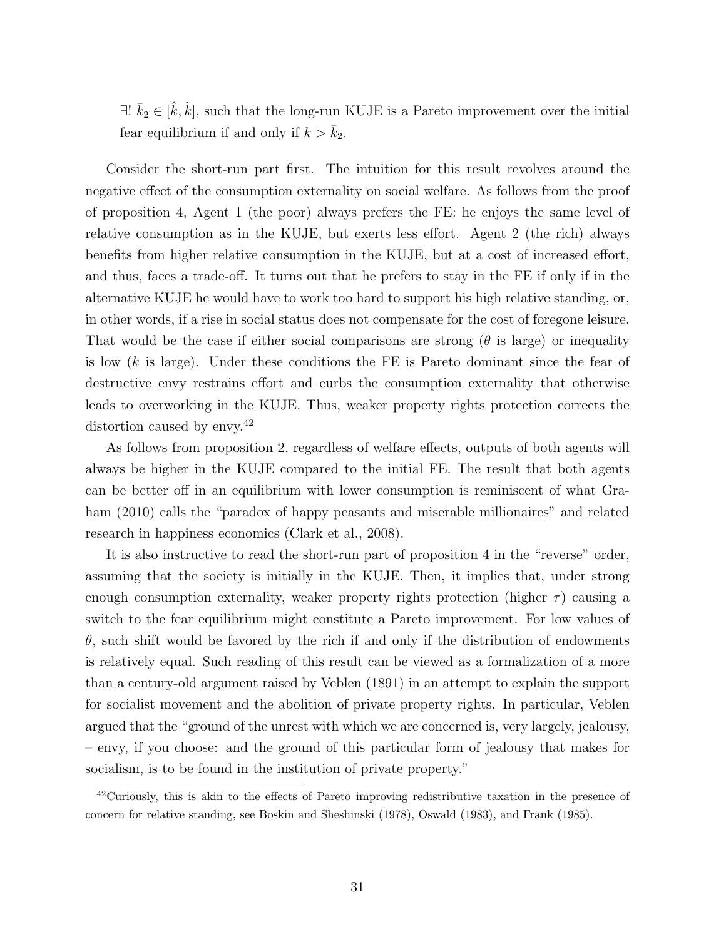$\exists! \ \bar{k}_2 \in [\hat{k}, \tilde{k}],$  such that the long-run KUJE is a Pareto improvement over the initial fear equilibrium if and only if  $k > \bar{k}_2$ .

Consider the short-run part first. The intuition for this result revolves around the negative effect of the consumption externality on social welfare. As follows from the proof of proposition [4,](#page-30-3) Agent 1 (the poor) always prefers the FE: he enjoys the same level of relative consumption as in the KUJE, but exerts less effort. Agent 2 (the rich) always benefits from higher relative consumption in the KUJE, but at a cost of increased effort, and thus, faces a trade-off. It turns out that he prefers to stay in the FE if only if in the alternative KUJE he would have to work too hard to support his high relative standing, or, in other words, if a rise in social status does not compensate for the cost of foregone leisure. That would be the case if either social comparisons are strong ( $\theta$  is large) or inequality is low  $(k$  is large). Under these conditions the FE is Pareto dominant since the fear of destructive envy restrains effort and curbs the consumption externality that otherwise leads to overworking in the KUJE. Thus, weaker property rights protection corrects the distortion caused by envy.<sup>[42](#page-31-0)</sup>

As follows from proposition [2,](#page-24-0) regardless of welfare effects, outputs of both agents will always be higher in the KUJE compared to the initial FE. The result that both agents can be better off in an equilibrium with lower consumption is reminiscent of what Graham (2010) calls the "paradox of happy peasants and miserable millionaires" and related research in happiness economics (Clark et al., 2008).

It is also instructive to read the short-run part of proposition [4](#page-30-3) in the "reverse" order, assuming that the society is initially in the KUJE. Then, it implies that, under strong enough consumption externality, weaker property rights protection (higher  $\tau$ ) causing a switch to the fear equilibrium might constitute a Pareto improvement. For low values of  $\theta$ , such shift would be favored by the rich if and only if the distribution of endowments is relatively equal. Such reading of this result can be viewed as a formalization of a more than a century-old argument raised by Veblen (1891) in an attempt to explain the support for socialist movement and the abolition of private property rights. In particular, Veblen argued that the "ground of the unrest with which we are concerned is, very largely, jealousy, – envy, if you choose: and the ground of this particular form of jealousy that makes for socialism, is to be found in the institution of private property."

<span id="page-31-0"></span> $^{42}$ Curiously, this is akin to the effects of Pareto improving redistributive taxation in the presence of concern for relative standing, see Boskin and Sheshinski (1978), Oswald (1983), and Frank (1985).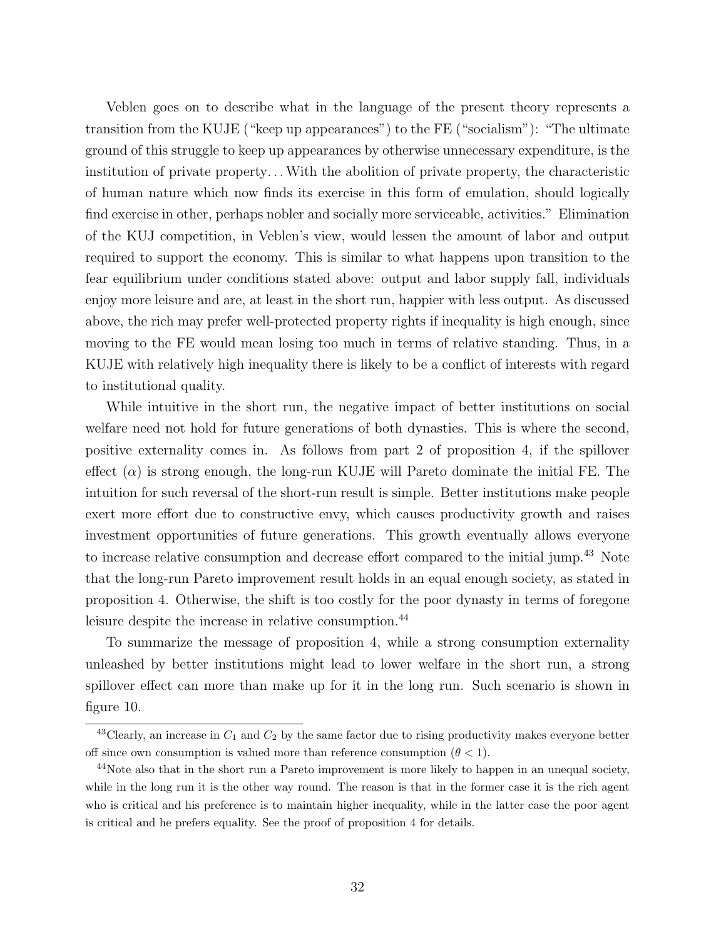Veblen goes on to describe what in the language of the present theory represents a transition from the KUJE ("keep up appearances") to the FE ("socialism"): "The ultimate ground of this struggle to keep up appearances by otherwise unnecessary expenditure, is the institution of private property. . .With the abolition of private property, the characteristic of human nature which now finds its exercise in this form of emulation, should logically find exercise in other, perhaps nobler and socially more serviceable, activities." Elimination of the KUJ competition, in Veblen's view, would lessen the amount of labor and output required to support the economy. This is similar to what happens upon transition to the fear equilibrium under conditions stated above: output and labor supply fall, individuals enjoy more leisure and are, at least in the short run, happier with less output. As discussed above, the rich may prefer well-protected property rights if inequality is high enough, since moving to the FE would mean losing too much in terms of relative standing. Thus, in a KUJE with relatively high inequality there is likely to be a conflict of interests with regard to institutional quality.

While intuitive in the short run, the negative impact of better institutions on social welfare need not hold for future generations of both dynasties. This is where the second, positive externality comes in. As follows from part 2 of proposition [4,](#page-30-3) if the spillover effect  $(\alpha)$  is strong enough, the long-run KUJE will Pareto dominate the initial FE. The intuition for such reversal of the short-run result is simple. Better institutions make people exert more effort due to constructive envy, which causes productivity growth and raises investment opportunities of future generations. This growth eventually allows everyone to increase relative consumption and decrease effort compared to the initial jump.<sup>[43](#page-32-0)</sup> Note that the long-run Pareto improvement result holds in an equal enough society, as stated in proposition 4. Otherwise, the shift is too costly for the poor dynasty in terms of foregone leisure despite the increase in relative consumption.<sup>[44](#page-32-1)</sup>

To summarize the message of proposition 4, while a strong consumption externality unleashed by better institutions might lead to lower welfare in the short run, a strong spillover effect can more than make up for it in the long run. Such scenario is shown in figure [10.](#page-33-0)

<span id="page-32-0"></span><sup>&</sup>lt;sup>43</sup>Clearly, an increase in  $C_1$  and  $C_2$  by the same factor due to rising productivity makes everyone better off since own consumption is valued more than reference consumption  $(\theta < 1)$ .

<span id="page-32-1"></span><sup>&</sup>lt;sup>44</sup>Note also that in the short run a Pareto improvement is more likely to happen in an unequal society, while in the long run it is the other way round. The reason is that in the former case it is the rich agent who is critical and his preference is to maintain higher inequality, while in the latter case the poor agent is critical and he prefers equality. See the proof of proposition 4 for details.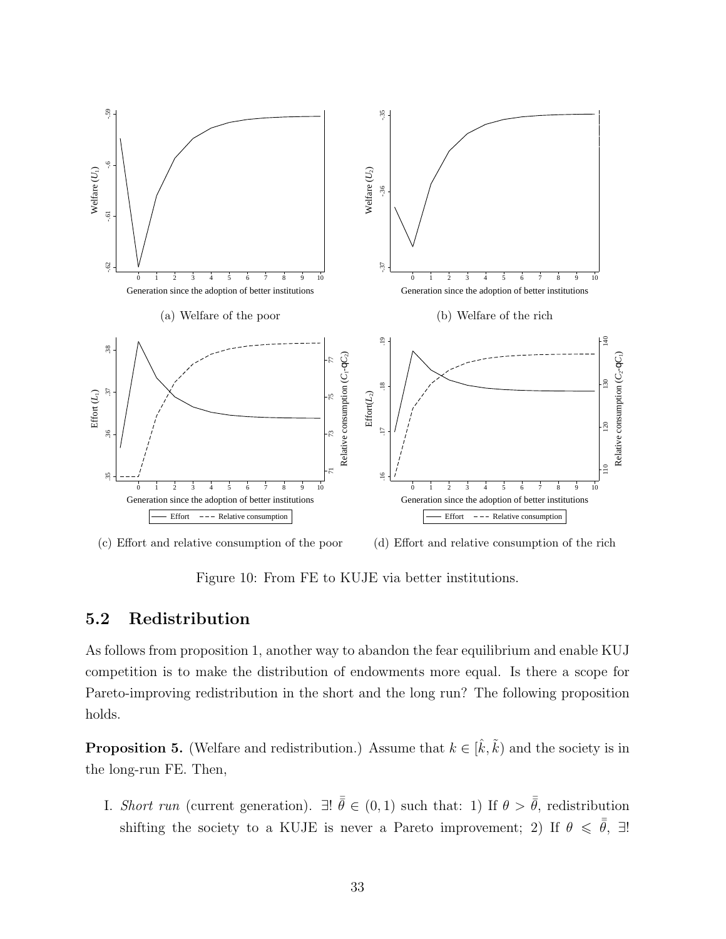<span id="page-33-0"></span>



(d) Effort and relative consumption of the rich

Figure 10: From FE to KUJE via better institutions.

### 5.2 Redistribution

As follows from proposition [1,](#page-18-0) another way to abandon the fear equilibrium and enable KUJ competition is to make the distribution of endowments more equal. Is there a scope for Pareto-improving redistribution in the short and the long run? The following proposition holds.

<span id="page-33-1"></span>**Proposition 5.** (Welfare and redistribution.) Assume that  $k \in [\hat{k}, \tilde{k})$  and the society is in the long-run FE. Then,

I. Short run (current generation).  $\exists! \bar{\theta} \in (0,1)$  such that: 1) If  $\theta > \bar{\theta}$ , redistribution shifting the society to a KUJE is never a Pareto improvement; 2) If  $\theta \leq \bar{\bar{\theta}}$ ,  $\exists$ !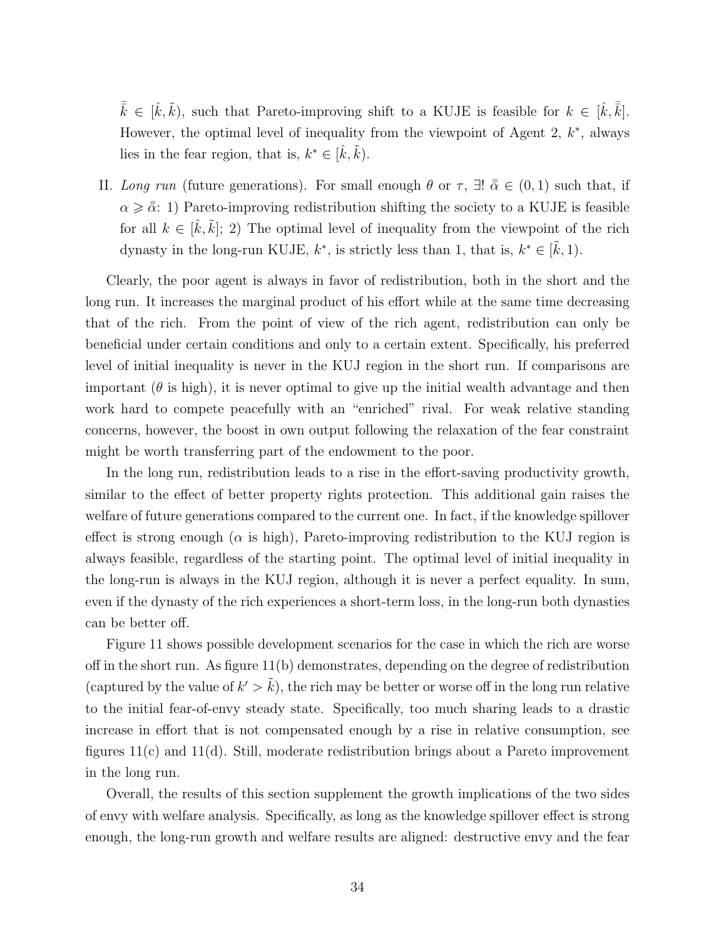$\bar{\bar{k}} \in [\hat{k}, \tilde{k})$ , such that Pareto-improving shift to a KUJE is feasible for  $k \in [\hat{k}, \bar{\bar{k}}]$ . However, the optimal level of inequality from the viewpoint of Agent 2,  $k^*$ , always lies in the fear region, that is,  $k^* \in [\hat{k}, \tilde{k})$ .

II. Long run (future generations). For small enough  $\theta$  or  $\tau$ ,  $\exists ! \bar{\alpha} \in (0,1)$  such that, if  $\alpha \geqslant \bar{\alpha}$ : 1) Pareto-improving redistribution shifting the society to a KUJE is feasible for all  $k \in [\hat{k}, \tilde{k}]$ ; 2) The optimal level of inequality from the viewpoint of the rich dynasty in the long-run KUJE,  $k^*$ , is strictly less than 1, that is,  $k^* \in [\tilde{k}, 1)$ .

Clearly, the poor agent is always in favor of redistribution, both in the short and the long run. It increases the marginal product of his effort while at the same time decreasing that of the rich. From the point of view of the rich agent, redistribution can only be beneficial under certain conditions and only to a certain extent. Specifically, his preferred level of initial inequality is never in the KUJ region in the short run. If comparisons are important  $(\theta$  is high), it is never optimal to give up the initial wealth advantage and then work hard to compete peacefully with an "enriched" rival. For weak relative standing concerns, however, the boost in own output following the relaxation of the fear constraint might be worth transferring part of the endowment to the poor.

In the long run, redistribution leads to a rise in the effort-saving productivity growth, similar to the effect of better property rights protection. This additional gain raises the welfare of future generations compared to the current one. In fact, if the knowledge spillover effect is strong enough ( $\alpha$  is high), Pareto-improving redistribution to the KUJ region is always feasible, regardless of the starting point. The optimal level of initial inequality in the long-run is always in the KUJ region, although it is never a perfect equality. In sum, even if the dynasty of the rich experiences a short-term loss, in the long-run both dynasties can be better off.

Figure [11](#page-35-1) shows possible development scenarios for the case in which the rich are worse off in the short run. As figure [11\(b\)](#page-35-2) demonstrates, depending on the degree of redistribution (captured by the value of  $k' > \tilde{k}$ ), the rich may be better or worse off in the long run relative to the initial fear-of-envy steady state. Specifically, too much sharing leads to a drastic increase in effort that is not compensated enough by a rise in relative consumption, see figures [11\(c\)](#page-35-3) and [11\(d\).](#page-35-4) Still, moderate redistribution brings about a Pareto improvement in the long run.

Overall, the results of this section supplement the growth implications of the two sides of envy with welfare analysis. Specifically, as long as the knowledge spillover effect is strong enough, the long-run growth and welfare results are aligned: destructive envy and the fear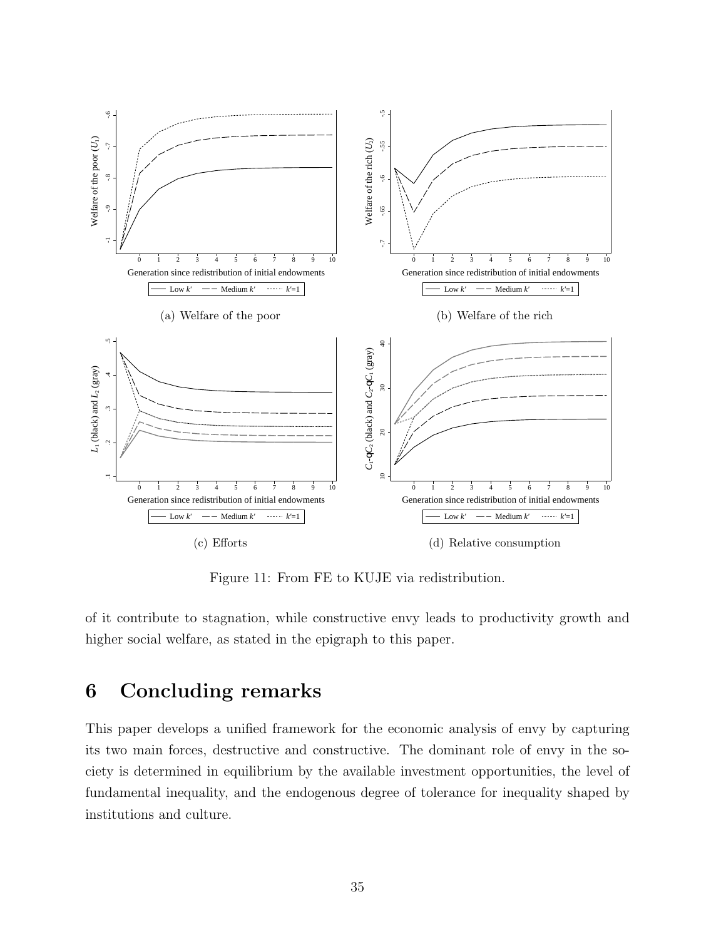<span id="page-35-3"></span><span id="page-35-1"></span>

<span id="page-35-4"></span><span id="page-35-2"></span>Figure 11: From FE to KUJE via redistribution.

of it contribute to stagnation, while constructive envy leads to productivity growth and higher social welfare, as stated in the epigraph to this paper.

# <span id="page-35-0"></span>6 Concluding remarks

This paper develops a unified framework for the economic analysis of envy by capturing its two main forces, destructive and constructive. The dominant role of envy in the society is determined in equilibrium by the available investment opportunities, the level of fundamental inequality, and the endogenous degree of tolerance for inequality shaped by institutions and culture.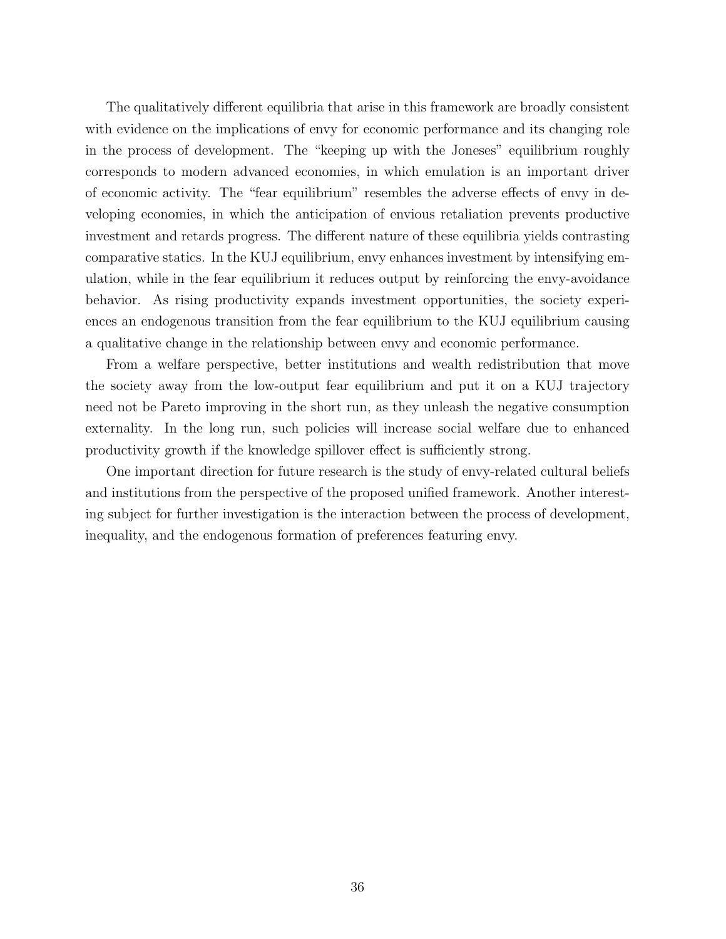The qualitatively different equilibria that arise in this framework are broadly consistent with evidence on the implications of envy for economic performance and its changing role in the process of development. The "keeping up with the Joneses" equilibrium roughly corresponds to modern advanced economies, in which emulation is an important driver of economic activity. The "fear equilibrium" resembles the adverse effects of envy in developing economies, in which the anticipation of envious retaliation prevents productive investment and retards progress. The different nature of these equilibria yields contrasting comparative statics. In the KUJ equilibrium, envy enhances investment by intensifying emulation, while in the fear equilibrium it reduces output by reinforcing the envy-avoidance behavior. As rising productivity expands investment opportunities, the society experiences an endogenous transition from the fear equilibrium to the KUJ equilibrium causing a qualitative change in the relationship between envy and economic performance.

From a welfare perspective, better institutions and wealth redistribution that move the society away from the low-output fear equilibrium and put it on a KUJ trajectory need not be Pareto improving in the short run, as they unleash the negative consumption externality. In the long run, such policies will increase social welfare due to enhanced productivity growth if the knowledge spillover effect is sufficiently strong.

One important direction for future research is the study of envy-related cultural beliefs and institutions from the perspective of the proposed unified framework. Another interesting subject for further investigation is the interaction between the process of development, inequality, and the endogenous formation of preferences featuring envy.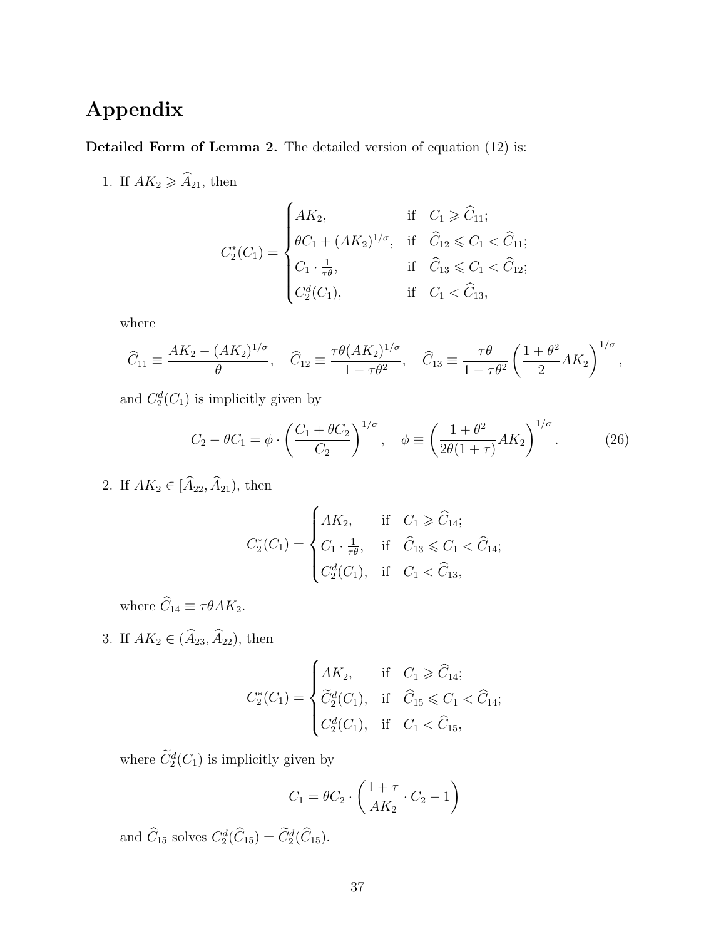# Appendix

Detailed Form of Lemma [2.](#page-14-0) The detailed version of equation [\(12\)](#page-14-3) is:

1. If  $AK_2 \geq \widehat{A}_{21}$ , then

$$
C_2^*(C_1) = \begin{cases} AK_2, & \text{if } C_1 \ge \widehat{C}_{11}; \\ \theta C_1 + (AK_2)^{1/\sigma}, & \text{if } \widehat{C}_{12} \le C_1 < \widehat{C}_{11}; \\ C_1 \cdot \frac{1}{\tau \theta}, & \text{if } \widehat{C}_{13} \le C_1 < \widehat{C}_{12}; \\ C_2^d(C_1), & \text{if } C_1 < \widehat{C}_{13}, \end{cases}
$$

where

$$
\widehat{C}_{11} \equiv \frac{AK_2 - (AK_2)^{1/\sigma}}{\theta}, \quad \widehat{C}_{12} \equiv \frac{\tau \theta (AK_2)^{1/\sigma}}{1 - \tau \theta^2}, \quad \widehat{C}_{13} \equiv \frac{\tau \theta}{1 - \tau \theta^2} \left(\frac{1 + \theta^2}{2} AK_2\right)^{1/\sigma},
$$

and  $C_2^d(C_1)$  is implicitly given by

<span id="page-37-0"></span>
$$
C_2 - \theta C_1 = \phi \cdot \left(\frac{C_1 + \theta C_2}{C_2}\right)^{1/\sigma}, \quad \phi \equiv \left(\frac{1 + \theta^2}{2\theta(1+\tau)} A K_2\right)^{1/\sigma}.
$$
 (26)

2. If  $AK_2 \in [\widehat{A}_{22}, \widehat{A}_{21})$ , then

$$
C_2^*(C_1) = \begin{cases} AK_2, & \text{if } C_1 \ge \widehat{C}_{14}; \\ C_1 \cdot \frac{1}{\tau \theta}, & \text{if } \widehat{C}_{13} \le C_1 < \widehat{C}_{14}; \\ C_2^d(C_1), & \text{if } C_1 < \widehat{C}_{13}, \end{cases}
$$

where  $\widehat{C}_{14} \equiv \tau \theta A K_2$ .

3. If  $AK_2 \in (\widehat{A}_{23}, \widehat{A}_{22})$ , then

$$
C_2^*(C_1) = \begin{cases} AK_2, & \text{if } C_1 \ge \widehat{C}_{14}; \\ \widetilde{C}_2^d(C_1), & \text{if } \widehat{C}_{15} \le C_1 < \widehat{C}_{14}; \\ C_2^d(C_1), & \text{if } C_1 < \widehat{C}_{15}, \end{cases}
$$

where  $\tilde{C}_2^d(C_1)$  is implicitly given by

$$
C_1 = \theta C_2 \cdot \left(\frac{1+\tau}{AK_2} \cdot C_2 - 1\right)
$$

and  $\hat{C}_{15}$  solves  $C_2^d(\hat{C}_{15}) = \tilde{C}_2^d(\hat{C}_{15})$ .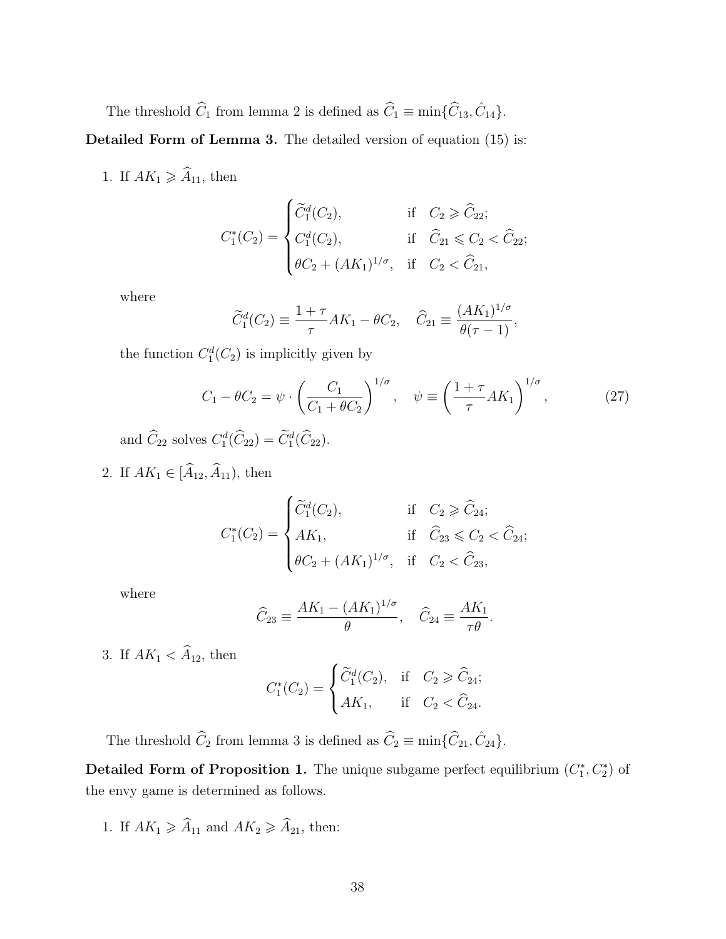The threshold  $\widehat{C}_1$  from lemma [2](#page-14-0) is defined as  $\widehat{C}_1 \equiv \min\{\widehat{C}_{13}, \widehat{C}_{14}\}.$ 

Detailed Form of Lemma [3.](#page-16-0) The detailed version of equation [\(15\)](#page-16-1) is:

1. If  $AK_1 \geq \widehat{A}_{11}$ , then

$$
C_1^*(C_2) = \begin{cases} \widetilde{C}_1^d(C_2), & \text{if } C_2 \geq \widehat{C}_{22}; \\ C_1^d(C_2), & \text{if } \widehat{C}_{21} \leq C_2 < \widehat{C}_{22}; \\ \theta C_2 + (AK_1)^{1/\sigma}, & \text{if } C_2 < \widehat{C}_{21}, \end{cases}
$$

where

$$
\widetilde{C}_1^d(C_2) \equiv \frac{1+\tau}{\tau} A K_1 - \theta C_2, \quad \widehat{C}_{21} \equiv \frac{(AK_1)^{1/\sigma}}{\theta(\tau - 1)},
$$

the function  $C_1^d(C_2)$  is implicitly given by

<span id="page-38-0"></span>
$$
C_1 - \theta C_2 = \psi \cdot \left(\frac{C_1}{C_1 + \theta C_2}\right)^{1/\sigma}, \quad \psi \equiv \left(\frac{1+\tau}{\tau} A K_1\right)^{1/\sigma},\tag{27}
$$

and  $\hat{C}_{22}$  solves  $C_1^d(\hat{C}_{22}) = \hat{C}_1^d(\hat{C}_{22})$ .

2. If  $AK_1 \in [\widehat{A}_{12}, \widehat{A}_{11}],$  then

$$
C_1^*(C_2) = \begin{cases} \widetilde{C}_1^d(C_2), & \text{if } C_2 \ge \widehat{C}_{24}; \\ AK_1, & \text{if } \widehat{C}_{23} \le C_2 < \widehat{C}_{24}; \\ \theta C_2 + (AK_1)^{1/\sigma}, & \text{if } C_2 < \widehat{C}_{23}, \end{cases}
$$

where

$$
\widehat{C}_{23} \equiv \frac{AK_1 - (AK_1)^{1/\sigma}}{\theta}, \quad \widehat{C}_{24} \equiv \frac{AK_1}{\tau \theta}.
$$

3. If  $AK_1 < \widehat{A}_{12}$ , then

$$
C_1^*(C_2) = \begin{cases} \widetilde{C}_1^d(C_2), & \text{if } C_2 \geq \widehat{C}_{24}; \\ AK_1, & \text{if } C_2 < \widehat{C}_{24}. \end{cases}
$$

The threshold  $\widehat{C}_2$  from lemma [3](#page-16-0) is defined as  $\widehat{C}_2 \equiv \min\{\widehat{C}_{21}, \widehat{C}_{24}\}.$ 

Detailed Form of Proposition [1.](#page-18-0) The unique subgame perfect equilibrium  $(C_1^*, C_2^*)$  of the envy game is determined as follows.

1. If  $AK_1 \geq \widehat{A}_{11}$  and  $AK_2 \geq \widehat{A}_{21}$ , then: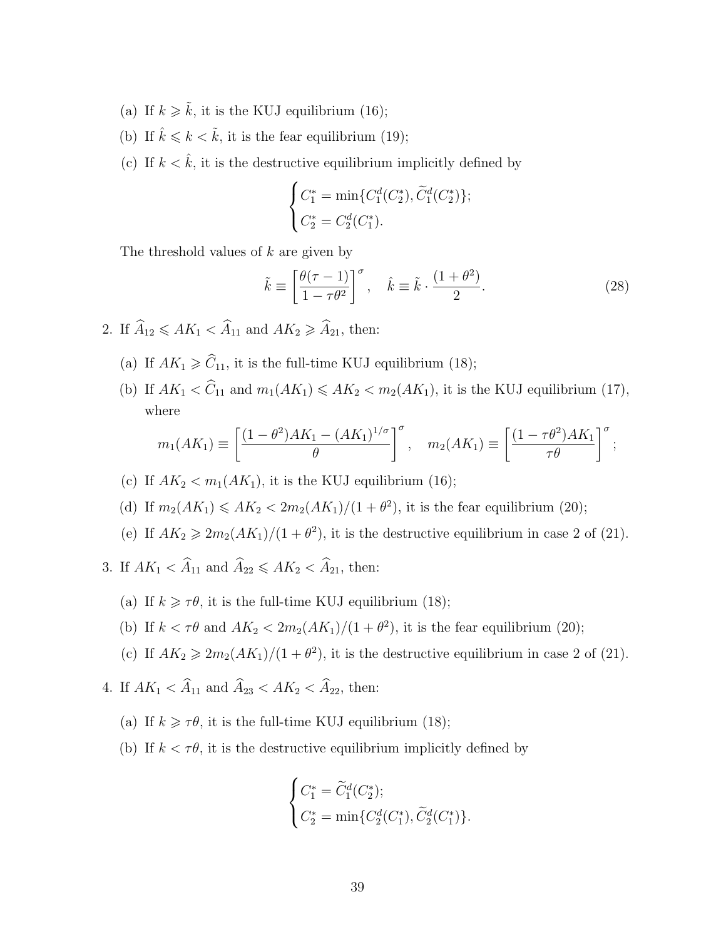- (a) If  $k \geq \tilde{k}$ , it is the KUJ equilibrium [\(16\)](#page-18-2);
- (b) If  $\hat{k} \leq k < \tilde{k}$ , it is the fear equilibrium [\(19\)](#page-18-5);
- (c) If  $k < \hat{k}$ , it is the destructive equilibrium implicitly defined by

$$
\begin{cases} C_1^* = \min\{C_1^d(C_2^*), \widetilde{C}_1^d(C_2^*)\};\\ C_2^* = C_2^d(C_1^*). \end{cases}
$$

The threshold values of k are given by

<span id="page-39-0"></span>
$$
\tilde{k} \equiv \left[\frac{\theta(\tau - 1)}{1 - \tau \theta^2}\right]^\sigma, \quad \hat{k} \equiv \tilde{k} \cdot \frac{(1 + \theta^2)}{2}.
$$
\n(28)

- 2. If  $\widehat{A}_{12} \leqslant AK_1 < \widehat{A}_{11}$  and  $AK_2 \geqslant \widehat{A}_{21}$ , then:
	- (a) If  $AK_1 \geq \widehat{C}_{11}$ , it is the full-time KUJ equilibrium [\(18\)](#page-18-3);
	- (b) If  $AK_1 < \widehat{C}_{11}$  and  $m_1(AK_1) \leq AK_2 < m_2(AK_1)$ , it is the KUJ equilibrium [\(17\)](#page-18-4), where

$$
m_1(AK_1) \equiv \left[\frac{(1-\theta^2)AK_1 - (AK_1)^{1/\sigma}}{\theta}\right]^\sigma, \quad m_2(AK_1) \equiv \left[\frac{(1-\tau\theta^2)AK_1}{\tau\theta}\right]^\sigma;
$$

- (c) If  $AK_2 < m_1(AK_1)$ , it is the KUJ equilibrium [\(16\)](#page-18-2);
- (d) If  $m_2(AK_1) \leq AK_2 < 2m_2(AK_1)/(1+\theta^2)$ , it is the fear equilibrium [\(20\)](#page-18-6);
- (e) If  $AK_2 \geq 2m_2(AK_1)/(1+\theta^2)$ , it is the destructive equilibrium in case 2 of [\(21\)](#page-18-7).
- 3. If  $AK_1 < \widehat{A}_{11}$  and  $\widehat{A}_{22} \leq AK_2 < \widehat{A}_{21}$ , then:
	- (a) If  $k \geq \tau \theta$ , it is the full-time KUJ equilibrium [\(18\)](#page-18-3);
	- (b) If  $k < \tau \theta$  and  $AK_2 < 2m_2(AK_1)/(1+\theta^2)$ , it is the fear equilibrium [\(20\)](#page-18-6);
	- (c) If  $AK_2 \geq 2m_2(AK_1)/(1+\theta^2)$ , it is the destructive equilibrium in case 2 of [\(21\)](#page-18-7).
- 4. If  $AK_1 < \hat{A}_{11}$  and  $\hat{A}_{23} < AK_2 < \hat{A}_{22}$ , then:
	- (a) If  $k \geq \tau \theta$ , it is the full-time KUJ equilibrium [\(18\)](#page-18-3);
	- (b) If  $k < \tau \theta$ , it is the destructive equilibrium implicitly defined by

$$
\begin{cases} C_1^* = \widetilde{C}_1^d(C_2^*); \\ C_2^* = \min\{C_2^d(C_1^*), \widetilde{C}_2^d(C_1^*)\}. \end{cases}
$$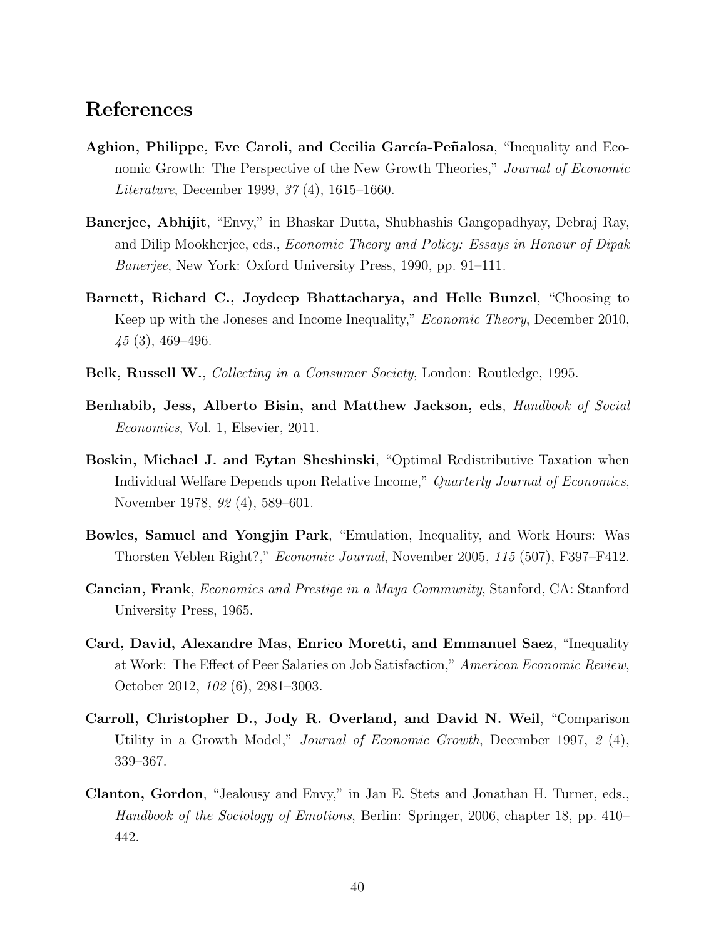### References

- Aghion, Philippe, Eve Caroli, and Cecilia García-Peñalosa, "Inequality and Economic Growth: The Perspective of the New Growth Theories," Journal of Economic Literature, December 1999, 37 (4), 1615–1660.
- Banerjee, Abhijit, "Envy," in Bhaskar Dutta, Shubhashis Gangopadhyay, Debraj Ray, and Dilip Mookherjee, eds., Economic Theory and Policy: Essays in Honour of Dipak Banerjee, New York: Oxford University Press, 1990, pp. 91–111.
- Barnett, Richard C., Joydeep Bhattacharya, and Helle Bunzel, "Choosing to Keep up with the Joneses and Income Inequality," Economic Theory, December 2010, 45 (3), 469–496.
- Belk, Russell W., Collecting in a Consumer Society, London: Routledge, 1995.
- Benhabib, Jess, Alberto Bisin, and Matthew Jackson, eds, Handbook of Social Economics, Vol. 1, Elsevier, 2011.
- Boskin, Michael J. and Eytan Sheshinski, "Optimal Redistributive Taxation when Individual Welfare Depends upon Relative Income," Quarterly Journal of Economics, November 1978, 92 (4), 589–601.
- Bowles, Samuel and Yongjin Park, "Emulation, Inequality, and Work Hours: Was Thorsten Veblen Right?," Economic Journal, November 2005, 115 (507), F397–F412.
- Cancian, Frank, Economics and Prestige in a Maya Community, Stanford, CA: Stanford University Press, 1965.
- Card, David, Alexandre Mas, Enrico Moretti, and Emmanuel Saez, "Inequality at Work: The Effect of Peer Salaries on Job Satisfaction," American Economic Review, October 2012, 102 (6), 2981–3003.
- Carroll, Christopher D., Jody R. Overland, and David N. Weil, "Comparison Utility in a Growth Model," Journal of Economic Growth, December 1997, 2 (4), 339–367.
- Clanton, Gordon, "Jealousy and Envy," in Jan E. Stets and Jonathan H. Turner, eds., Handbook of the Sociology of Emotions, Berlin: Springer, 2006, chapter 18, pp. 410– 442.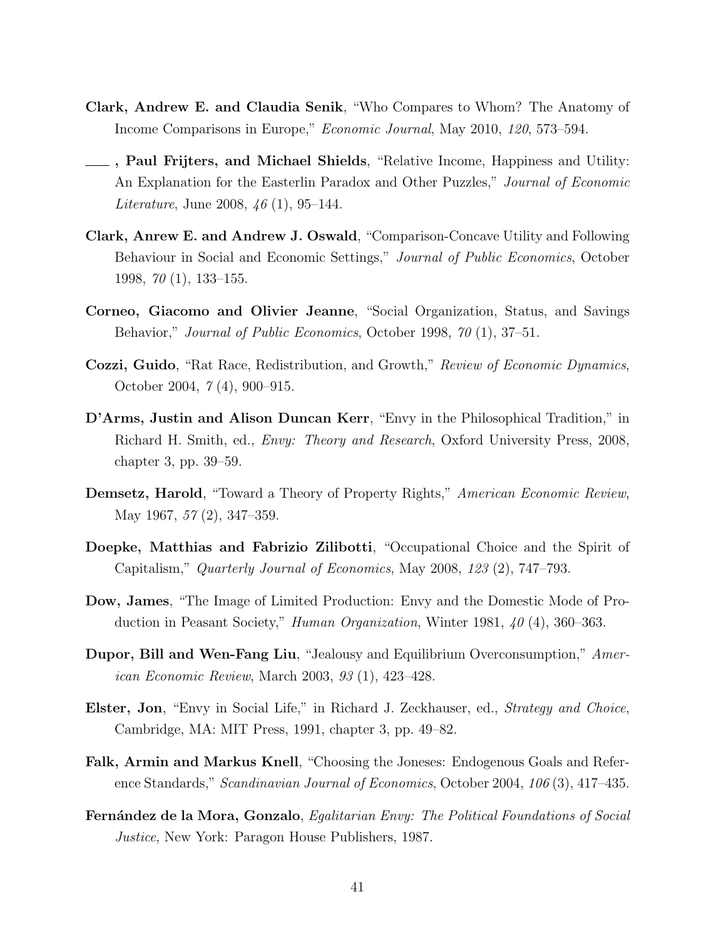- Clark, Andrew E. and Claudia Senik, "Who Compares to Whom? The Anatomy of Income Comparisons in Europe," Economic Journal, May 2010, 120, 573–594.
- $\quad$ , Paul Frijters, and Michael Shields, "Relative Income, Happiness and Utility: An Explanation for the Easterlin Paradox and Other Puzzles," Journal of Economic Literature, June 2008, 46 (1), 95–144.
- Clark, Anrew E. and Andrew J. Oswald, "Comparison-Concave Utility and Following Behaviour in Social and Economic Settings," Journal of Public Economics, October 1998, 70 (1), 133–155.
- Corneo, Giacomo and Olivier Jeanne, "Social Organization, Status, and Savings Behavior," *Journal of Public Economics*, October 1998, 70 (1), 37–51.
- Cozzi, Guido, "Rat Race, Redistribution, and Growth," Review of Economic Dynamics, October 2004, 7 (4), 900–915.
- D'Arms, Justin and Alison Duncan Kerr, "Envy in the Philosophical Tradition," in Richard H. Smith, ed., Envy: Theory and Research, Oxford University Press, 2008, chapter 3, pp. 39–59.
- Demsetz, Harold, "Toward a Theory of Property Rights," American Economic Review, May 1967, 57 (2), 347–359.
- Doepke, Matthias and Fabrizio Zilibotti, "Occupational Choice and the Spirit of Capitalism," Quarterly Journal of Economics, May 2008, 123 (2), 747–793.
- Dow, James, "The Image of Limited Production: Envy and the Domestic Mode of Production in Peasant Society," Human Organization, Winter 1981, 40 (4), 360–363.
- Dupor, Bill and Wen-Fang Liu, "Jealousy and Equilibrium Overconsumption," American Economic Review, March 2003, 93 (1), 423–428.
- Elster, Jon, "Envy in Social Life," in Richard J. Zeckhauser, ed., Strategy and Choice, Cambridge, MA: MIT Press, 1991, chapter 3, pp. 49–82.
- Falk, Armin and Markus Knell, "Choosing the Joneses: Endogenous Goals and Reference Standards," Scandinavian Journal of Economics, October 2004, 106 (3), 417–435.
- Fernández de la Mora, Gonzalo, Egalitarian Envy: The Political Foundations of Social Justice, New York: Paragon House Publishers, 1987.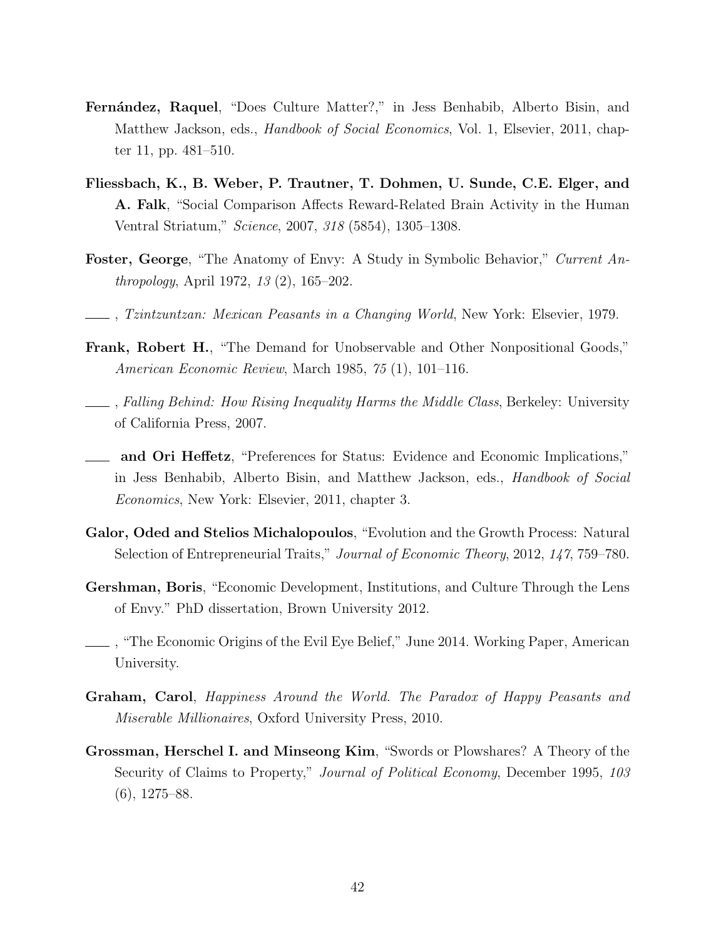- Fernández, Raquel, "Does Culture Matter?," in Jess Benhabib, Alberto Bisin, and Matthew Jackson, eds., *Handbook of Social Economics*, Vol. 1, Elsevier, 2011, chapter 11, pp. 481–510.
- Fliessbach, K., B. Weber, P. Trautner, T. Dohmen, U. Sunde, C.E. Elger, and A. Falk, "Social Comparison Affects Reward-Related Brain Activity in the Human Ventral Striatum," Science, 2007, 318 (5854), 1305–1308.
- Foster, George, "The Anatomy of Envy: A Study in Symbolic Behavior," Current Anthropology, April 1972, 13 (2), 165–202.
- , Tzintzuntzan: Mexican Peasants in a Changing World, New York: Elsevier, 1979.
- Frank, Robert H., "The Demand for Unobservable and Other Nonpositional Goods," American Economic Review, March 1985, 75 (1), 101–116.
- , Falling Behind: How Rising Inequality Harms the Middle Class, Berkeley: University of California Press, 2007.
- and Ori Heffetz, "Preferences for Status: Evidence and Economic Implications," in Jess Benhabib, Alberto Bisin, and Matthew Jackson, eds., Handbook of Social Economics, New York: Elsevier, 2011, chapter 3.
- Galor, Oded and Stelios Michalopoulos, "Evolution and the Growth Process: Natural Selection of Entrepreneurial Traits," Journal of Economic Theory, 2012, 147, 759–780.
- Gershman, Boris, "Economic Development, Institutions, and Culture Through the Lens of Envy." PhD dissertation, Brown University 2012.
- , "The Economic Origins of the Evil Eye Belief," June 2014. Working Paper, American University.
- Graham, Carol, Happiness Around the World. The Paradox of Happy Peasants and Miserable Millionaires, Oxford University Press, 2010.
- Grossman, Herschel I. and Minseong Kim, "Swords or Plowshares? A Theory of the Security of Claims to Property," Journal of Political Economy, December 1995, 103 (6), 1275–88.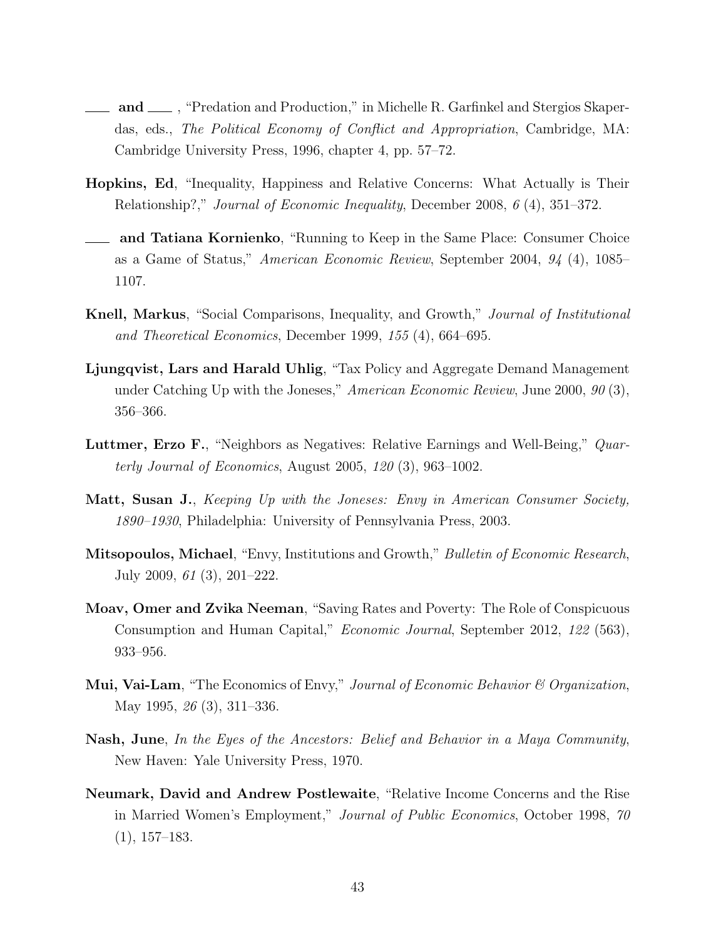- and  $\mu$ , "Predation and Production," in Michelle R. Garfinkel and Stergios Skaperdas, eds., The Political Economy of Conflict and Appropriation, Cambridge, MA: Cambridge University Press, 1996, chapter 4, pp. 57–72.
- Hopkins, Ed, "Inequality, Happiness and Relative Concerns: What Actually is Their Relationship?," Journal of Economic Inequality, December 2008, 6 (4), 351–372.
- and Tatiana Kornienko, "Running to Keep in the Same Place: Consumer Choice as a Game of Status," American Economic Review, September 2004, 94 (4), 1085– 1107.
- Knell, Markus, "Social Comparisons, Inequality, and Growth," Journal of Institutional and Theoretical Economics, December 1999, 155 (4), 664–695.
- Ljungqvist, Lars and Harald Uhlig, "Tax Policy and Aggregate Demand Management under Catching Up with the Joneses," American Economic Review, June 2000, 90 (3), 356–366.
- Luttmer, Erzo F., "Neighbors as Negatives: Relative Earnings and Well-Being," Quarterly Journal of Economics, August 2005, 120 (3), 963–1002.
- Matt, Susan J., Keeping Up with the Joneses: Envy in American Consumer Society, 1890–1930, Philadelphia: University of Pennsylvania Press, 2003.
- Mitsopoulos, Michael, "Envy, Institutions and Growth," Bulletin of Economic Research, July 2009, 61 (3), 201–222.
- Moav, Omer and Zvika Neeman, "Saving Rates and Poverty: The Role of Conspicuous Consumption and Human Capital," Economic Journal, September 2012, 122 (563), 933–956.
- **Mui, Vai-Lam**, "The Economics of Envy," Journal of Economic Behavior  $\mathcal{C}$  Organization, May 1995, 26 (3), 311–336.
- Nash, June, In the Eyes of the Ancestors: Belief and Behavior in a Maya Community, New Haven: Yale University Press, 1970.
- Neumark, David and Andrew Postlewaite, "Relative Income Concerns and the Rise in Married Women's Employment," Journal of Public Economics, October 1998, 70 (1), 157–183.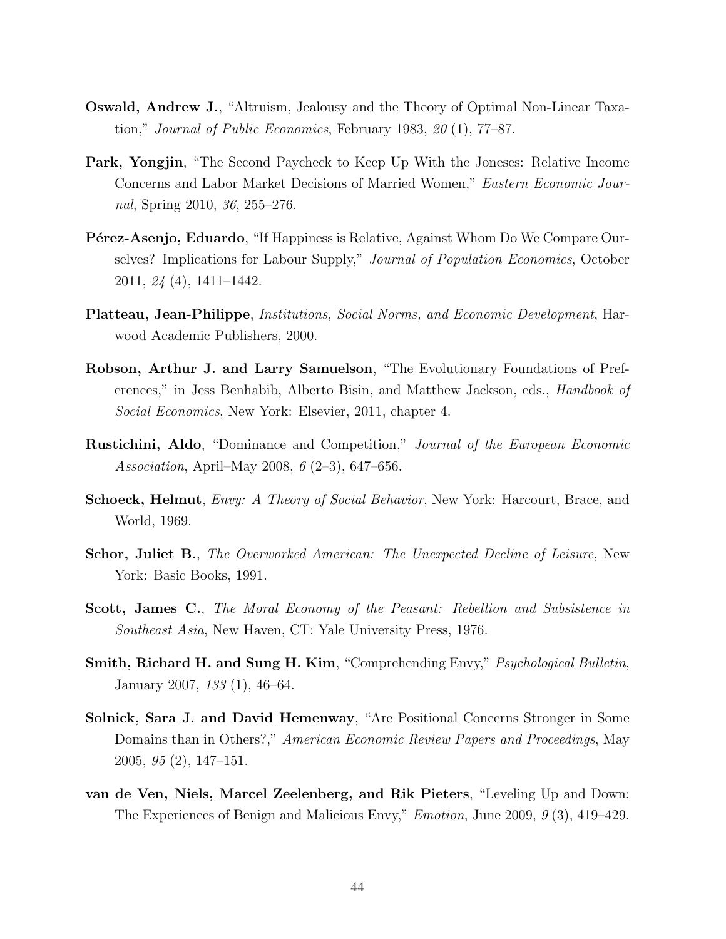- Oswald, Andrew J., "Altruism, Jealousy and the Theory of Optimal Non-Linear Taxation," Journal of Public Economics, February 1983, 20 (1), 77–87.
- Park, Yongjin, "The Second Paycheck to Keep Up With the Joneses: Relative Income Concerns and Labor Market Decisions of Married Women," Eastern Economic Journal, Spring 2010, 36, 255–276.
- **Pérez-Asenjo, Eduardo**, "If Happiness is Relative, Against Whom Do We Compare Ourselves? Implications for Labour Supply," Journal of Population Economics, October 2011, 24 (4), 1411–1442.
- Platteau, Jean-Philippe, Institutions, Social Norms, and Economic Development, Harwood Academic Publishers, 2000.
- Robson, Arthur J. and Larry Samuelson, "The Evolutionary Foundations of Preferences," in Jess Benhabib, Alberto Bisin, and Matthew Jackson, eds., Handbook of Social Economics, New York: Elsevier, 2011, chapter 4.
- Rustichini, Aldo, "Dominance and Competition," Journal of the European Economic Association, April–May 2008, 6 (2–3), 647–656.
- **Schoeck, Helmut**, *Envy: A Theory of Social Behavior*, New York: Harcourt, Brace, and World, 1969.
- Schor, Juliet B., The Overworked American: The Unexpected Decline of Leisure, New York: Basic Books, 1991.
- Scott, James C., The Moral Economy of the Peasant: Rebellion and Subsistence in Southeast Asia, New Haven, CT: Yale University Press, 1976.
- Smith, Richard H. and Sung H. Kim, "Comprehending Envy," Psychological Bulletin, January 2007, 133 (1), 46–64.
- Solnick, Sara J. and David Hemenway, "Are Positional Concerns Stronger in Some Domains than in Others?," American Economic Review Papers and Proceedings, May 2005, 95 (2), 147–151.
- van de Ven, Niels, Marcel Zeelenberg, and Rik Pieters, "Leveling Up and Down: The Experiences of Benign and Malicious Envy," Emotion, June 2009, 9 (3), 419–429.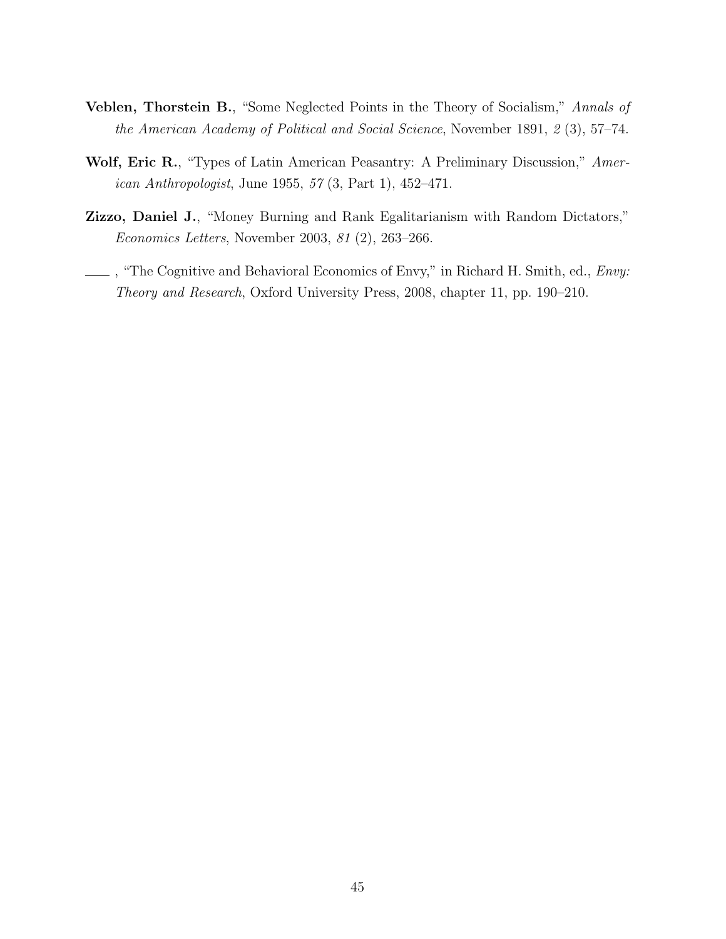- Veblen, Thorstein B., "Some Neglected Points in the Theory of Socialism," Annals of the American Academy of Political and Social Science, November 1891, 2 (3), 57–74.
- Wolf, Eric R., "Types of Latin American Peasantry: A Preliminary Discussion," American Anthropologist, June 1955, 57 (3, Part 1), 452–471.
- Zizzo, Daniel J., "Money Burning and Rank Egalitarianism with Random Dictators," Economics Letters, November 2003, 81 (2), 263–266.
- , "The Cognitive and Behavioral Economics of Envy," in Richard H. Smith, ed., Envy: Theory and Research, Oxford University Press, 2008, chapter 11, pp. 190–210.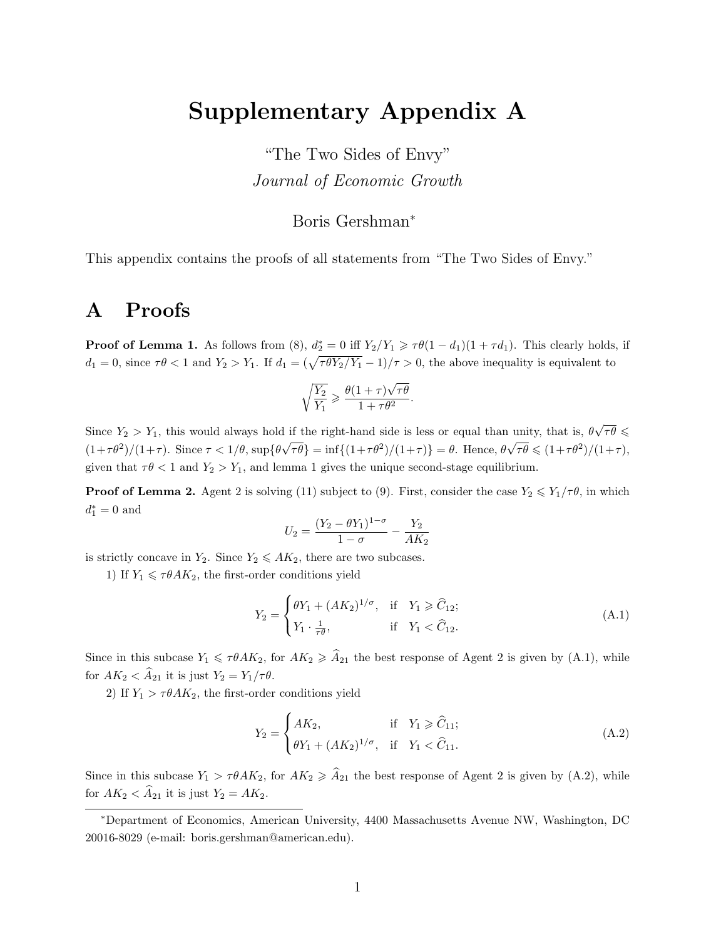# Supplementary Appendix A

"The Two Sides of Envy" Journal of Economic Growth

Boris Gershman<sup>∗</sup>

This appendix contains the proofs of all statements from "The Two Sides of Envy."

## A Proofs

**Proof of Lemma [1.](#page-13-2)** As follows from [\(8\)](#page-12-1),  $d_2^* = 0$  iff  $Y_2/Y_1 \geq \tau \theta (1 - d_1)(1 + \tau d_1)$ . This clearly holds, if  $d_1 = 0$ , since  $\tau \theta < 1$  and  $Y_2 > Y_1$ . If  $d_1 = (\sqrt{\tau \theta Y_2/Y_1} - 1)/\tau > 0$ , the above inequality is equivalent to

$$
\sqrt{\frac{Y_2}{Y_1}} \geqslant \frac{\theta(1+\tau)\sqrt{\tau\theta}}{1+\tau\theta^2}.
$$

Since  $Y_2 > Y_1$ , this would always hold if the right-hand side is less or equal than unity, that is,  $\theta$ d if the right-hand side is less or equal than unity, that is,  $\theta\sqrt{\tau\theta} \leq$  $(1+\tau\theta^2)/(1+\tau)$ . Since  $\tau < 1/\theta$ ,  $\sup{\lbrace \theta\sqrt{\tau\theta} \rbrace} = \inf{\lbrace (1+\tau\theta^2)/(1+\tau) \rbrace} = \theta$ . Hence,  $\theta\sqrt{\tau\theta} \leq (1+\tau\theta^2)/(1+\tau)$ , given that  $\tau\theta < 1$  $\tau\theta < 1$  and  $Y_2 > Y_1$ , and lemma 1 gives the unique second-stage equilibrium.

**Proof of Lemma [2.](#page-14-0)** Agent 2 is solving [\(11\)](#page-13-3) subject to [\(9\)](#page-13-4). First, consider the case  $Y_2 \leq Y_1/\tau\theta$ , in which  $d_1^* = 0$  and

$$
U_2 = \frac{(Y_2 - \theta Y_1)^{1-\sigma}}{1-\sigma} - \frac{Y_2}{AK_2}
$$

is strictly concave in  $Y_2$ . Since  $Y_2 \leq AK_2$ , there are two subcases.

1) If  $Y_1 \leq \tau \theta A K_2$ , the first-order conditions yield

<span id="page-46-0"></span>
$$
Y_2 = \begin{cases} \theta Y_1 + (AK_2)^{1/\sigma}, & \text{if } Y_1 \ge \hat{C}_{12}; \\ Y_1 \cdot \frac{1}{\tau \theta}, & \text{if } Y_1 < \hat{C}_{12}. \end{cases} \tag{A.1}
$$

Since in this subcase  $Y_1 \leq \tau \theta A K_2$ , for  $AK_2 \geq \widehat{A}_{21}$  the best response of Agent 2 is given by [\(A.1\)](#page-46-0), while for  $AK_2 < \widehat{A}_{21}$  it is just  $Y_2 = Y_1/\tau \theta$ .

2) If  $Y_1 > \tau \theta A K_2$ , the first-order conditions yield

<span id="page-46-1"></span>
$$
Y_2 = \begin{cases} AK_2, & \text{if } Y_1 \ge \hat{C}_{11}; \\ \theta Y_1 + (AK_2)^{1/\sigma}, & \text{if } Y_1 < \hat{C}_{11}. \end{cases}
$$
 (A.2)

Since in this subcase  $Y_1 > \tau \theta A K_2$ , for  $A K_2 \geq \widehat{A}_{21}$  the best response of Agent 2 is given by [\(A.2\)](#page-46-1), while for  $AK_2 < \widehat{A}_{21}$  it is just  $Y_2 = AK_2$ .

<sup>∗</sup>Department of Economics, American University, 4400 Massachusetts Avenue NW, Washington, DC 20016-8029 (e-mail: boris.gershman@american.edu).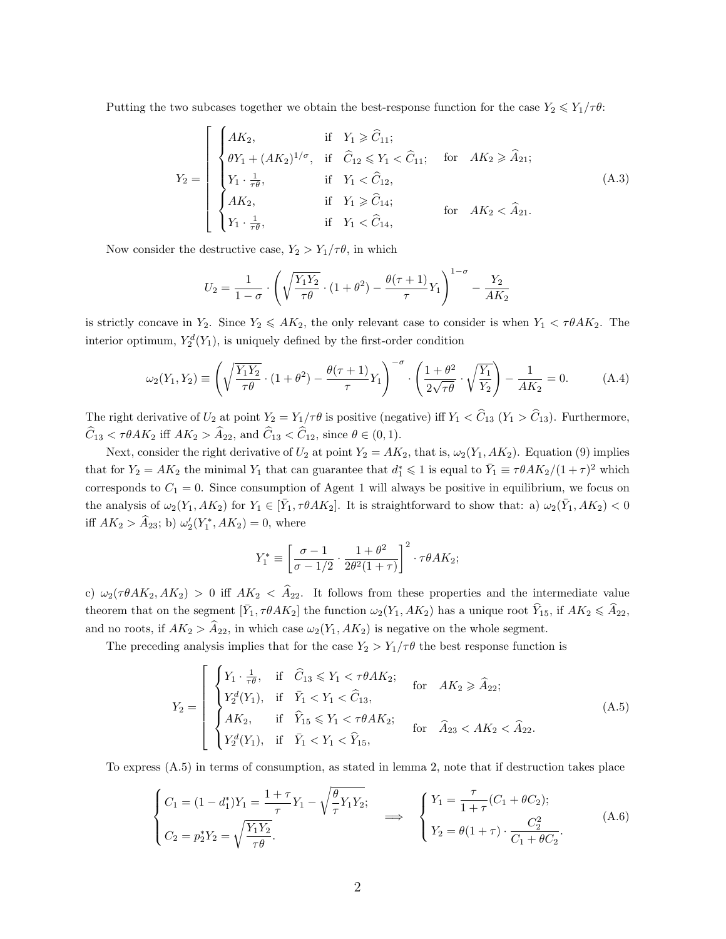Putting the two subcases together we obtain the best-response function for the case  $Y_2 \leq Y_1/\tau \theta$ :

<span id="page-47-3"></span>
$$
Y_2 = \begin{bmatrix} \begin{cases} AK_2, & \text{if } Y_1 \geqslant \hat{C}_{11}; \\ \theta Y_1 + (AK_2)^{1/\sigma}, & \text{if } \hat{C}_{12} \leqslant Y_1 < \hat{C}_{11}; \\ Y_1 \cdot \frac{1}{\tau \theta}, & \text{if } Y_1 < \hat{C}_{12}, \\ AK_2, & \text{if } Y_1 \geqslant \hat{C}_{14}; \\ Y_1 \cdot \frac{1}{\tau \theta}, & \text{if } Y_1 < \hat{C}_{14}; \end{cases} \qquad \text{for } AK_2 < \hat{A}_{21}. \end{bmatrix} \tag{A.3}
$$

Now consider the destructive case,  $Y_2 > Y_1/\tau \theta$ , in which

$$
U_2 = \frac{1}{1 - \sigma} \cdot \left( \sqrt{\frac{Y_1 Y_2}{\tau \theta}} \cdot (1 + \theta^2) - \frac{\theta(\tau + 1)}{\tau} Y_1 \right)^{1 - \sigma} - \frac{Y_2}{A K_2}
$$

is strictly concave in  $Y_2$ . Since  $Y_2 \le AK_2$ , the only relevant case to consider is when  $Y_1 < \tau \theta AK_2$ . The interior optimum,  $Y_2^d(Y_1)$ , is uniquely defined by the first-order condition

<span id="page-47-1"></span>
$$
\omega_2(Y_1, Y_2) \equiv \left(\sqrt{\frac{Y_1 Y_2}{\tau \theta}} \cdot (1 + \theta^2) - \frac{\theta(\tau + 1)}{\tau} Y_1\right)^{-\sigma} \cdot \left(\frac{1 + \theta^2}{2\sqrt{\tau \theta}} \cdot \sqrt{\frac{Y_1}{Y_2}}\right) - \frac{1}{AK_2} = 0. \tag{A.4}
$$

The right derivative of  $U_2$  at point  $Y_2 = Y_1/\tau \theta$  is positive (negative) iff  $Y_1 < \hat{C}_{13}$   $(Y_1 > \hat{C}_{13})$ . Furthermore,  $\widehat{C}_{13} < \tau \theta A K_2$  iff  $AK_2 > \widehat{A}_{22}$ , and  $\widehat{C}_{13} < \widehat{C}_{12}$ , since  $\theta \in (0, 1)$ .

Next, consider the right derivative of  $U_2$  at point  $Y_2 = AK_2$ , that is,  $\omega_2(Y_1, AK_2)$ . Equation [\(9\)](#page-13-4) implies that for  $Y_2 = AK_2$  the minimal  $Y_1$  that can guarantee that  $d_1^* \leqslant 1$  is equal to  $\bar{Y}_1 \equiv \tau \theta A K_2/(1+\tau)^2$  which corresponds to  $C_1 = 0$ . Since consumption of Agent 1 will always be positive in equilibrium, we focus on the analysis of  $\omega_2(Y_1, AK_2)$  for  $Y_1 \in [\bar{Y}_1, \tau \theta AK_2]$ . It is straightforward to show that: a)  $\omega_2(\bar{Y}_1, AK_2) < 0$ iff  $AK_2 > \hat{A}_{23}$ ; b)  $\omega'_2(Y_1^*, AK_2) = 0$ , where

$$
Y_1^* \equiv \left[\frac{\sigma-1}{\sigma-1/2}\cdot\frac{1+\theta^2}{2\theta^2(1+\tau)}\right]^2\cdot\tau\theta AK_2;
$$

c)  $\omega_2(\tau \theta A K_2, AK_2) > 0$  iff  $AK_2 < \hat{A}_{22}$ . It follows from these properties and the intermediate value theorem that on the segment  $[\bar{Y}_1, \tau \theta A K_2]$  the function  $\omega_2(Y_1, AK_2)$  has a unique root  $\widehat{Y}_{15}$ , if  $AK_2 \leq \widehat{A}_{22}$ , and no roots, if  $AK_2 > \hat{A}_{22}$ , in which case  $\omega_2(Y_1, AK_2)$  is negative on the whole segment.

The preceding analysis implies that for the case  $Y_2 > Y_1/\tau \theta$  the best response function is

<span id="page-47-0"></span>
$$
Y_2 = \begin{cases} \begin{cases} Y_1 \cdot \frac{1}{\tau \theta}, & \text{if } \hat{C}_{13} \leq Y_1 < \tau \theta A K_2; \\ Y_2^d(Y_1), & \text{if } \bar{Y}_1 < Y_1 < \hat{C}_{13}, \end{cases} \\ A K_2, & \text{if } \hat{Y}_{15} \leq Y_1 < \tau \theta A K_2; \\ Y_2^d(Y_1), & \text{if } \bar{Y}_1 < Y_1 < \hat{Y}_{15}, \end{cases} \qquad \text{for } \hat{A}_{23} < A K_2 < \hat{A}_{22}. \end{cases} \tag{A.5}
$$

To express [\(A.5\)](#page-47-0) in terms of consumption, as stated in lemma [2,](#page-14-0) note that if destruction takes place

<span id="page-47-2"></span>
$$
\begin{cases}\nC_1 = (1 - d_1^*)Y_1 = \frac{1 + \tau}{\tau} Y_1 - \sqrt{\frac{\theta}{\tau}} Y_1 Y_2; \\
C_2 = p_2^* Y_2 = \sqrt{\frac{Y_1 Y_2}{\tau \theta}}.\n\end{cases}\n\implies\n\begin{cases}\nY_1 = \frac{\tau}{1 + \tau} (C_1 + \theta C_2); \\
Y_2 = \theta (1 + \tau) \cdot \frac{C_2^2}{C_1 + \theta C_2}.\n\end{cases}\n(A.6)
$$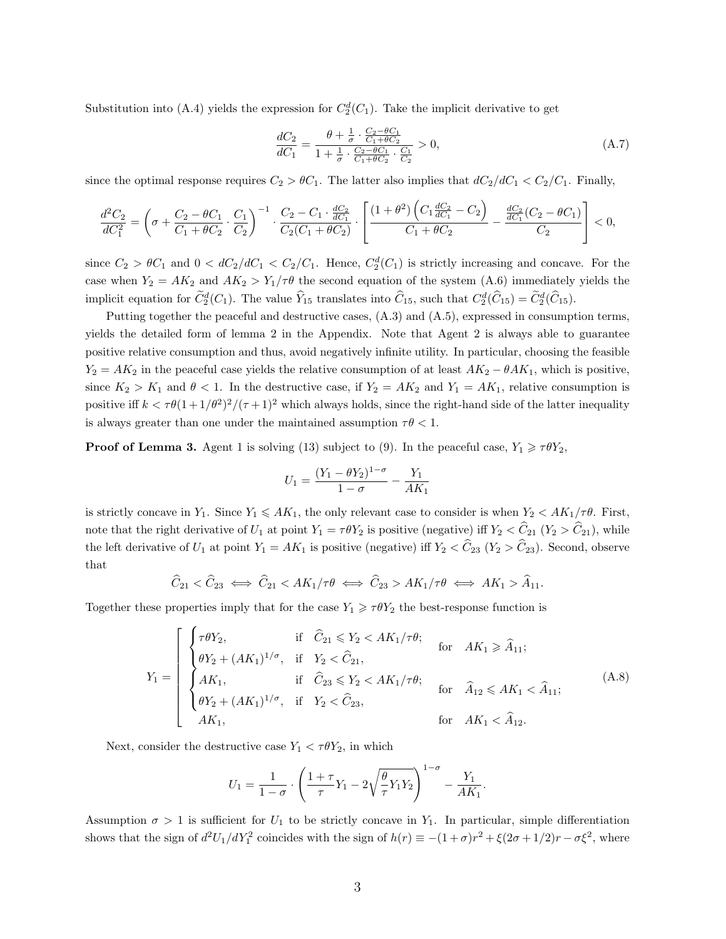Substitution into [\(A.4\)](#page-47-1) yields the expression for  $C_2^d(C_1)$ . Take the implicit derivative to get

<span id="page-48-1"></span>
$$
\frac{dC_2}{dC_1} = \frac{\theta + \frac{1}{\sigma} \cdot \frac{C_2 - \theta C_1}{C_1 + \theta C_2}}{1 + \frac{1}{\sigma} \cdot \frac{C_2 - \theta C_1}{C_1 + \theta C_2} \cdot \frac{C_1}{C_2}} > 0,
$$
\n(A.7)

since the optimal response requires  $C_2 > \theta C_1$ . The latter also implies that  $dC_2/dC_1 < C_2/C_1$ . Finally,

$$
\frac{d^2C_2}{dC_1^2} = \left(\sigma + \frac{C_2 - \theta C_1}{C_1 + \theta C_2} \cdot \frac{C_1}{C_2}\right)^{-1} \cdot \frac{C_2 - C_1 \cdot \frac{dC_2}{dC_1}}{C_2(C_1 + \theta C_2)} \cdot \left[\frac{(1 + \theta^2)\left(C_1 \frac{dC_2}{dC_1} - C_2\right)}{C_1 + \theta C_2} - \frac{\frac{dC_2}{dC_1}(C_2 - \theta C_1)}{C_2}\right] < 0,
$$

since  $C_2 > \theta C_1$  and  $0 < dC_2/dC_1 < C_2/C_1$ . Hence,  $C_2^d(C_1)$  is strictly increasing and concave. For the case when  $Y_2 = AK_2$  and  $AK_2 > Y_1/\tau\theta$  the second equation of the system [\(A.6\)](#page-47-2) immediately yields the implicit equation for  $\tilde{C}_2^d(C_1)$ . The value  $\hat{Y}_{15}$  translates into  $\hat{C}_{15}$ , such that  $C_2^d(\hat{C}_{15}) = \tilde{C}_2^d(\hat{C}_{15})$ .

Putting together the peaceful and destructive cases, [\(A.3\)](#page-47-3) and [\(A.5\)](#page-47-0), expressed in consumption terms, yields the detailed form of lemma [2](#page-14-0) in the Appendix. Note that Agent 2 is always able to guarantee positive relative consumption and thus, avoid negatively infinite utility. In particular, choosing the feasible  $Y_2 = AK_2$  in the peaceful case yields the relative consumption of at least  $AK_2 - \theta AK_1$ , which is positive, since  $K_2 > K_1$  and  $\theta < 1$ . In the destructive case, if  $Y_2 = AK_2$  and  $Y_1 = AK_1$ , relative consumption is positive iff  $k < \tau \theta (1 + 1/\theta^2)^2/(\tau + 1)^2$  which always holds, since the right-hand side of the latter inequality is always greater than one under the maintained assumption  $\tau\theta$  < 1.

**Proof of Lemma [3.](#page-16-0)** Agent 1 is solving [\(13\)](#page-16-3) subject to [\(9\)](#page-13-4). In the peaceful case,  $Y_1 \geq \tau \theta Y_2$ ,

$$
U_1 = \frac{(Y_1 - \theta Y_2)^{1-\sigma}}{1-\sigma} - \frac{Y_1}{AK_1}
$$

is strictly concave in  $Y_1$ . Since  $Y_1 \leq AK_1$ , the only relevant case to consider is when  $Y_2 < AK_1/\tau\theta$ . First, note that the right derivative of  $U_1$  at point  $Y_1 = \tau \theta Y_2$  is positive (negative) iff  $Y_2 < \widehat{C}_{21}$   $(Y_2 > \widehat{C}_{21})$ , while the left derivative of  $U_1$  at point  $Y_1 = AK_1$  is positive (negative) iff  $Y_2 < \widehat{C}_{23}$   $(Y_2 > \widehat{C}_{23})$ . Second, observe that

$$
\widehat{C}_{21} < \widehat{C}_{23} \iff \widehat{C}_{21} < AK_1/\tau\theta \iff \widehat{C}_{23} > AK_1/\tau\theta \iff AK_1 > \widehat{A}_{11}.
$$

Together these properties imply that for the case  $Y_1 \geq \tau \theta Y_2$  the best-response function is

<span id="page-48-0"></span>
$$
Y_{1} = \begin{cases} \begin{cases} \tau \theta Y_{2}, & \text{if } \hat{C}_{21} \leq Y_{2} < AK_{1}/\tau\theta; \\ \theta Y_{2} + (AK_{1})^{1/\sigma}, & \text{if } Y_{2} < \hat{C}_{21}, \\ AK_{1}, & \text{if } \hat{C}_{23} \leq Y_{2} < AK_{1}/\tau\theta; \\ \theta Y_{2} + (AK_{1})^{1/\sigma}, & \text{if } Y_{2} < \hat{C}_{23}, \\ AK_{1}, & \text{for } A_{12} \leq AK_{1} < \hat{A}_{11}; \\ AK_{1}, & \text{for } AK_{1} < \hat{A}_{12}. \end{cases} \end{cases} (A.8)
$$

Next, consider the destructive case  $Y_1 < \tau \theta Y_2$ , in which

$$
U_1 = \frac{1}{1 - \sigma} \cdot \left( \frac{1 + \tau}{\tau} Y_1 - 2 \sqrt{\frac{\theta}{\tau} Y_1 Y_2} \right)^{1 - \sigma} - \frac{Y_1}{A K_1}.
$$

Assumption  $\sigma > 1$  is sufficient for  $U_1$  to be strictly concave in  $Y_1$ . In particular, simple differentiation shows that the sign of  $d^2U_1/dY_1^2$  coincides with the sign of  $h(r) \equiv -(1+\sigma)r^2 + \xi(2\sigma+1/2)r - \sigma\xi^2$ , where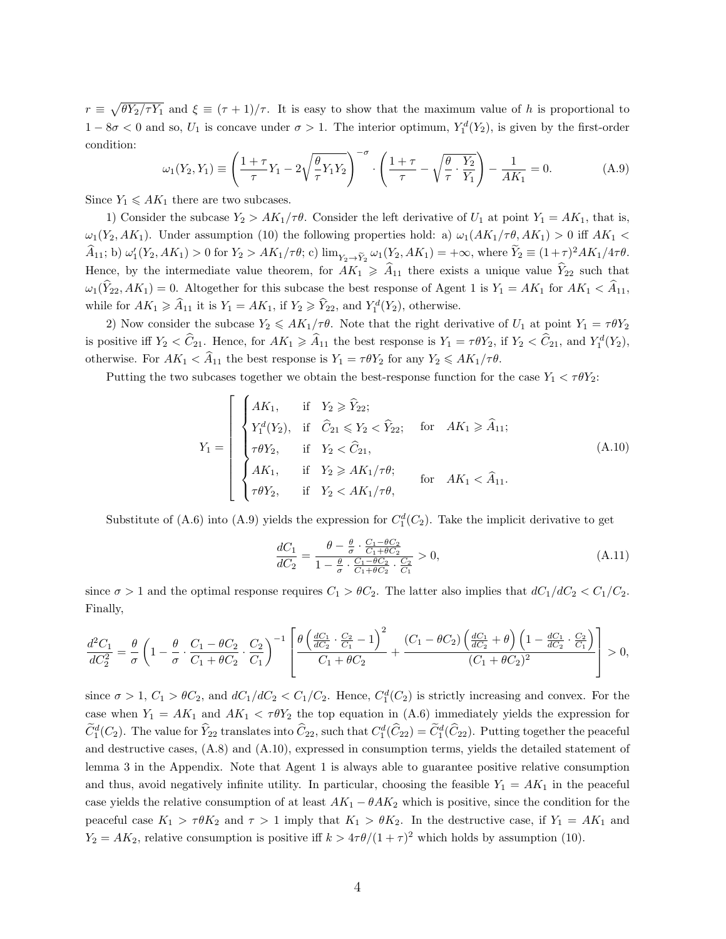$r \equiv \sqrt{\theta Y_2/\tau Y_1}$  and  $\xi \equiv (\tau + 1)/\tau$ . It is easy to show that the maximum value of h is proportional to  $1-8\sigma < 0$  and so,  $U_1$  is concave under  $\sigma > 1$ . The interior optimum,  $Y_1^d(Y_2)$ , is given by the first-order condition:

<span id="page-49-0"></span>
$$
\omega_1(Y_2, Y_1) \equiv \left(\frac{1+\tau}{\tau}Y_1 - 2\sqrt{\frac{\theta}{\tau}Y_1Y_2}\right)^{-\sigma} \cdot \left(\frac{1+\tau}{\tau} - \sqrt{\frac{\theta}{\tau} \cdot \frac{Y_2}{Y_1}}\right) - \frac{1}{AK_1} = 0. \tag{A.9}
$$

Since  $Y_1 \leqslant AK_1$  there are two subcases.

1) Consider the subcase  $Y_2 > AK_1/\tau\theta$ . Consider the left derivative of  $U_1$  at point  $Y_1 = AK_1$ , that is,  $\omega_1(Y_2, AK_1)$ . Under assumption [\(10\)](#page-13-0) the following properties hold: a)  $\omega_1(AK_1/\tau\theta, AK_1) > 0$  iff  $AK_1 <$  $\widehat{A}_{11}$ ; b)  $\omega_1'(Y_2, AK_1) > 0$  for  $Y_2 > AK_1/\tau\theta$ ; c)  $\lim_{Y_2 \to \widetilde{Y}_2} \omega_1(Y_2, AK_1) = +\infty$ , where  $\widetilde{Y}_2 \equiv (1+\tau)^2 AK_1/4\tau\theta$ . Hence, by the intermediate value theorem, for  $AK_1 \geq \hat{A}_{11}$  there exists a unique value  $\hat{Y}_{22}$  such that  $\omega_1(\hat{Y}_{22}, AK_1) = 0$ . Altogether for this subcase the best response of Agent 1 is  $Y_1 = AK_1$  for  $AK_1 < \hat{A}_{11}$ , while for  $AK_1 \ge \widehat{A}_{11}$  it is  $Y_1 = AK_1$ , if  $Y_2 \ge \widehat{Y}_{22}$ , and  $Y_1^d(Y_2)$ , otherwise.

2) Now consider the subcase  $Y_2 \leq AK_1/\tau\theta$ . Note that the right derivative of  $U_1$  at point  $Y_1 = \tau\theta Y_2$ is positive iff  $Y_2 < \widehat{C}_{21}$ . Hence, for  $AK_1 \geq \widehat{A}_{11}$  the best response is  $Y_1 = \tau \theta Y_2$ , if  $Y_2 < \widehat{C}_{21}$ , and  $Y_1^d(Y_2)$ , otherwise. For  $AK_1 < \hat{A}_{11}$  the best response is  $Y_1 = \tau \theta Y_2$  for any  $Y_2 \le AK_1/\tau \theta$ .

Putting the two subcases together we obtain the best-response function for the case  $Y_1 < \tau \theta Y_2$ :

<span id="page-49-1"></span>
$$
Y_1 = \begin{bmatrix} Ax_1, & \text{if} & Y_2 \ge \hat{Y}_{22}; \\ Y_1^d(Y_2), & \text{if} & \hat{C}_{21} \le Y_2 < \hat{Y}_{22}; \\ \tau \theta Y_2, & \text{if} & Y_2 < \hat{C}_{21}, \\ AX_1, & \text{if} & Y_2 \ge AK_1/\tau\theta; \\ \tau \theta Y_2, & \text{if} & Y_2 < AK_1/\tau\theta, \end{bmatrix} \quad \text{for} \quad AK_1 < \hat{A}_{11}. \tag{A.10}
$$

Substitute of [\(A.6\)](#page-47-2) into [\(A.9\)](#page-49-0) yields the expression for  $C_1^d(C_2)$ . Take the implicit derivative to get

<span id="page-49-2"></span>
$$
\frac{dC_1}{dC_2} = \frac{\theta - \frac{\theta}{\sigma} \cdot \frac{C_1 - \theta C_2}{C_1 + \theta C_2}}{1 - \frac{\theta}{\sigma} \cdot \frac{C_1 - \theta C_2}{C_1 + \theta C_2} \cdot \frac{C_2}{C_1}} > 0,
$$
\n(A.11)

since  $\sigma > 1$  and the optimal response requires  $C_1 > \theta C_2$ . The latter also implies that  $dC_1/dC_2 < C_1/C_2$ . Finally,

$$
\frac{d^2C_1}{dC_2^2} = \frac{\theta}{\sigma} \left( 1 - \frac{\theta}{\sigma} \cdot \frac{C_1 - \theta C_2}{C_1 + \theta C_2} \cdot \frac{C_2}{C_1} \right)^{-1} \left[ \frac{\theta \left( \frac{dC_1}{dC_2} \cdot \frac{C_2}{C_1} - 1 \right)^2}{C_1 + \theta C_2} + \frac{(C_1 - \theta C_2) \left( \frac{dC_1}{dC_2} + \theta \right) \left( 1 - \frac{dC_1}{dC_2} \cdot \frac{C_2}{C_1} \right)}{(C_1 + \theta C_2)^2} \right] > 0,
$$

since  $\sigma > 1$ ,  $C_1 > \theta C_2$ , and  $dC_1/dC_2 < C_1/C_2$ . Hence,  $C_1^d(C_2)$  is strictly increasing and convex. For the case when  $Y_1 = AK_1$  and  $AK_1 < \tau \theta Y_2$  the top equation in [\(A.6\)](#page-47-2) immediately yields the expression for  $\tilde{C}_1^d(C_2)$ . The value for  $\hat{Y}_{22}$  translates into  $\hat{C}_{22}$ , such that  $C_1^d(\hat{C}_{22}) = \tilde{C}_1^d(\hat{C}_{22})$ . Putting together the peaceful and destructive cases, [\(A.8\)](#page-48-0) and [\(A.10\)](#page-49-1), expressed in consumption terms, yields the detailed statement of lemma [3](#page-16-0) in the Appendix. Note that Agent 1 is always able to guarantee positive relative consumption and thus, avoid negatively infinite utility. In particular, choosing the feasible  $Y_1 = AK_1$  in the peaceful case yields the relative consumption of at least  $AK_1 - \theta AK_2$  which is positive, since the condition for the peaceful case  $K_1 > \tau \theta K_2$  and  $\tau > 1$  imply that  $K_1 > \theta K_2$ . In the destructive case, if  $Y_1 = AK_1$  and  $Y_2 = AK_2$ , relative consumption is positive iff  $k > 4\tau\theta/(1+\tau)^2$  which holds by assumption [\(10\)](#page-13-0).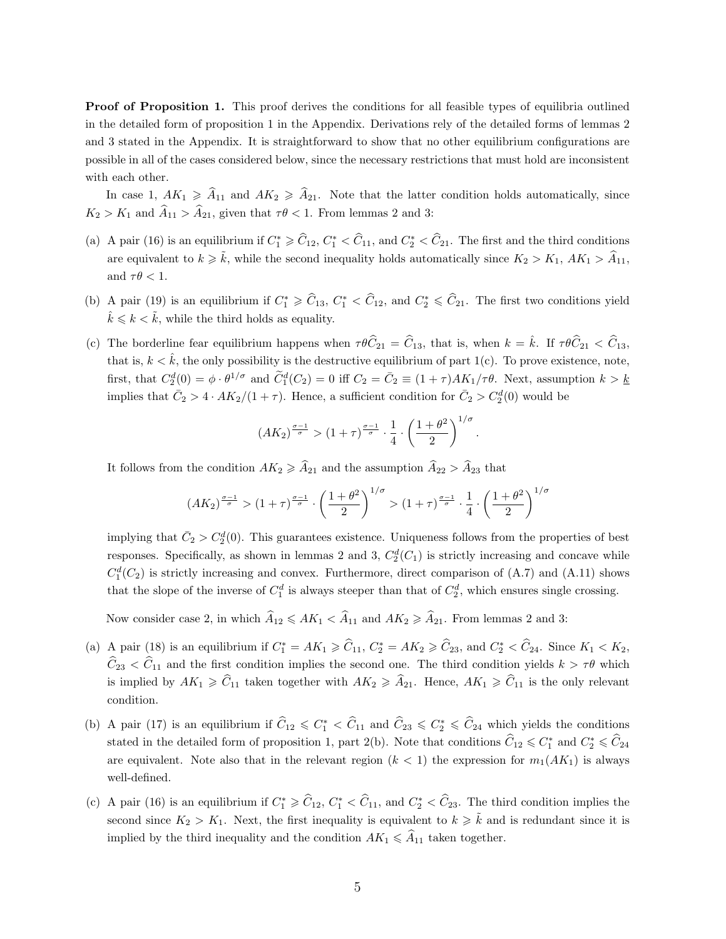**Proof of Proposition [1.](#page-18-0)** This proof derives the conditions for all feasible types of equilibria outlined in the detailed form of proposition [1](#page-18-0) in the Appendix. Derivations rely of the detailed forms of lemmas [2](#page-14-0) and [3](#page-16-0) stated in the Appendix. It is straightforward to show that no other equilibrium configurations are possible in all of the cases considered below, since the necessary restrictions that must hold are inconsistent with each other.

In case 1,  $AK_1 \geq \hat{A}_{11}$  and  $AK_2 \geq \hat{A}_{21}$ . Note that the latter condition holds automatically, since  $K_2 > K_1$  and  $\widehat{A}_{11} > \widehat{A}_{21}$ , given that  $\tau \theta < 1$ . From lemmas [2](#page-14-0) and [3:](#page-16-0)

- (a) A pair [\(16\)](#page-18-2) is an equilibrium if  $C_1^* \geq \widehat{C}_{12}$ ,  $C_1^* < \widehat{C}_{11}$ , and  $C_2^* < \widehat{C}_{21}$ . The first and the third conditions are equivalent to  $k \geq \tilde{k}$ , while the second inequality holds automatically since  $K_2 > K_1$ ,  $AK_1 > \tilde{A}_{11}$ , and  $\tau \theta < 1$ .
- (b) A pair [\(19\)](#page-18-5) is an equilibrium if  $C_1^* \geq \widehat{C}_{13}$ ,  $C_1^* < \widehat{C}_{12}$ , and  $C_2^* \leq \widehat{C}_{21}$ . The first two conditions yield  $k \leq k \leq k$ , while the third holds as equality.
- (c) The borderline fear equilibrium happens when  $\tau \theta \hat{C}_{21} = \hat{C}_{13}$ , that is, when  $k = \hat{k}$ . If  $\tau \theta \hat{C}_{21} < \hat{C}_{13}$ , that is,  $k < \hat{k}$ , the only possibility is the destructive equilibrium of part 1(c). To prove existence, note, first, that  $C_2^d(0) = \phi \cdot \theta^{1/\sigma}$  and  $\widetilde{C}_1^d(C_2) = 0$  iff  $C_2 = \overline{C}_2 \equiv (1+\tau)AK_1/\tau\theta$ . Next, assumption  $k > k$ implies that  $\bar{C}_2 > 4 \cdot AK_2/(1+\tau)$ . Hence, a sufficient condition for  $\bar{C}_2 > C_2^d(0)$  would be

$$
(AK_2)^{\frac{\sigma-1}{\sigma}} > (1+\tau)^{\frac{\sigma-1}{\sigma}} \cdot \frac{1}{4} \cdot \left(\frac{1+\theta^2}{2}\right)^{1/\sigma}
$$

.

It follows from the condition  $AK_2 \geq \widehat{A}_{21}$  and the assumption  $\widehat{A}_{22} > \widehat{A}_{23}$  that

$$
(AK_2)^{\frac{\sigma-1}{\sigma}} > (1+\tau)^{\frac{\sigma-1}{\sigma}} \cdot \left(\frac{1+\theta^2}{2}\right)^{1/\sigma} > (1+\tau)^{\frac{\sigma-1}{\sigma}} \cdot \frac{1}{4} \cdot \left(\frac{1+\theta^2}{2}\right)^{1/\sigma}
$$

implying that  $\bar{C}_2 > C_2^d(0)$ . This guarantees existence. Uniqueness follows from the properties of best responses. Specifically, as shown in lemmas [2](#page-14-0) and [3,](#page-16-0)  $C_2^d(C_1)$  is strictly increasing and concave while  $C_1^d(C_2)$  is strictly increasing and convex. Furthermore, direct comparison of  $(A.7)$  and  $(A.11)$  shows that the slope of the inverse of  $C_1^d$  is always steeper than that of  $C_2^d$ , which ensures single crossing.

Now consider case [2](#page-14-0), in which  $\widehat{A}_{12} \leqslant AK_1 < \widehat{A}_{11}$  and  $AK_2 \geqslant \widehat{A}_{21}$ . From lemmas 2 and [3:](#page-16-0)

- (a) A pair [\(18\)](#page-18-3) is an equilibrium if  $C_1^* = AK_1 \geq \widehat{C}_{11}$ ,  $C_2^* = AK_2 \geq \widehat{C}_{23}$ , and  $C_2^* < \widehat{C}_{24}$ . Since  $K_1 < K_2$ ,  $\hat{C}_{23} < \hat{C}_{11}$  and the first condition implies the second one. The third condition yields  $k > \tau \theta$  which is implied by  $AK_1 \geq \hat{C}_{11}$  taken together with  $AK_2 \geq \hat{A}_{21}$ . Hence,  $AK_1 \geq \hat{C}_{11}$  is the only relevant condition.
- (b) A pair [\(17\)](#page-18-4) is an equilibrium if  $\hat{C}_{12} \leq C_1^* < \hat{C}_{11}$  and  $\hat{C}_{23} \leq C_2^* \leq \hat{C}_{24}$  which yields the conditions stated in the detailed form of proposition [1,](#page-18-0) part 2(b). Note that conditions  $\hat{C}_{12} \leq C_1^*$  and  $C_2^* \leq \hat{C}_{24}$ are equivalent. Note also that in the relevant region  $(k < 1)$  the expression for  $m_1(AK_1)$  is always well-defined.
- (c) A pair [\(16\)](#page-18-2) is an equilibrium if  $C_1^* \geq \widehat{C}_{12}$ ,  $C_1^* < \widehat{C}_{11}$ , and  $C_2^* < \widehat{C}_{23}$ . The third condition implies the second since  $K_2 > K_1$ . Next, the first inequality is equivalent to  $k \geq \tilde{k}$  and is redundant since it is implied by the third inequality and the condition  $AK_1 \leq \hat{A}_{11}$  taken together.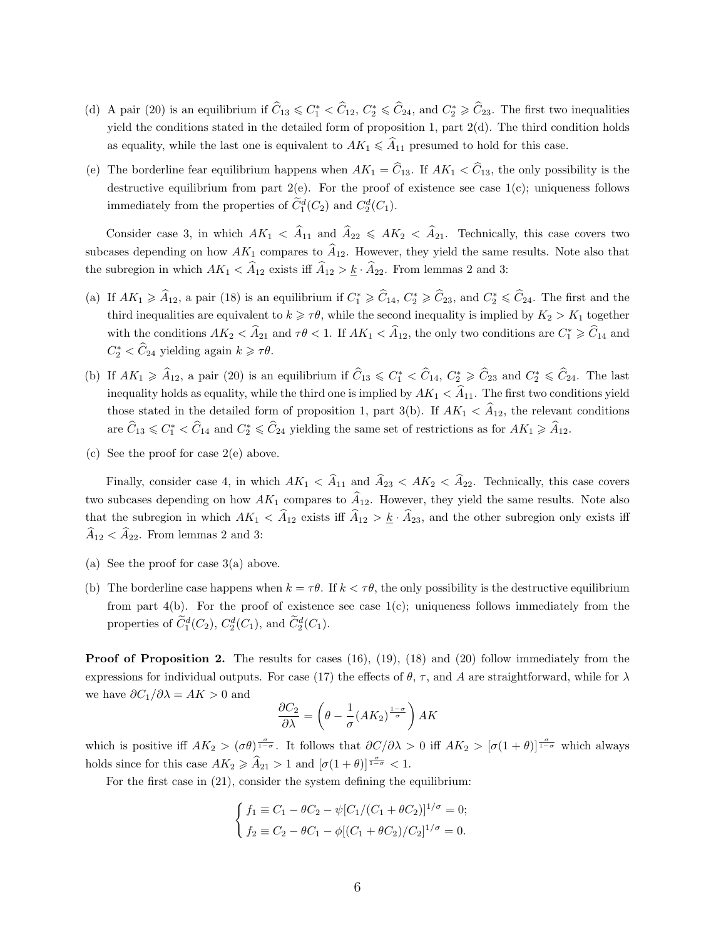- (d) A pair [\(20\)](#page-18-6) is an equilibrium if  $\hat{C}_{13} \leq C_1^* < \hat{C}_{12}$ ,  $C_2^* \leq \hat{C}_{24}$ , and  $C_2^* \geq \hat{C}_{23}$ . The first two inequalities yield the conditions stated in the detailed form of proposition [1,](#page-18-0) part 2(d). The third condition holds as equality, while the last one is equivalent to  $AK_1 \leq \hat{A}_{11}$  presumed to hold for this case.
- (e) The borderline fear equilibrium happens when  $AK_1 = \hat{C}_{13}$ . If  $AK_1 < \hat{C}_{13}$ , the only possibility is the destructive equilibrium from part  $2(e)$ . For the proof of existence see case  $1(c)$ ; uniqueness follows immediately from the properties of  $\tilde{C}_1^d(C_2)$  and  $C_2^d(C_1)$ .

Consider case 3, in which  $AK_1 < \hat{A}_{11}$  and  $\hat{A}_{22} \leqslant AK_2 < \hat{A}_{21}$ . Technically, this case covers two subcases depending on how  $AK_1$  compares to  $\widehat{A}_{12}$ . However, they yield the same results. Note also that the subregion in which  $AK_1 < \hat{A}_{12}$  exists iff  $\hat{A}_{12} > k \cdot \hat{A}_{22}$ . From lemmas [2](#page-14-0) and [3:](#page-16-0)

- (a) If  $AK_1 \ge \widehat{A}_{12}$ , a pair [\(18\)](#page-18-3) is an equilibrium if  $C_1^* \ge \widehat{C}_{14}$ ,  $C_2^* \ge \widehat{C}_{23}$ , and  $C_2^* \le \widehat{C}_{24}$ . The first and the third inequalities are equivalent to  $k \geq \tau \theta$ , while the second inequality is implied by  $K_2 > K_1$  together with the conditions  $AK_2 < \hat{A}_{21}$  and  $\tau\theta < 1$ . If  $AK_1 < \hat{A}_{12}$ , the only two conditions are  $C_1^* \geq \hat{C}_{14}$  and  $C_2^* < \widehat{C}_{24}$  yielding again  $k \geq \tau \theta$ .
- (b) If  $AK_1 \geq \widehat{A}_{12}$ , a pair [\(20\)](#page-18-6) is an equilibrium if  $\widehat{C}_{13} \leqslant C_1^* < \widehat{C}_{14}$ ,  $C_2^* \geqslant \widehat{C}_{23}$  and  $C_2^* \leqslant \widehat{C}_{24}$ . The last inequality holds as equality, while the third one is implied by  $AK_1 < \hat{A}_{11}$ . The first two conditions yield those stated in the detailed form of proposition [1,](#page-18-0) part 3(b). If  $AK_1 < \hat{A}_{12}$ , the relevant conditions are  $\hat{C}_{13} \leqslant C_1^* < \hat{C}_{14}$  and  $C_2^* \leqslant \hat{C}_{24}$  yielding the same set of restrictions as for  $AK_1 \geqslant \hat{A}_{12}$ .
- (c) See the proof for case 2(e) above.

Finally, consider case 4, in which  $AK_1 < \hat{A}_{11}$  and  $\hat{A}_{23} < AK_2 < \hat{A}_{22}$ . Technically, this case covers two subcases depending on how  $AK_1$  compares to  $\widehat{A}_{12}$ . However, they yield the same results. Note also that the subregion in which  $AK_1 < \hat{A}_{12}$  exists iff  $\hat{A}_{12} > \underline{k} \cdot \hat{A}_{23}$ , and the other subregion only exists iff  $\widehat{A}_{12} < \widehat{A}_{22}$ . From lemmas [2](#page-14-0) and [3:](#page-16-0)

- (a) See the proof for case 3(a) above.
- (b) The borderline case happens when  $k = \tau \theta$ . If  $k < \tau \theta$ , the only possibility is the destructive equilibrium from part  $4(b)$ . For the proof of existence see case  $1(c)$ ; uniqueness follows immediately from the properties of  $\tilde{C}_1^d(C_2)$ ,  $C_2^d(C_1)$ , and  $\tilde{C}_2^d(C_1)$ .

**Proof of Proposition [2.](#page-24-0)** The results for cases  $(16)$ ,  $(19)$ ,  $(18)$  and  $(20)$  follow immediately from the expressions for individual outputs. For case [\(17\)](#page-18-4) the effects of  $\theta$ ,  $\tau$ , and A are straightforward, while for  $\lambda$ we have  $\partial C_1/\partial \lambda = AK > 0$  and

$$
\frac{\partial C_2}{\partial \lambda} = \left(\theta - \frac{1}{\sigma} (AK_2)^{\frac{1-\sigma}{\sigma}}\right) AK
$$

which is positive iff  $AK_2 > (\sigma\theta)^{\frac{\sigma}{1-\sigma}}$ . It follows that  $\partial C/\partial \lambda > 0$  iff  $AK_2 > [\sigma(1+\theta)]^{\frac{\sigma}{1-\sigma}}$  which always holds since for this case  $AK_2 \ge \widehat{A}_{21} > 1$  and  $[\sigma(1+\theta)]^{\frac{\sigma}{1-\sigma}} < 1$ .

For the first case in [\(21\)](#page-18-7), consider the system defining the equilibrium:

$$
\begin{cases}\nf_1 \equiv C_1 - \theta C_2 - \psi [C_1/(C_1 + \theta C_2)]^{1/\sigma} = 0; \\
f_2 \equiv C_2 - \theta C_1 - \phi [(C_1 + \theta C_2)/C_2]^{1/\sigma} = 0.\n\end{cases}
$$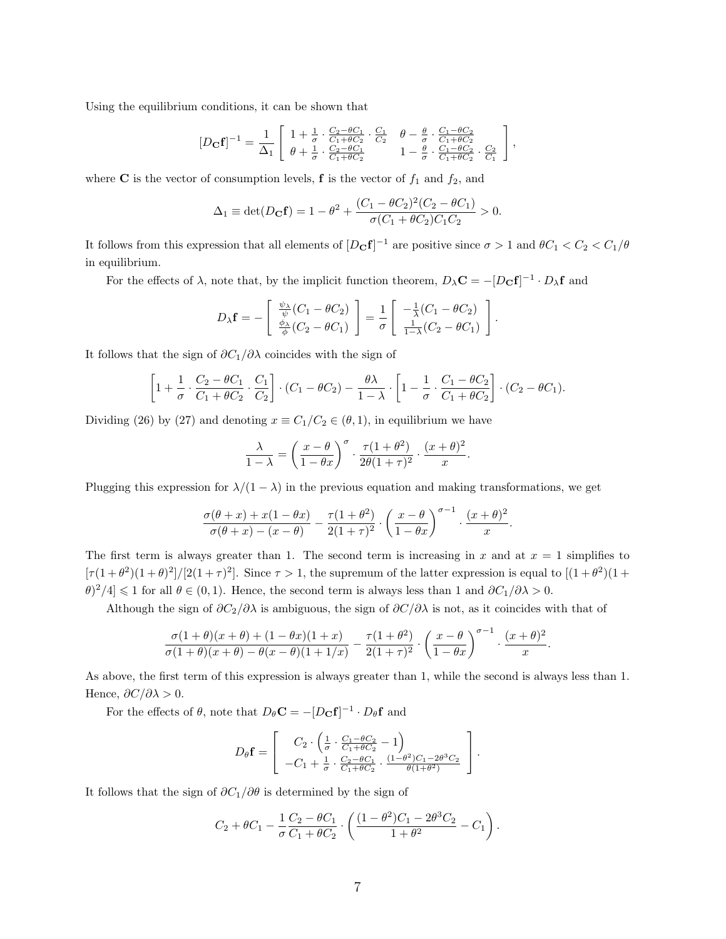Using the equilibrium conditions, it can be shown that

$$
[D_{\mathbf{C}}\mathbf{f}]^{-1} = \frac{1}{\Delta_1} \left[ \begin{array}{ccc} 1 + \frac{1}{\sigma} \cdot \frac{C_2 - \theta C_1}{C_1 + \theta C_2} \cdot \frac{C_1}{C_2} & \theta - \frac{\theta}{\sigma} \cdot \frac{C_1 - \theta C_2}{C_1 + \theta C_2} \\ \theta + \frac{1}{\sigma} \cdot \frac{C_2 - \theta C_1}{C_1 + \theta C_2} & 1 - \frac{\theta}{\sigma} \cdot \frac{C_1 - \theta C_2}{C_1 + \theta C_2} \cdot \frac{C_2}{C_1} \end{array} \right],
$$

where **C** is the vector of consumption levels, **f** is the vector of  $f_1$  and  $f_2$ , and

$$
\Delta_1 \equiv \det(D_{\mathbf{C}}\mathbf{f}) = 1 - \theta^2 + \frac{(C_1 - \theta C_2)^2 (C_2 - \theta C_1)}{\sigma (C_1 + \theta C_2) C_1 C_2} > 0.
$$

It follows from this expression that all elements of  $[D_{\text{C}}f]^{-1}$  are positive since  $\sigma > 1$  and  $\theta C_1 < C_2 < C_1/\theta$ in equilibrium.

For the effects of  $\lambda$ , note that, by the implicit function theorem,  $D_{\lambda} \mathbf{C} = -[D_{\mathbf{C}} \mathbf{f}]^{-1} \cdot D_{\lambda} \mathbf{f}$  and

$$
D_{\lambda} \mathbf{f} = -\begin{bmatrix} \frac{\psi_{\lambda}}{\psi} (C_1 - \theta C_2) \\ \frac{\phi_{\lambda}}{\phi} (C_2 - \theta C_1) \end{bmatrix} = \frac{1}{\sigma} \begin{bmatrix} -\frac{1}{\lambda} (C_1 - \theta C_2) \\ \frac{1}{1 - \lambda} (C_2 - \theta C_1) \end{bmatrix}
$$

.

It follows that the sign of  $\partial C_1/\partial \lambda$  coincides with the sign of

$$
\left[1+\frac{1}{\sigma}\cdot\frac{C_2-\theta C_1}{C_1+\theta C_2}\cdot\frac{C_1}{C_2}\right]\cdot\left(C_1-\theta C_2\right)-\frac{\theta\lambda}{1-\lambda}\cdot\left[1-\frac{1}{\sigma}\cdot\frac{C_1-\theta C_2}{C_1+\theta C_2}\right]\cdot\left(C_2-\theta C_1\right).
$$

Dividing [\(26\)](#page-37-0) by [\(27\)](#page-38-0) and denoting  $x \equiv C_1/C_2 \in (\theta, 1)$ , in equilibrium we have

$$
\frac{\lambda}{1-\lambda} = \left(\frac{x-\theta}{1-\theta x}\right)^{\sigma} \cdot \frac{\tau(1+\theta^2)}{2\theta(1+\tau)^2} \cdot \frac{(x+\theta)^2}{x}.
$$

Plugging this expression for  $\lambda/(1-\lambda)$  in the previous equation and making transformations, we get

$$
\frac{\sigma(\theta+x)+x(1-\theta x)}{\sigma(\theta+x)-(x-\theta)}-\frac{\tau(1+\theta^2)}{2(1+\tau)^2}\cdot\left(\frac{x-\theta}{1-\theta x}\right)^{\sigma-1}\cdot\frac{(x+\theta)^2}{x}.
$$

The first term is always greater than 1. The second term is increasing in x and at  $x = 1$  simplifies to  $[\tau(1+\theta^2)(1+\theta)^2]/[2(1+\tau)^2]$ . Since  $\tau > 1$ , the supremum of the latter expression is equal to  $[(1+\theta^2)(1+\tau)^2]$  $\theta$ <sup>2</sup>/4] ≤ 1 for all  $\theta \in (0, 1)$ . Hence, the second term is always less than 1 and  $\partial C_1/\partial \lambda > 0$ .

Although the sign of  $\partial C_2/\partial \lambda$  is ambiguous, the sign of  $\partial C/\partial \lambda$  is not, as it coincides with that of

$$
\frac{\sigma(1+\theta)(x+\theta)+(1-\theta x)(1+x)}{\sigma(1+\theta)(x+\theta)-\theta(x-\theta)(1+1/x)}-\frac{\tau(1+\theta^2)}{2(1+\tau)^2}\cdot\left(\frac{x-\theta}{1-\theta x}\right)^{\sigma-1}\cdot\frac{(x+\theta)^2}{x}.
$$

As above, the first term of this expression is always greater than 1, while the second is always less than 1. Hence,  $\partial C/\partial \lambda > 0$ .

For the effects of  $\theta$ , note that  $D_{\theta} \mathbf{C} = -[D_{\mathbf{C}} \mathbf{f}]^{-1} \cdot D_{\theta} \mathbf{f}$  and

$$
D_{\theta} \mathbf{f} = \begin{bmatrix} C_2 \cdot \left( \frac{1}{\sigma} \cdot \frac{C_1 - \theta C_2}{C_1 + \theta C_2} - 1 \right) \\ -C_1 + \frac{1}{\sigma} \cdot \frac{C_2 - \theta C_1}{C_1 + \theta C_2} \cdot \frac{(1 - \theta^2) C_1 - 2\theta^3 C_2}{\theta (1 + \theta^2)} \end{bmatrix}.
$$

It follows that the sign of  $\partial C_1/\partial \theta$  is determined by the sign of

$$
C_2 + \theta C_1 - \frac{1}{\sigma} \frac{C_2 - \theta C_1}{C_1 + \theta C_2} \cdot \left( \frac{(1 - \theta^2)C_1 - 2\theta^3 C_2}{1 + \theta^2} - C_1 \right).
$$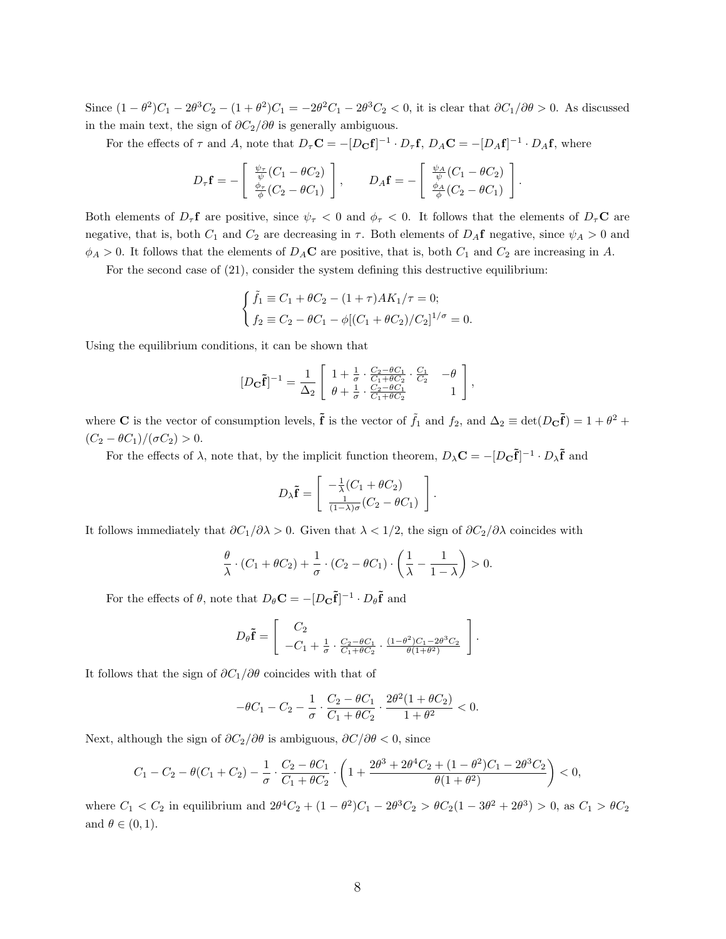Since  $(1 - \theta^2)C_1 - 2\theta^3C_2 - (1 + \theta^2)C_1 = -2\theta^2C_1 - 2\theta^3C_2 < 0$ , it is clear that  $\partial C_1/\partial \theta > 0$ . As discussed in the main text, the sign of  $\partial C_2/\partial \theta$  is generally ambiguous.

For the effects of  $\tau$  and A, note that  $D_{\tau} \mathbf{C} = -[D_{\mathbf{C}} \mathbf{f}]^{-1} \cdot D_{\tau} \mathbf{f}$ ,  $D_{A} \mathbf{C} = -[D_{A} \mathbf{f}]^{-1} \cdot D_{A} \mathbf{f}$ , where

$$
D_{\tau} \mathbf{f} = -\begin{bmatrix} \frac{\psi_{\tau}}{\psi} (C_1 - \theta C_2) \\ \frac{\phi_{\tau}}{\phi} (C_2 - \theta C_1) \end{bmatrix}, \qquad D_{A} \mathbf{f} = -\begin{bmatrix} \frac{\psi_{A}}{\psi} (C_1 - \theta C_2) \\ \frac{\phi_{A}}{\phi} (C_2 - \theta C_1) \end{bmatrix}.
$$

Both elements of  $D_{\tau}f$  are positive, since  $\psi_{\tau}<0$  and  $\phi_{\tau}<0$ . It follows that the elements of  $D_{\tau}C$  are negative, that is, both  $C_1$  and  $C_2$  are decreasing in  $\tau$ . Both elements of  $D_A f$  negative, since  $\psi_A > 0$  and  $\phi_A > 0$ . It follows that the elements of  $D_A C$  are positive, that is, both  $C_1$  and  $C_2$  are increasing in A.

For the second case of [\(21\)](#page-18-7), consider the system defining this destructive equilibrium:

$$
\begin{cases} \tilde{f}_1 \equiv C_1 + \theta C_2 - (1+\tau)AK_1/\tau = 0; \\ f_2 \equiv C_2 - \theta C_1 - \phi [(C_1 + \theta C_2)/C_2]^{1/\sigma} = 0. \end{cases}
$$

Using the equilibrium conditions, it can be shown that

$$
[D_{\mathbf{C}}\tilde{\mathbf{f}}]^{-1} = \frac{1}{\Delta_2} \left[ \begin{array}{cc} 1 + \frac{1}{\sigma} \cdot \frac{C_2 - \theta C_1}{C_1 + \theta C_2} \cdot \frac{C_1}{C_2} & -\theta \\ \theta + \frac{1}{\sigma} \cdot \frac{C_2 - \theta C_1}{C_1 + \theta C_2} & 1 \end{array} \right],
$$

where **C** is the vector of consumption levels,  $\tilde{\mathbf{f}}$  is the vector of  $\tilde{f}_1$  and  $f_2$ , and  $\Delta_2 \equiv \det(D_{\mathbf{C}}\tilde{\mathbf{f}}) = 1 + \theta^2 + \theta^2$  $(C_2 - \theta C_1)/(\sigma C_2) > 0.$ 

For the effects of  $\lambda$ , note that, by the implicit function theorem,  $D_{\lambda} \mathbf{C} = -[D_{\mathbf{C}} \tilde{\mathbf{f}}]^{-1} \cdot D_{\lambda} \tilde{\mathbf{f}}$  and

$$
D_{\lambda} \tilde{\mathbf{f}} = \begin{bmatrix} -\frac{1}{\lambda} (C_1 + \theta C_2) \\ \frac{1}{(1-\lambda)\sigma} (C_2 - \theta C_1) \end{bmatrix}.
$$

It follows immediately that  $\partial C_1/\partial \lambda > 0$ . Given that  $\lambda < 1/2$ , the sign of  $\partial C_2/\partial \lambda$  coincides with

$$
\frac{\theta}{\lambda} \cdot (C_1 + \theta C_2) + \frac{1}{\sigma} \cdot (C_2 - \theta C_1) \cdot \left(\frac{1}{\lambda} - \frac{1}{1-\lambda}\right) > 0.
$$

For the effects of  $\theta$ , note that  $D_{\theta} \mathbf{C} = -[D_{\mathbf{C}} \tilde{\mathbf{f}}]^{-1} \cdot D_{\theta} \tilde{\mathbf{f}}$  and

$$
D_{\theta}\tilde{\mathbf{f}} = \begin{bmatrix} C_2 \\ -C_1 + \frac{1}{\sigma} \cdot \frac{C_2 - \theta C_1}{C_1 + \theta C_2} \cdot \frac{(1-\theta^2)C_1 - 2\theta^3 C_2}{\theta(1+\theta^2)} \end{bmatrix}.
$$

It follows that the sign of  $\partial C_1/\partial \theta$  coincides with that of

$$
-\theta C_1 - C_2 - \frac{1}{\sigma} \cdot \frac{C_2 - \theta C_1}{C_1 + \theta C_2} \cdot \frac{2\theta^2 (1 + \theta C_2)}{1 + \theta^2} < 0.
$$

Next, although the sign of  $\partial C_2/\partial \theta$  is ambiguous,  $\partial C/\partial \theta < 0$ , since

$$
C_1 - C_2 - \theta(C_1 + C_2) - \frac{1}{\sigma} \cdot \frac{C_2 - \theta C_1}{C_1 + \theta C_2} \cdot \left(1 + \frac{2\theta^3 + 2\theta^4 C_2 + (1 - \theta^2)C_1 - 2\theta^3 C_2}{\theta(1 + \theta^2)}\right) < 0,
$$

where  $C_1 < C_2$  in equilibrium and  $2\theta^4 C_2 + (1 - \theta^2)C_1 - 2\theta^3 C_2 > \theta C_2 (1 - 3\theta^2 + 2\theta^3) > 0$ , as  $C_1 > \theta C_2$ and  $\theta \in (0,1)$ .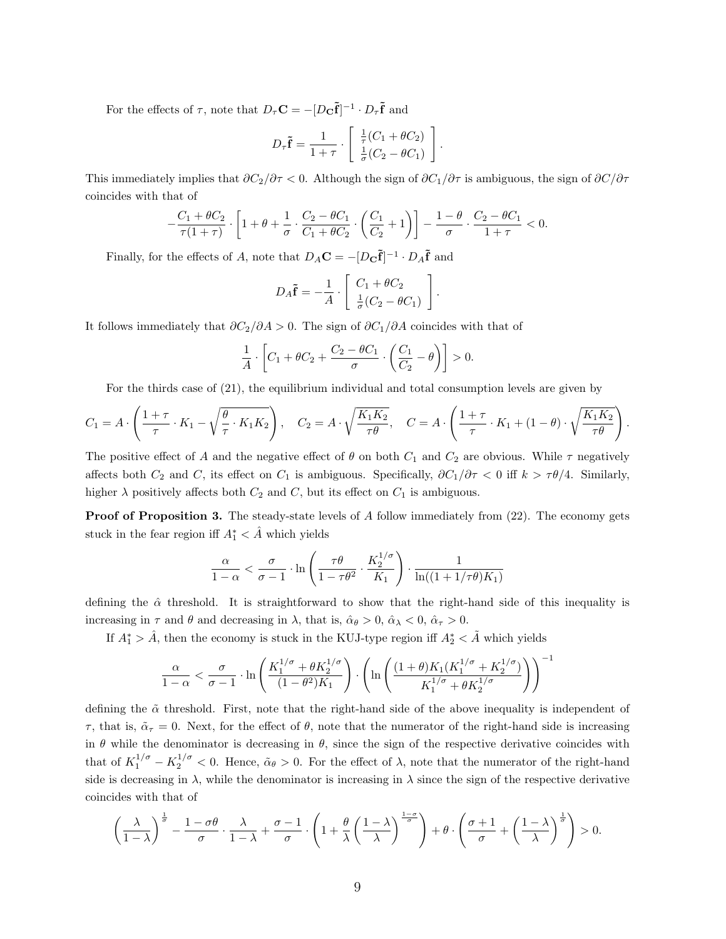For the effects of  $\tau$ , note that  $D_{\tau} \mathbf{C} = -[D_{\mathbf{C}} \tilde{\mathbf{f}}]^{-1} \cdot D_{\tau} \tilde{\mathbf{f}}$  and

$$
D_{\tau}\tilde{\mathbf{f}} = \frac{1}{1+\tau} \cdot \left[ \begin{array}{c} \frac{1}{\tau}(C_1 + \theta C_2) \\ \frac{1}{\sigma}(C_2 - \theta C_1) \end{array} \right].
$$

This immediately implies that  $\partial C_2/\partial \tau < 0$ . Although the sign of  $\partial C_1/\partial \tau$  is ambiguous, the sign of  $\partial C/\partial \tau$ coincides with that of

$$
-\frac{C_1+\theta C_2}{\tau(1+\tau)}\cdot\left[1+\theta+\frac{1}{\sigma}\cdot\frac{C_2-\theta C_1}{C_1+\theta C_2}\cdot\left(\frac{C_1}{C_2}+1\right)\right]-\frac{1-\theta}{\sigma}\cdot\frac{C_2-\theta C_1}{1+\tau}<0.
$$

Finally, for the effects of A, note that  $D_A \mathbf{C} = -[D_{\mathbf{C}} \tilde{\mathbf{f}}]^{-1} \cdot D_A \tilde{\mathbf{f}}$  and

$$
D_A \tilde{\mathbf{f}} = -\frac{1}{A} \cdot \left[ \begin{array}{c} C_1 + \theta C_2 \\ \frac{1}{\sigma} (C_2 - \theta C_1) \end{array} \right].
$$

It follows immediately that  $\partial C_2/\partial A > 0$ . The sign of  $\partial C_1/\partial A$  coincides with that of

$$
\frac{1}{A} \cdot \left[ C_1 + \theta C_2 + \frac{C_2 - \theta C_1}{\sigma} \cdot \left( \frac{C_1}{C_2} - \theta \right) \right] > 0.
$$

For the thirds case of [\(21\)](#page-18-7), the equilibrium individual and total consumption levels are given by

$$
C_1 = A \cdot \left(\frac{1+\tau}{\tau} \cdot K_1 - \sqrt{\frac{\theta}{\tau} \cdot K_1 K_2}\right), \quad C_2 = A \cdot \sqrt{\frac{K_1 K_2}{\tau \theta}}, \quad C = A \cdot \left(\frac{1+\tau}{\tau} \cdot K_1 + (1-\theta) \cdot \sqrt{\frac{K_1 K_2}{\tau \theta}}\right).
$$

The positive effect of A and the negative effect of  $\theta$  on both  $C_1$  and  $C_2$  are obvious. While  $\tau$  negatively affects both  $C_2$  and C, its effect on  $C_1$  is ambiguous. Specifically,  $\partial C_1/\partial \tau < 0$  iff  $k > \tau \theta/4$ . Similarly, higher  $\lambda$  positively affects both  $C_2$  and  $C$ , but its effect on  $C_1$  is ambiguous.

**Proof of Proposition [3.](#page-26-1)** The steady-state levels of A follow immediately from [\(22\)](#page-25-2). The economy gets stuck in the fear region iff  $A_1^* < \hat{A}$  which yields

$$
\frac{\alpha}{1-\alpha} < \frac{\sigma}{\sigma-1} \cdot \ln\left(\frac{\tau\theta}{1-\tau\theta^2} \cdot \frac{K_2^{1/\sigma}}{K_1}\right) \cdot \frac{1}{\ln((1+1/\tau\theta)K_1)}
$$

defining the  $\hat{\alpha}$  threshold. It is straightforward to show that the right-hand side of this inequality is increasing in  $\tau$  and  $\theta$  and decreasing in  $\lambda$ , that is,  $\hat{\alpha}_{\theta} > 0$ ,  $\hat{\alpha}_{\lambda} < 0$ ,  $\hat{\alpha}_{\tau} > 0$ .

If  $A_1^* > \hat{A}$ , then the economy is stuck in the KUJ-type region iff  $A_2^* < \tilde{A}$  which yields

$$
\frac{\alpha}{1-\alpha}<\frac{\sigma}{\sigma-1}\cdot\ln\left(\frac{K_1^{1/\sigma}+\theta K_2^{1/\sigma}}{(1-\theta^2)K_1}\right)\cdot\left(\ln\left(\frac{(1+\theta)K_1(K_1^{1/\sigma}+K_2^{1/\sigma})}{K_1^{1/\sigma}+\theta K_2^{1/\sigma}}\right)\right)^{-1}
$$

defining the  $\tilde{\alpha}$  threshold. First, note that the right-hand side of the above inequality is independent of  $\tau$ , that is,  $\tilde{\alpha}_{\tau} = 0$ . Next, for the effect of  $\theta$ , note that the numerator of the right-hand side is increasing in  $\theta$  while the denominator is decreasing in  $\theta$ , since the sign of the respective derivative coincides with that of  $K_1^{1/\sigma} - K_2^{1/\sigma} < 0$ . Hence,  $\tilde{\alpha}_{\theta} > 0$ . For the effect of  $\lambda$ , note that the numerator of the right-hand side is decreasing in  $\lambda$ , while the denominator is increasing in  $\lambda$  since the sign of the respective derivative coincides with that of

$$
\left(\frac{\lambda}{1-\lambda}\right)^{\frac{1}{\sigma}} - \frac{1-\sigma\theta}{\sigma} \cdot \frac{\lambda}{1-\lambda} + \frac{\sigma-1}{\sigma} \cdot \left(1 + \frac{\theta}{\lambda}\left(\frac{1-\lambda}{\lambda}\right)^{\frac{1-\sigma}{\sigma}}\right) + \theta \cdot \left(\frac{\sigma+1}{\sigma} + \left(\frac{1-\lambda}{\lambda}\right)^{\frac{1}{\sigma}}\right) > 0.
$$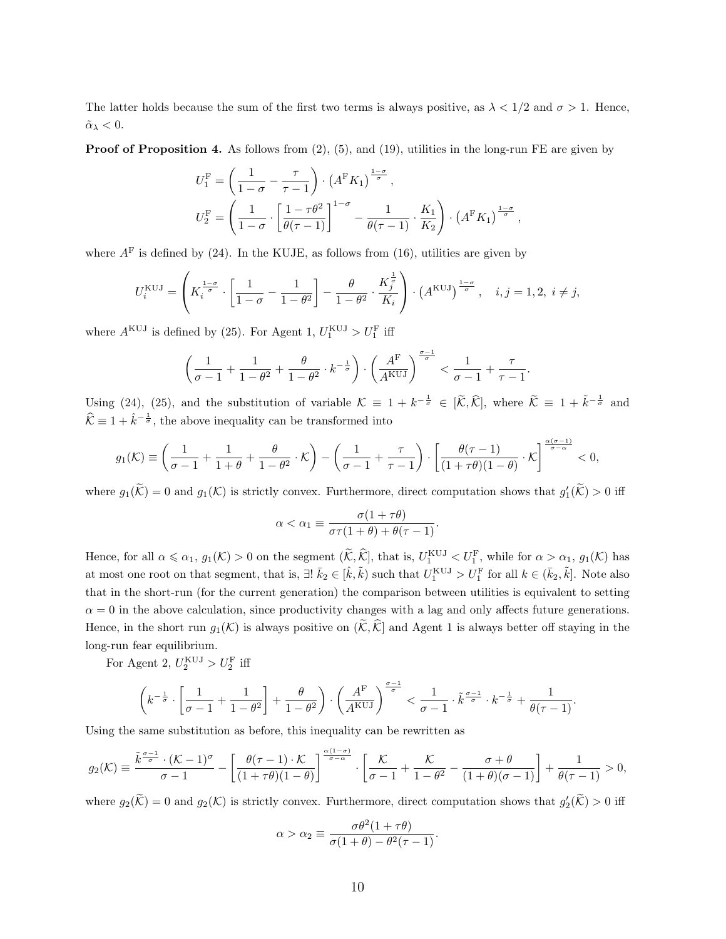The latter holds because the sum of the first two terms is always positive, as  $\lambda < 1/2$  and  $\sigma > 1$ . Hence,  $\tilde{\alpha}_{\lambda} < 0.$ 

**Proof of Proposition [4.](#page-30-3)** As follows from  $(2)$ ,  $(5)$ , and  $(19)$ , utilities in the long-run FE are given by

$$
U_1^{\text{F}} = \left(\frac{1}{1-\sigma} - \frac{\tau}{\tau - 1}\right) \cdot \left(A^{\text{F}} K_1\right)^{\frac{1-\sigma}{\sigma}},
$$
  
\n
$$
U_2^{\text{F}} = \left(\frac{1}{1-\sigma} \cdot \left[\frac{1-\tau \theta^2}{\theta(\tau - 1)}\right]^{1-\sigma} - \frac{1}{\theta(\tau - 1)} \cdot \frac{K_1}{K_2}\right) \cdot \left(A^{\text{F}} K_1\right)^{\frac{1-\sigma}{\sigma}},
$$

where  $A^F$  is defined by [\(24\)](#page-29-2). In the KUJE, as follows from [\(16\)](#page-18-2), utilities are given by

$$
U_i^{\text{KUJ}} = \left( K_i^{\frac{1-\sigma}{\sigma}} \cdot \left[ \frac{1}{1-\sigma} - \frac{1}{1-\theta^2} \right] - \frac{\theta}{1-\theta^2} \cdot \frac{K_j^{\frac{1}{\sigma}}}{K_i} \right) \cdot \left( A^{\text{KUJ}} \right)^{\frac{1-\sigma}{\sigma}}, \quad i, j = 1, 2, \ i \neq j,
$$

where  $A^{KUI}$  is defined by [\(25\)](#page-29-3). For Agent 1,  $U_1^{KUI} > U_1^F$  iff

$$
\left(\frac{1}{\sigma-1} + \frac{1}{1-\theta^2} + \frac{\theta}{1-\theta^2} \cdot k^{-\frac{1}{\sigma}}\right) \cdot \left(\frac{A^F}{A^{KUJ}}\right)^{\frac{\sigma-1}{\sigma}} < \frac{1}{\sigma-1} + \frac{\tau}{\tau-1}.
$$

Using [\(24\)](#page-29-2), [\(25\)](#page-29-3), and the substitution of variable  $\mathcal{K} \equiv 1 + k^{-\frac{1}{\sigma}} \in [\widetilde{\mathcal{K}}, \widehat{\mathcal{K}}]$ , where  $\widetilde{\mathcal{K}} \equiv 1 + \widetilde{k}^{-\frac{1}{\sigma}}$  and  $\hat{\mathcal{K}} \equiv 1 + \hat{k}^{-\frac{1}{\sigma}},$  the above inequality can be transformed into

$$
g_1(\mathcal{K}) \equiv \left(\frac{1}{\sigma-1} + \frac{1}{1+\theta} + \frac{\theta}{1-\theta^2} \cdot \mathcal{K}\right) - \left(\frac{1}{\sigma-1} + \frac{\tau}{\tau-1}\right) \cdot \left[\frac{\theta(\tau-1)}{(1+\tau\theta)(1-\theta)} \cdot \mathcal{K}\right]^{\frac{\alpha(\sigma-1)}{\sigma-\alpha}} < 0,
$$

where  $g_1(\tilde{\mathcal{K}}) = 0$  and  $g_1(\mathcal{K})$  is strictly convex. Furthermore, direct computation shows that  $g'_1(\tilde{\mathcal{K}}) > 0$  iff

$$
\alpha < \alpha_1 \equiv \frac{\sigma(1 + \tau \theta)}{\sigma \tau (1 + \theta) + \theta (\tau - 1)}.
$$

Hence, for all  $\alpha \leq \alpha_1$ ,  $g_1(\mathcal{K}) > 0$  on the segment  $(\widetilde{\mathcal{K}}, \widehat{\mathcal{K}})$ , that is,  $U_1^{\text{KUJ}} < U_1^{\text{F}}$ , while for  $\alpha > \alpha_1$ ,  $g_1(\mathcal{K})$  has at most one root on that segment, that is,  $\exists! \bar{k}_2 \in [\hat{k}, \tilde{k})$  such that  $U_1^{\text{KUJ}} > U_1^{\text{F}}$  for all  $k \in (\bar{k}_2, \tilde{k}]$ . Note also that in the short-run (for the current generation) the comparison between utilities is equivalent to setting  $\alpha = 0$  in the above calculation, since productivity changes with a lag and only affects future generations. Hence, in the short run  $g_1(\mathcal{K})$  is always positive on  $(\widetilde{\mathcal{K}}, \widehat{\mathcal{K}})$  and Agent 1 is always better off staying in the long-run fear equilibrium.

For Agent 2,  $U_2^{\text{KUJ}} > U_2^{\text{F}}$  iff

$$
\left(k^{-\frac{1}{\sigma}}\cdot \left[\frac{1}{\sigma-1}+\frac{1}{1-\theta^2}\right]+\frac{\theta}{1-\theta^2}\right)\cdot \left(\frac{A^{\mathrm{F}}}{A^{\mathrm{KUJ}}}\right)^{\frac{\sigma-1}{\sigma}} < \frac{1}{\sigma-1}\cdot \tilde{k}^{\frac{\sigma-1}{\sigma}}\cdot k^{-\frac{1}{\sigma}}+\frac{1}{\theta(\tau-1)}.
$$

Using the same substitution as before, this inequality can be rewritten as

$$
g_2(\mathcal{K}) \equiv \frac{\tilde{k}^{\frac{\sigma-1}{\sigma}} \cdot (\mathcal{K}-1)^{\sigma}}{\sigma-1} - \left[ \frac{\theta(\tau-1) \cdot \mathcal{K}}{(1+\tau\theta)(1-\theta)} \right]^{\frac{\alpha(1-\sigma)}{\sigma-\alpha}} \cdot \left[ \frac{\mathcal{K}}{\sigma-1} + \frac{\mathcal{K}}{1-\theta^2} - \frac{\sigma+\theta}{(1+\theta)(\sigma-1)} \right] + \frac{1}{\theta(\tau-1)} > 0,
$$

where  $g_2(\tilde{\mathcal{K}}) = 0$  and  $g_2(\mathcal{K})$  is strictly convex. Furthermore, direct computation shows that  $g'_2(\tilde{\mathcal{K}}) > 0$  iff

$$
\alpha > \alpha_2 \equiv \frac{\sigma \theta^2 (1 + \tau \theta)}{\sigma (1 + \theta) - \theta^2 (\tau - 1)}.
$$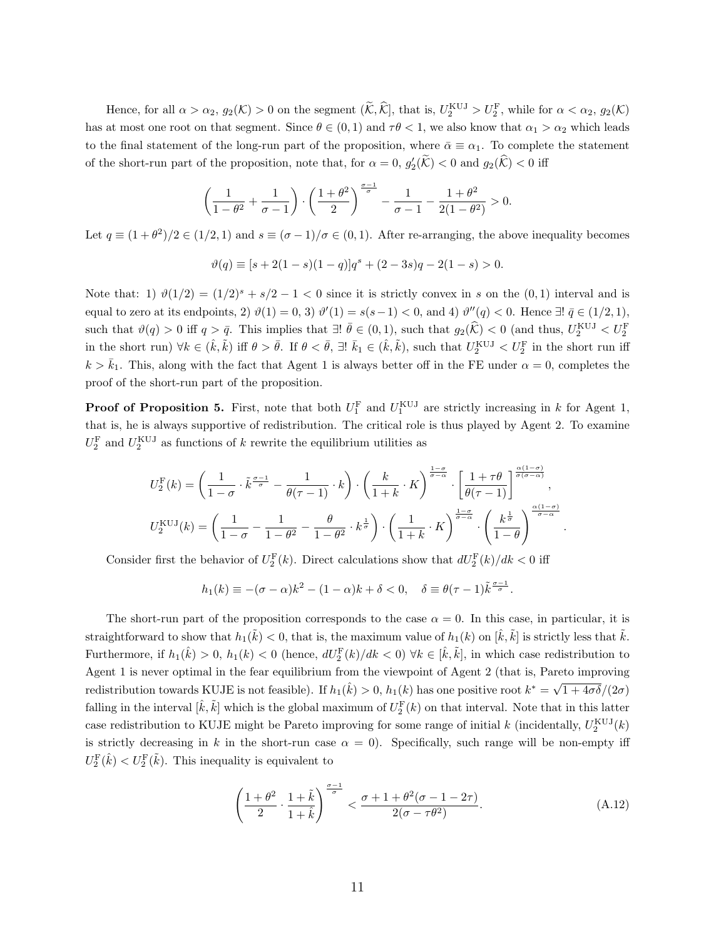Hence, for all  $\alpha > \alpha_2$ ,  $g_2(\mathcal{K}) > 0$  on the segment  $(\tilde{\mathcal{K}}, \hat{\mathcal{K}}]$ , that is,  $U_2^{\text{KUJ}} > U_2^{\text{F}}$ , while for  $\alpha < \alpha_2$ ,  $g_2(\mathcal{K})$ has at most one root on that segment. Since  $\theta \in (0,1)$  and  $\tau\theta < 1$ , we also know that  $\alpha_1 > \alpha_2$  which leads to the final statement of the long-run part of the proposition, where  $\bar{\alpha} \equiv \alpha_1$ . To complete the statement of the short-run part of the proposition, note that, for  $\alpha = 0$ ,  $g'_2(\tilde{\mathcal{K}}) < 0$  and  $g_2(\hat{\mathcal{K}}) < 0$  iff

$$
\left(\frac{1}{1-\theta^2} + \frac{1}{\sigma - 1}\right) \cdot \left(\frac{1+\theta^2}{2}\right)^{\frac{\sigma - 1}{\sigma}} - \frac{1}{\sigma - 1} - \frac{1+\theta^2}{2(1-\theta^2)} > 0.
$$

Let  $q \equiv (1 + \theta^2)/2 \in (1/2, 1)$  and  $s \equiv (\sigma - 1)/\sigma \in (0, 1)$ . After re-arranging, the above inequality becomes

$$
\vartheta(q) \equiv [s + 2(1 - s)(1 - q)]q^{s} + (2 - 3s)q - 2(1 - s) > 0.
$$

Note that: 1)  $\vartheta(1/2) = (1/2)^s + s/2 - 1 < 0$  since it is strictly convex in s on the  $(0, 1)$  interval and is equal to zero at its endpoints, 2)  $\vartheta(1) = 0, 3$   $\vartheta'(1) = s(s-1) < 0$ , and 4)  $\vartheta''(q) < 0$ . Hence  $\exists ! \bar{q} \in (1/2, 1)$ , such that  $\vartheta(q) > 0$  iff  $q > \bar{q}$ . This implies that  $\exists! \ \bar{\theta} \in (0,1)$ , such that  $g_2(\hat{\mathcal{K}}) < 0$  (and thus,  $U_2^{\text{KUJ}} < U_2^{\text{F}}$ in the short run)  $\forall k \in (\hat{k}, \tilde{k})$  iff  $\theta > \bar{\theta}$ . If  $\theta < \bar{\theta}$ ,  $\exists ! \bar{k}_1 \in (\hat{k}, \tilde{k})$ , such that  $U_2^{\text{KUJ}} < U_2^{\text{F}}$  in the short run iff  $k > \bar{k}_1$ . This, along with the fact that Agent 1 is always better off in the FE under  $\alpha = 0$ , completes the proof of the short-run part of the proposition.

**Proof of Proposition [5.](#page-33-1)** First, note that both  $U_1^{\text{F}}$  and  $U_1^{\text{KUJ}}$  are strictly increasing in k for Agent 1, that is, he is always supportive of redistribution. The critical role is thus played by Agent 2. To examine  $U_2^{\text{F}}$  and  $U_2^{\text{KUJ}}$  as functions of k rewrite the equilibrium utilities as

$$
U_2^{\text{F}}(k) = \left(\frac{1}{1-\sigma} \cdot \tilde{k}^{\frac{\sigma-1}{\sigma}} - \frac{1}{\theta(\tau-1)} \cdot k\right) \cdot \left(\frac{k}{1+k} \cdot K\right)^{\frac{1-\sigma}{\sigma-\alpha}} \cdot \left[\frac{1+\tau\theta}{\theta(\tau-1)}\right]^{\frac{\alpha(1-\sigma)}{\sigma(\sigma-\alpha)}},
$$
  

$$
U_2^{\text{KUJ}}(k) = \left(\frac{1}{1-\sigma} - \frac{1}{1-\theta^2} - \frac{\theta}{1-\theta^2} \cdot k^{\frac{1}{\sigma}}\right) \cdot \left(\frac{1}{1+k} \cdot K\right)^{\frac{1-\sigma}{\sigma-\alpha}} \cdot \left(\frac{k^{\frac{1}{\sigma}}}{1-\theta}\right)^{\frac{\alpha(1-\sigma)}{\sigma-\alpha}}
$$

Consider first the behavior of  $U_2^{\text{F}}(k)$ . Direct calculations show that  $dU_2^{\text{F}}(k)/dk < 0$  iff

$$
h_1(k) \equiv -(\sigma - \alpha)k^2 - (1 - \alpha)k + \delta < 0, \quad \delta \equiv \theta(\tau - 1)\tilde{k}^{\frac{\sigma - 1}{\sigma}}.
$$

The short-run part of the proposition corresponds to the case  $\alpha = 0$ . In this case, in particular, it is straightforward to show that  $h_1(\tilde{k}) < 0$ , that is, the maximum value of  $h_1(k)$  on  $[\hat{k}, \tilde{k}]$  is strictly less that  $\tilde{k}$ . Furthermore, if  $h_1(\hat{k}) > 0$ ,  $h_1(k) < 0$  (hence,  $dU_2^{\text{F}}(k)/dk < 0$ )  $\forall k \in [\hat{k}, \tilde{k}]$ , in which case redistribution to Agent 1 is never optimal in the fear equilibrium from the viewpoint of Agent 2 (that is, Pareto improving redistribution towards KUJE is not feasible). If  $h_1(\hat{k}) > 0$ ,  $h_1(k)$  has one positive root  $k^* = \sqrt{ }$  $1+4\sigma\delta/(2\sigma)$ falling in the interval  $[\hat{k}, \tilde{k}]$  which is the global maximum of  $U_2^{\text{F}}(k)$  on that interval. Note that in this latter case redistribution to KUJE might be Pareto improving for some range of initial k (incidentally,  $U_2^{\text{KUJ}}(k)$ is strictly decreasing in k in the short-run case  $\alpha = 0$ ). Specifically, such range will be non-empty iff  $U_2^{\text{F}}(\hat{k}) < U_2^{\text{F}}(\tilde{k})$ . This inequality is equivalent to

<span id="page-56-0"></span>
$$
\left(\frac{1+\theta^2}{2}\cdot\frac{1+\tilde{k}}{1+\tilde{k}}\right)^{\frac{\sigma-1}{\sigma}} < \frac{\sigma+1+\theta^2(\sigma-1-2\tau)}{2(\sigma-\tau\theta^2)}.\tag{A.12}
$$

.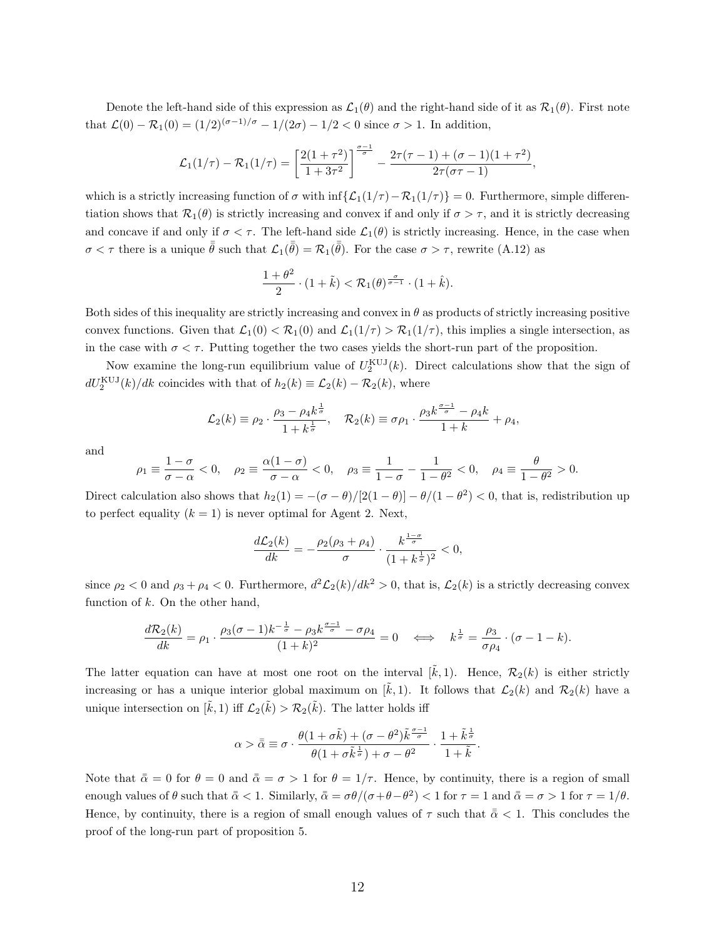Denote the left-hand side of this expression as  $\mathcal{L}_1(\theta)$  and the right-hand side of it as  $\mathcal{R}_1(\theta)$ . First note that  $\mathcal{L}(0) - \mathcal{R}_1(0) = (1/2)^{(\sigma-1)/\sigma} - 1/(2\sigma) - 1/2 < 0$  since  $\sigma > 1$ . In addition,

$$
\mathcal{L}_1(1/\tau) - \mathcal{R}_1(1/\tau) = \left[ \frac{2(1+\tau^2)}{1+3\tau^2} \right]^{\frac{\sigma-1}{\sigma}} - \frac{2\tau(\tau-1) + (\sigma-1)(1+\tau^2)}{2\tau(\sigma\tau-1)},
$$

which is a strictly increasing function of  $\sigma$  with inf $\{\mathcal{L}_1(1/\tau) - \mathcal{R}_1(1/\tau)\} = 0$ . Furthermore, simple differentiation shows that  $\mathcal{R}_1(\theta)$  is strictly increasing and convex if and only if  $\sigma > \tau$ , and it is strictly decreasing and concave if and only if  $\sigma < \tau$ . The left-hand side  $\mathcal{L}_1(\theta)$  is strictly increasing. Hence, in the case when  $\sigma < \tau$  there is a unique  $\bar{\bar{\theta}}$  such that  $\mathcal{L}_1(\bar{\bar{\theta}}) = \mathcal{R}_1(\bar{\bar{\theta}})$ . For the case  $\sigma > \tau$ , rewrite [\(A.12\)](#page-56-0) as

$$
\frac{1+\theta^2}{2}\cdot(1+\tilde{k}) < \mathcal{R}_1(\theta)^{\frac{\sigma}{\sigma-1}}\cdot(1+\hat{k}).
$$

Both sides of this inequality are strictly increasing and convex in  $\theta$  as products of strictly increasing positive convex functions. Given that  $\mathcal{L}_1(0) < \mathcal{R}_1(0)$  and  $\mathcal{L}_1(1/\tau) > \mathcal{R}_1(1/\tau)$ , this implies a single intersection, as in the case with  $\sigma < \tau$ . Putting together the two cases yields the short-run part of the proposition.

Now examine the long-run equilibrium value of  $U_2^{KUI}(k)$ . Direct calculations show that the sign of  $dU_2^{\text{KUJ}}(k)/dk$  coincides with that of  $h_2(k) \equiv \mathcal{L}_2(k) - \mathcal{R}_2(k)$ , where

$$
\mathcal{L}_2(k) \equiv \rho_2 \cdot \frac{\rho_3 - \rho_4 k^{\frac{1}{\sigma}}}{1 + k^{\frac{1}{\sigma}}}, \quad \mathcal{R}_2(k) \equiv \sigma \rho_1 \cdot \frac{\rho_3 k^{\frac{\sigma - 1}{\sigma}} - \rho_4 k}{1 + k} + \rho_4,
$$

and

$$
\rho_1 \equiv \frac{1-\sigma}{\sigma-\alpha} < 0, \quad \rho_2 \equiv \frac{\alpha(1-\sigma)}{\sigma-\alpha} < 0, \quad \rho_3 \equiv \frac{1}{1-\sigma} - \frac{1}{1-\theta^2} < 0, \quad \rho_4 \equiv \frac{\theta}{1-\theta^2} > 0.
$$

Direct calculation also shows that  $h_2(1) = -(\sigma - \theta)/[2(1 - \theta)] - \theta/(1 - \theta^2) < 0$ , that is, redistribution up to perfect equality  $(k = 1)$  is never optimal for Agent 2. Next,

$$
\frac{d\mathcal{L}_2(k)}{dk} = -\frac{\rho_2(\rho_3 + \rho_4)}{\sigma} \cdot \frac{k^{\frac{1-\sigma}{\sigma}}}{(1 + k^{\frac{1}{\sigma}})^2} < 0,
$$

since  $\rho_2 < 0$  and  $\rho_3 + \rho_4 < 0$ . Furthermore,  $d^2 \mathcal{L}_2(k)/dk^2 > 0$ , that is,  $\mathcal{L}_2(k)$  is a strictly decreasing convex function of  $k$ . On the other hand,

$$
\frac{d\mathcal{R}_2(k)}{dk} = \rho_1 \cdot \frac{\rho_3(\sigma - 1)k^{-\frac{1}{\sigma}} - \rho_3 k^{\frac{\sigma - 1}{\sigma}} - \sigma \rho_4}{(1 + k)^2} = 0 \quad \Longleftrightarrow \quad k^{\frac{1}{\sigma}} = \frac{\rho_3}{\sigma \rho_4} \cdot (\sigma - 1 - k).
$$

The latter equation can have at most one root on the interval  $[k, 1]$ . Hence,  $\mathcal{R}_2(k)$  is either strictly increasing or has a unique interior global maximum on  $[\dot{k}, 1)$ . It follows that  $\mathcal{L}_2(k)$  and  $\mathcal{R}_2(k)$  have a unique intersection on  $[\tilde{k}, 1]$  iff  $\mathcal{L}_2(\tilde{k}) > \mathcal{R}_2(\tilde{k})$ . The latter holds iff

$$
\alpha > \bar{\bar{\alpha}} \equiv \sigma \cdot \frac{\theta(1 + \sigma \tilde{k}) + (\sigma - \theta^2)\tilde{k}^{\frac{\sigma - 1}{\sigma}}}{\theta(1 + \sigma \tilde{k}^{\frac{1}{\sigma}}) + \sigma - \theta^2} \cdot \frac{1 + \tilde{k}^{\frac{1}{\sigma}}}{1 + \tilde{k}}.
$$

Note that  $\bar{\bar{\alpha}} = 0$  for  $\theta = 0$  and  $\bar{\bar{\alpha}} = \sigma > 1$  for  $\theta = 1/\tau$ . Hence, by continuity, there is a region of small enough values of  $\theta$  such that  $\bar{\bar{\alpha}} < 1$ . Similarly,  $\bar{\bar{\alpha}} = \sigma \theta/(\sigma + \theta - \theta^2) < 1$  for  $\tau = 1$  and  $\bar{\bar{\alpha}} = \sigma > 1$  for  $\tau = 1/\theta$ . Hence, by continuity, there is a region of small enough values of  $\tau$  such that  $\bar{\alpha} < 1$ . This concludes the proof of the long-run part of proposition [5.](#page-33-1)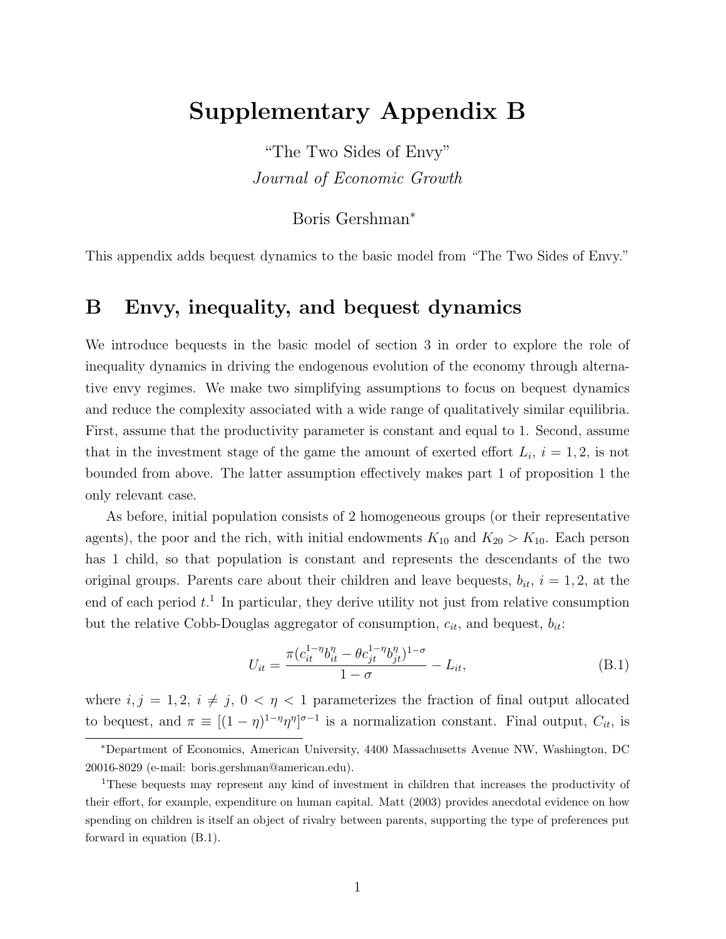# Supplementary Appendix B

"The Two Sides of Envy" Journal of Economic Growth

Boris Gershman<sup>∗</sup>

This appendix adds bequest dynamics to the basic model from "The Two Sides of Envy."

## B Envy, inequality, and bequest dynamics

We introduce bequests in the basic model of section [3](#page-8-0) in order to explore the role of inequality dynamics in driving the endogenous evolution of the economy through alternative envy regimes. We make two simplifying assumptions to focus on bequest dynamics and reduce the complexity associated with a wide range of qualitatively similar equilibria. First, assume that the productivity parameter is constant and equal to 1. Second, assume that in the investment stage of the game the amount of exerted effort  $L_i$ ,  $i = 1, 2$ , is not bounded from above. The latter assumption effectively makes part 1 of proposition [1](#page-18-0) the only relevant case.

As before, initial population consists of 2 homogeneous groups (or their representative agents), the poor and the rich, with initial endowments  $K_{10}$  and  $K_{20} > K_{10}$ . Each person has 1 child, so that population is constant and represents the descendants of the two original groups. Parents care about their children and leave bequests,  $b_{it}$ ,  $i = 1, 2$ , at the end of each period  $t$ <sup>[1](#page-58-0)</sup>. In particular, they derive utility not just from relative consumption but the relative Cobb-Douglas aggregator of consumption,  $c_{it}$ , and bequest,  $b_{it}$ :

<span id="page-58-1"></span>
$$
U_{it} = \frac{\pi (c_{it}^{1-\eta} b_{it}^{\eta} - \theta c_{jt}^{1-\eta} b_{jt}^{\eta})^{1-\sigma}}{1-\sigma} - L_{it},
$$
\n(B.1)

where  $i, j = 1, 2, i \neq j, 0 < \eta < 1$  parameterizes the fraction of final output allocated to bequest, and  $\pi \equiv [(1 - \eta)^{1 - \eta} \eta^{\eta}]^{\sigma - 1}$  is a normalization constant. Final output,  $C_{it}$ , is

<sup>∗</sup>Department of Economics, American University, 4400 Massachusetts Avenue NW, Washington, DC 20016-8029 (e-mail: boris.gershman@american.edu).

<span id="page-58-0"></span><sup>1</sup>These bequests may represent any kind of investment in children that increases the productivity of their effort, for example, expenditure on human capital. Matt (2003) provides anecdotal evidence on how spending on children is itself an object of rivalry between parents, supporting the type of preferences put forward in equation [\(B.1\)](#page-58-1).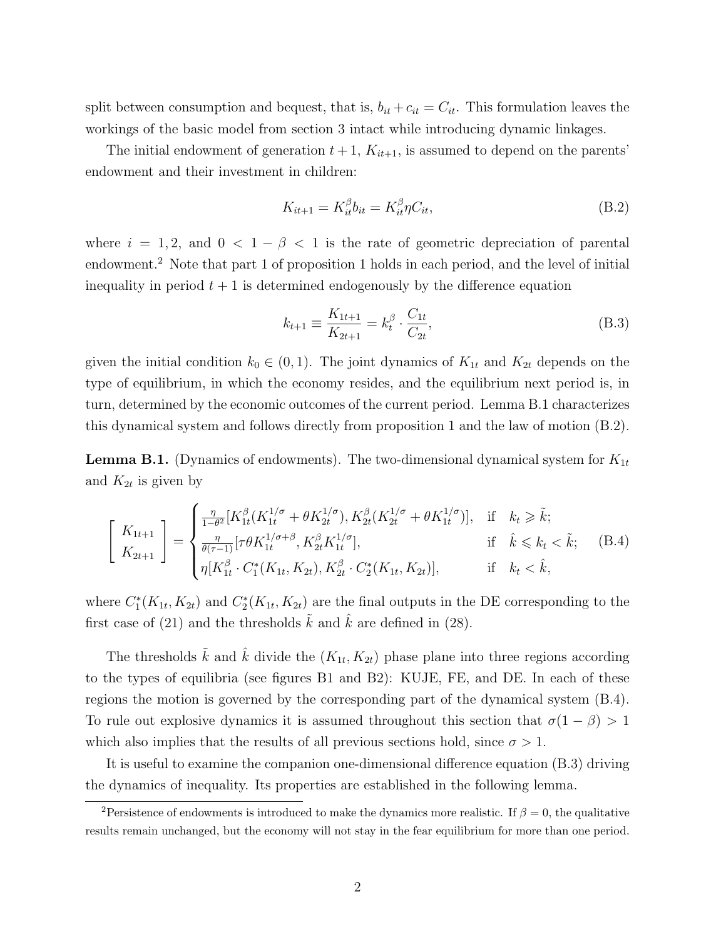split between consumption and bequest, that is,  $b_{it} + c_{it} = C_{it}$ . This formulation leaves the workings of the basic model from section [3](#page-8-0) intact while introducing dynamic linkages.

The initial endowment of generation  $t + 1$ ,  $K_{it+1}$ , is assumed to depend on the parents' endowment and their investment in children:

<span id="page-59-2"></span>
$$
K_{it+1} = K_{it}^{\beta} b_{it} = K_{it}^{\beta} \eta C_{it},\tag{B.2}
$$

where  $i = 1, 2$ , and  $0 < 1 - \beta < 1$  is the rate of geometric depreciation of parental endowment.[2](#page-59-0) Note that part 1 of proposition [1](#page-18-0) holds in each period, and the level of initial inequality in period  $t + 1$  is determined endogenously by the difference equation

<span id="page-59-4"></span>
$$
k_{t+1} \equiv \frac{K_{1t+1}}{K_{2t+1}} = k_t^{\beta} \cdot \frac{C_{1t}}{C_{2t}},
$$
\n(B.3)

given the initial condition  $k_0 \in (0,1)$ . The joint dynamics of  $K_{1t}$  and  $K_{2t}$  depends on the type of equilibrium, in which the economy resides, and the equilibrium next period is, in turn, determined by the economic outcomes of the current period. Lemma [B.1](#page-59-1) characterizes this dynamical system and follows directly from proposition [1](#page-18-0) and the law of motion [\(B.2\)](#page-59-2).

<span id="page-59-1"></span>**Lemma B.1.** (Dynamics of endowments). The two-dimensional dynamical system for  $K_{1t}$ and  $K_{2t}$  is given by

<span id="page-59-3"></span>
$$
\begin{bmatrix}\nK_{1t+1} \\
K_{2t+1}\n\end{bmatrix} = \begin{cases}\n\frac{\eta}{1-\theta^2} [K_{1t}^{\beta} (K_{1t}^{1/\sigma} + \theta K_{2t}^{1/\sigma}), K_{2t}^{\beta} (K_{2t}^{1/\sigma} + \theta K_{1t}^{1/\sigma})], & \text{if } k_t \geq \tilde{k}; \\
\frac{\eta}{\theta(\tau-1)} [\tau \theta K_{1t}^{1/\sigma+\beta}, K_{2t}^{\beta} K_{1t}^{1/\sigma}], & \text{if } k \leq k_t < \tilde{k}; \\
\eta [K_{1t}^{\beta} \cdot C_1^*(K_{1t}, K_{2t}), K_{2t}^{\beta} \cdot C_2^*(K_{1t}, K_{2t})], & \text{if } k_t < \hat{k},\n\end{cases}
$$
\n(B.4)

where  $C_1^*(K_{1t}, K_{2t})$  and  $C_2^*(K_{1t}, K_{2t})$  are the final outputs in the DE corresponding to the first case of [\(21\)](#page-18-7) and the thresholds  $\tilde{k}$  and  $\hat{k}$  are defined in [\(28\)](#page-39-0).

The thresholds  $\tilde{k}$  and  $\hat{k}$  divide the  $(K_{1t}, K_{2t})$  phase plane into three regions according to the types of equilibria (see figures [B1](#page-61-0) and [B2\)](#page-62-0): KUJE, FE, and DE. In each of these regions the motion is governed by the corresponding part of the dynamical system [\(B.4\)](#page-59-3). To rule out explosive dynamics it is assumed throughout this section that  $\sigma(1-\beta) > 1$ which also implies that the results of all previous sections hold, since  $\sigma > 1$ .

It is useful to examine the companion one-dimensional difference equation [\(B.3\)](#page-59-4) driving the dynamics of inequality. Its properties are established in the following lemma.

<span id="page-59-0"></span><sup>&</sup>lt;sup>2</sup>Persistence of endowments is introduced to make the dynamics more realistic. If  $\beta = 0$ , the qualitative results remain unchanged, but the economy will not stay in the fear equilibrium for more than one period.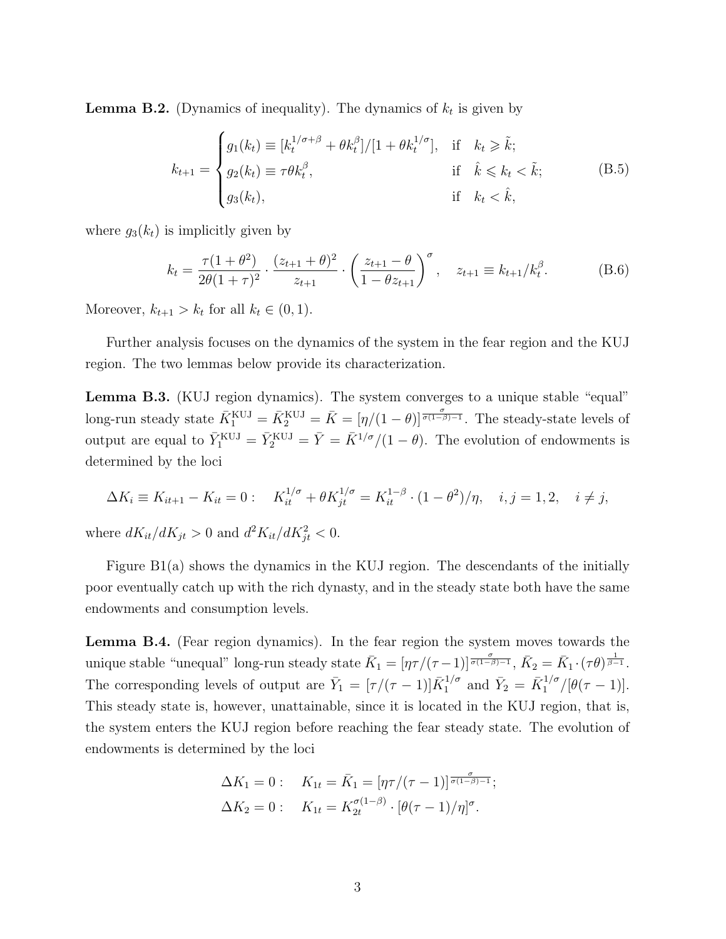<span id="page-60-0"></span>**Lemma B.2.** (Dynamics of inequality). The dynamics of  $k_t$  is given by

$$
k_{t+1} = \begin{cases} g_1(k_t) \equiv [k_t^{1/\sigma + \beta} + \theta k_t^{\beta}]/[1 + \theta k_t^{1/\sigma}], & \text{if } k_t \geq \tilde{k}; \\ g_2(k_t) \equiv \tau \theta k_t^{\beta}, & \text{if } \hat{k} \leq k_t < \tilde{k}; \\ g_3(k_t), & \text{if } k_t < \hat{k}, \end{cases}
$$
(B.5)

where  $q_3(k_t)$  is implicitly given by

$$
k_t = \frac{\tau (1 + \theta^2)}{2\theta (1 + \tau)^2} \cdot \frac{(z_{t+1} + \theta)^2}{z_{t+1}} \cdot \left(\frac{z_{t+1} - \theta}{1 - \theta z_{t+1}}\right)^{\sigma}, \quad z_{t+1} \equiv k_{t+1}/k_t^{\beta}.
$$
 (B.6)

Moreover,  $k_{t+1} > k_t$  for all  $k_t \in (0, 1)$ .

Further analysis focuses on the dynamics of the system in the fear region and the KUJ region. The two lemmas below provide its characterization.

<span id="page-60-2"></span>Lemma B.3. (KUJ region dynamics). The system converges to a unique stable "equal" long-run steady state  $\bar{K}_1^{\text{KUJ}} = \bar{K}_2^{\text{KUJ}} = \bar{K} = [\eta/(1-\theta)]^{\frac{\sigma}{\sigma(1-\beta)-1}}$ . The steady-state levels of output are equal to  $\bar{Y}_1^{\text{KUJ}} = \bar{Y}_2^{\text{KUJ}} = \bar{Y} = \bar{K}^{1/\sigma}/(1-\theta)$ . The evolution of endowments is determined by the loci

$$
\Delta K_i \equiv K_{it+1} - K_{it} = 0: \quad K_{it}^{1/\sigma} + \theta K_{jt}^{1/\sigma} = K_{it}^{1-\beta} \cdot (1 - \theta^2) / \eta, \quad i, j = 1, 2, \quad i \neq j,
$$

where  $dK_{it}/dK_{jt} > 0$  and  $d^2K_{it}/dK_{jt}^2 < 0$ .

Figure [B1\(](#page-61-0)a) shows the dynamics in the KUJ region. The descendants of the initially poor eventually catch up with the rich dynasty, and in the steady state both have the same endowments and consumption levels.

<span id="page-60-1"></span>Lemma B.4. (Fear region dynamics). In the fear region the system moves towards the unique stable "unequal" long-run steady state  $\bar{K}_1 = [\eta \tau/(\tau-1)]^{\frac{\sigma}{\sigma(1-\beta)-1}}$ ,  $\bar{K}_2 = \bar{K}_1 \cdot (\tau \theta)^{\frac{1}{\beta-1}}$ . The corresponding levels of output are  $\bar{Y}_1 = [\tau/(\tau-1)] \bar{K}_1^{1/\sigma}$  $I_1^{1/\sigma}$  and  $\bar{Y}_2 = \bar{K}_1^{1/\sigma}$  $\int_{1}^{1/\sigma}/[\theta(\tau-1)].$ This steady state is, however, unattainable, since it is located in the KUJ region, that is, the system enters the KUJ region before reaching the fear steady state. The evolution of endowments is determined by the loci

$$
\Delta K_1 = 0: \quad K_{1t} = \bar{K}_1 = [\eta \tau/(\tau - 1)]^{\frac{\sigma}{\sigma(1 - \beta) - 1}};
$$
  

$$
\Delta K_2 = 0: \quad K_{1t} = K_{2t}^{\sigma(1 - \beta)} \cdot [\theta(\tau - 1)/\eta]^{\sigma}.
$$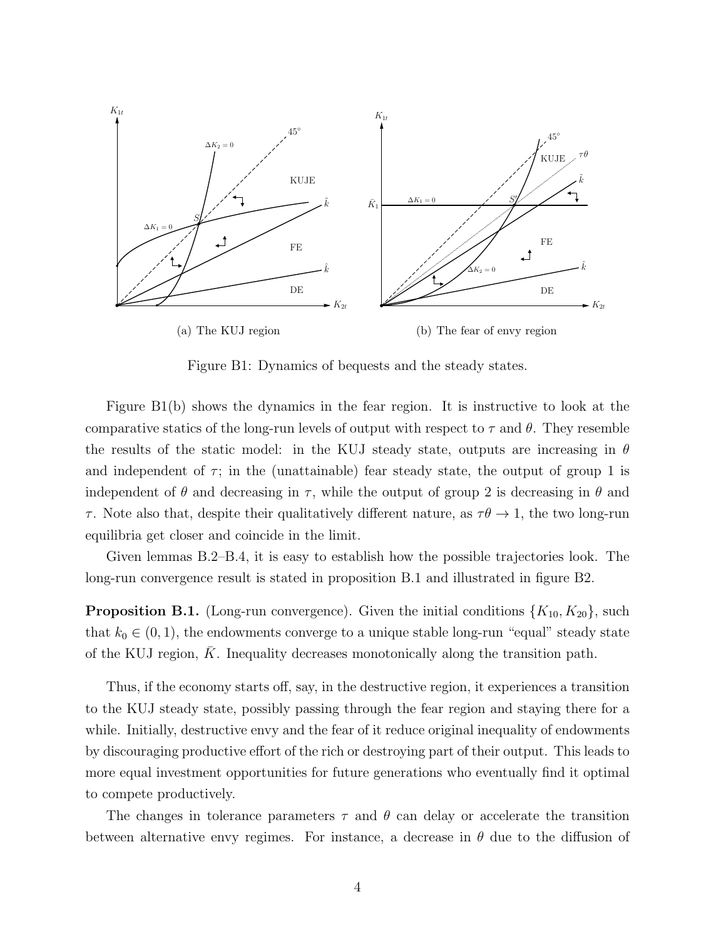<span id="page-61-0"></span>

Figure B1: Dynamics of bequests and the steady states.

Figure [B1\(](#page-61-0)b) shows the dynamics in the fear region. It is instructive to look at the comparative statics of the long-run levels of output with respect to  $\tau$  and  $\theta$ . They resemble the results of the static model: in the KUJ steady state, outputs are increasing in  $\theta$ and independent of  $\tau$ ; in the (unattainable) fear steady state, the output of group 1 is independent of  $\theta$  and decreasing in  $\tau$ , while the output of group 2 is decreasing in  $\theta$  and τ . Note also that, despite their qualitatively different nature, as τθ → 1, the two long-run equilibria get closer and coincide in the limit.

Given lemmas [B.2–](#page-60-0)[B.4,](#page-60-1) it is easy to establish how the possible trajectories look. The long-run convergence result is stated in proposition [B.1](#page-61-1) and illustrated in figure [B2.](#page-62-0)

<span id="page-61-1"></span>**Proposition B.1.** (Long-run convergence). Given the initial conditions  ${K_{10}, K_{20}}$ , such that  $k_0 \in (0, 1)$ , the endowments converge to a unique stable long-run "equal" steady state of the KUJ region,  $K$ . Inequality decreases monotonically along the transition path.

Thus, if the economy starts off, say, in the destructive region, it experiences a transition to the KUJ steady state, possibly passing through the fear region and staying there for a while. Initially, destructive envy and the fear of it reduce original inequality of endowments by discouraging productive effort of the rich or destroying part of their output. This leads to more equal investment opportunities for future generations who eventually find it optimal to compete productively.

The changes in tolerance parameters  $\tau$  and  $\theta$  can delay or accelerate the transition between alternative envy regimes. For instance, a decrease in  $\theta$  due to the diffusion of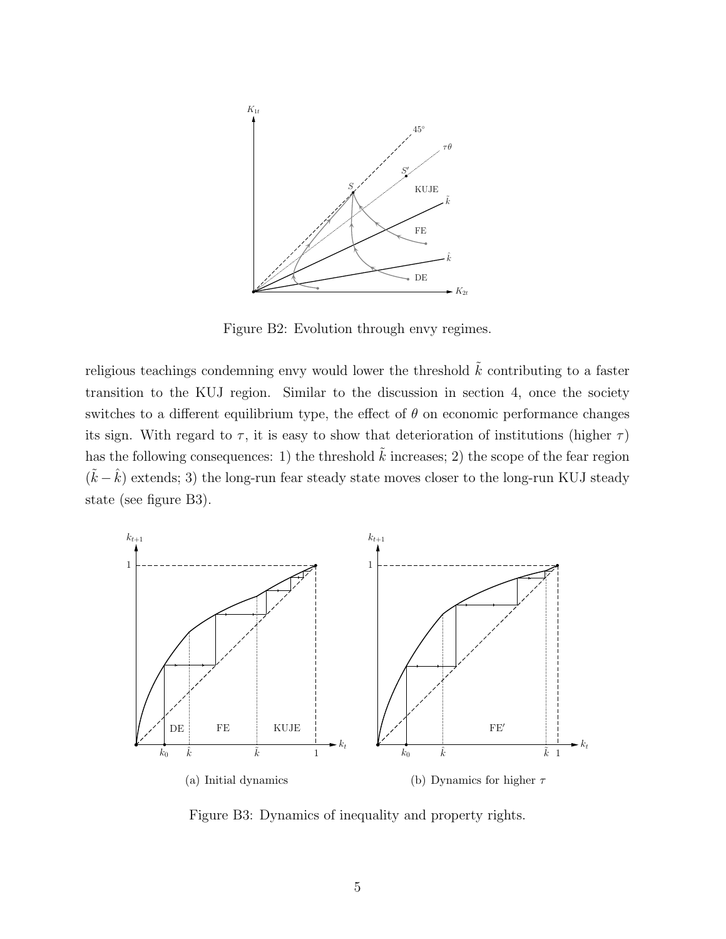<span id="page-62-0"></span>

Figure B2: Evolution through envy regimes.

religious teachings condemning envy would lower the threshold  $\tilde{k}$  contributing to a faster transition to the KUJ region. Similar to the discussion in section [4,](#page-25-0) once the society switches to a different equilibrium type, the effect of  $\theta$  on economic performance changes its sign. With regard to  $\tau$ , it is easy to show that deterioration of institutions (higher  $\tau$ ) has the following consequences: 1) the threshold  $\tilde{k}$  increases; 2) the scope of the fear region  $(\tilde{k} - \hat{k})$  extends; 3) the long-run fear steady state moves closer to the long-run KUJ steady state (see figure [B3\)](#page-62-1).

<span id="page-62-1"></span>

Figure B3: Dynamics of inequality and property rights.